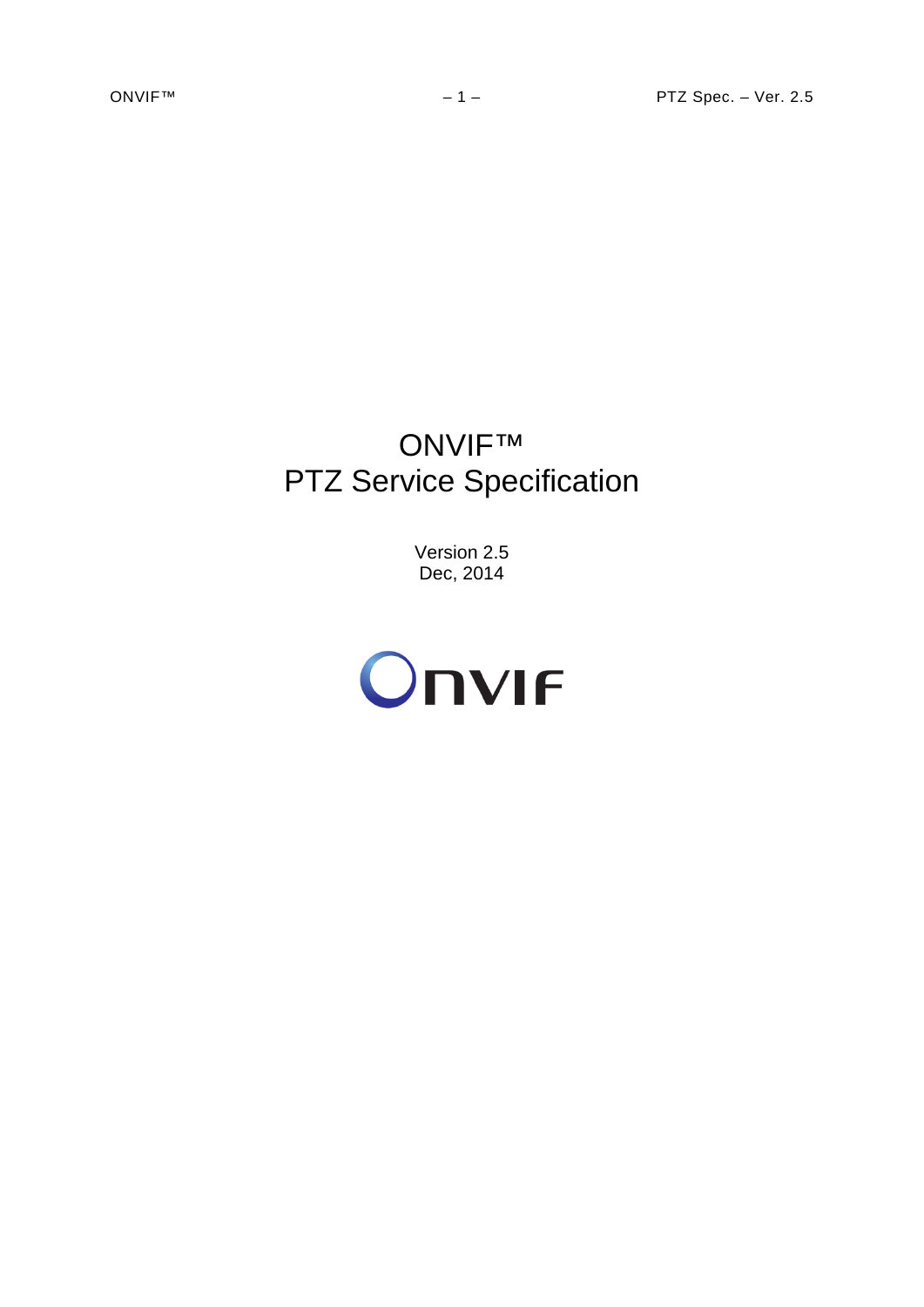# ONVIF™ PTZ Service Specification

Version 2.5 Dec, 2014

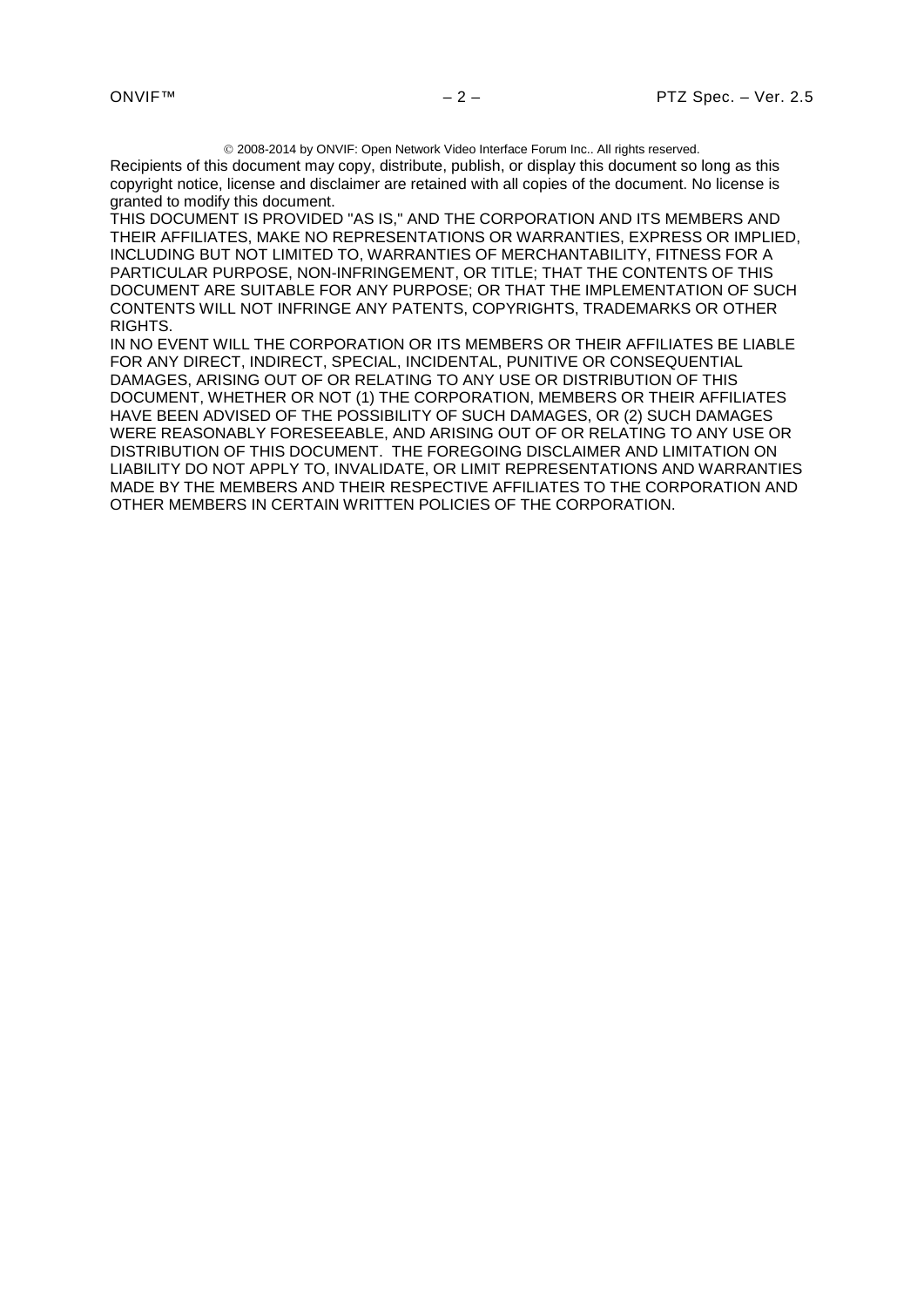2008-2014 by ONVIF: Open Network Video Interface Forum Inc.. All rights reserved.

Recipients of this document may copy, distribute, publish, or display this document so long as this copyright notice, license and disclaimer are retained with all copies of the document. No license is granted to modify this document.

THIS DOCUMENT IS PROVIDED "AS IS," AND THE CORPORATION AND ITS MEMBERS AND THEIR AFFILIATES, MAKE NO REPRESENTATIONS OR WARRANTIES, EXPRESS OR IMPLIED, INCLUDING BUT NOT LIMITED TO, WARRANTIES OF MERCHANTABILITY, FITNESS FOR A PARTICULAR PURPOSE, NON-INFRINGEMENT, OR TITLE; THAT THE CONTENTS OF THIS DOCUMENT ARE SUITABLE FOR ANY PURPOSE; OR THAT THE IMPLEMENTATION OF SUCH CONTENTS WILL NOT INFRINGE ANY PATENTS, COPYRIGHTS, TRADEMARKS OR OTHER RIGHTS.

IN NO EVENT WILL THE CORPORATION OR ITS MEMBERS OR THEIR AFFILIATES BE LIABLE FOR ANY DIRECT, INDIRECT, SPECIAL, INCIDENTAL, PUNITIVE OR CONSEQUENTIAL DAMAGES, ARISING OUT OF OR RELATING TO ANY USE OR DISTRIBUTION OF THIS DOCUMENT, WHETHER OR NOT (1) THE CORPORATION, MEMBERS OR THEIR AFFILIATES HAVE BEEN ADVISED OF THE POSSIBILITY OF SUCH DAMAGES, OR (2) SUCH DAMAGES WERE REASONABLY FORESEEABLE, AND ARISING OUT OF OR RELATING TO ANY USE OR DISTRIBUTION OF THIS DOCUMENT. THE FOREGOING DISCLAIMER AND LIMITATION ON LIABILITY DO NOT APPLY TO, INVALIDATE, OR LIMIT REPRESENTATIONS AND WARRANTIES MADE BY THE MEMBERS AND THEIR RESPECTIVE AFFILIATES TO THE CORPORATION AND OTHER MEMBERS IN CERTAIN WRITTEN POLICIES OF THE CORPORATION.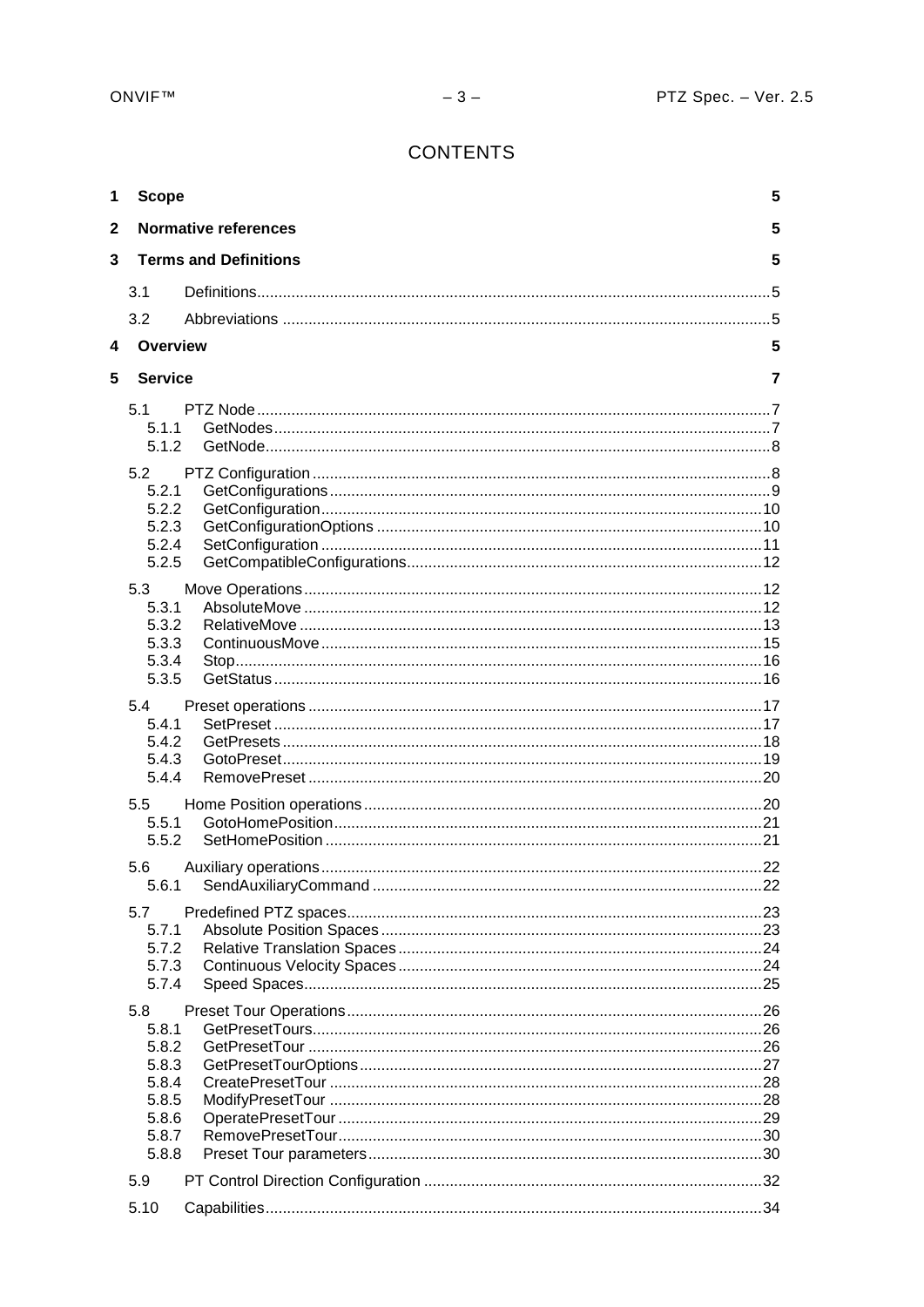# **CONTENTS**

| 1                       | <b>Scope</b>   |                              | 5 |
|-------------------------|----------------|------------------------------|---|
| $\mathbf{2}$            |                | <b>Normative references</b>  | 5 |
| $\overline{3}$          |                | <b>Terms and Definitions</b> | 5 |
|                         | 3.1            |                              |   |
|                         | 3.2            |                              |   |
| $\overline{\mathbf{4}}$ | Overview       |                              | 5 |
| 5                       | <b>Service</b> |                              | 7 |
|                         |                |                              |   |
|                         | 5.1            |                              |   |
|                         | 5.1.1<br>5.1.2 |                              |   |
|                         |                |                              |   |
|                         | 5.2            |                              |   |
|                         | 5.2.1<br>5.2.2 |                              |   |
|                         | 5.2.3          |                              |   |
|                         | 5.2.4          |                              |   |
|                         | 5.2.5          |                              |   |
|                         | 5.3            |                              |   |
|                         | 5.3.1          |                              |   |
|                         | 5.3.2          |                              |   |
|                         | 5.3.3          |                              |   |
|                         | 5.3.4          |                              |   |
|                         | 5.3.5          |                              |   |
|                         | 5.4            |                              |   |
|                         | 5.4.1          |                              |   |
|                         | 5.4.2          |                              |   |
|                         | 5.4.3<br>5.4.4 |                              |   |
|                         |                |                              |   |
|                         | 5.5            |                              |   |
|                         | 5.5.1          |                              |   |
|                         | 5.5.2          |                              |   |
|                         | 5.6            |                              |   |
|                         |                |                              |   |
|                         | 5.7            |                              |   |
|                         | 5.7.1          |                              |   |
|                         | 5.7.2          |                              |   |
|                         | 5.7.3          |                              |   |
|                         | 5.7.4          |                              |   |
|                         | 5.8            |                              |   |
|                         | 5.8.1          |                              |   |
|                         | 5.8.2<br>5.8.3 |                              |   |
|                         | 5.8.4          |                              |   |
|                         | 5.8.5          |                              |   |
|                         | 5.8.6          |                              |   |
|                         | 5.8.7          |                              |   |
|                         | 5.8.8          |                              |   |
|                         | 5.9            |                              |   |
|                         | 5.10           |                              |   |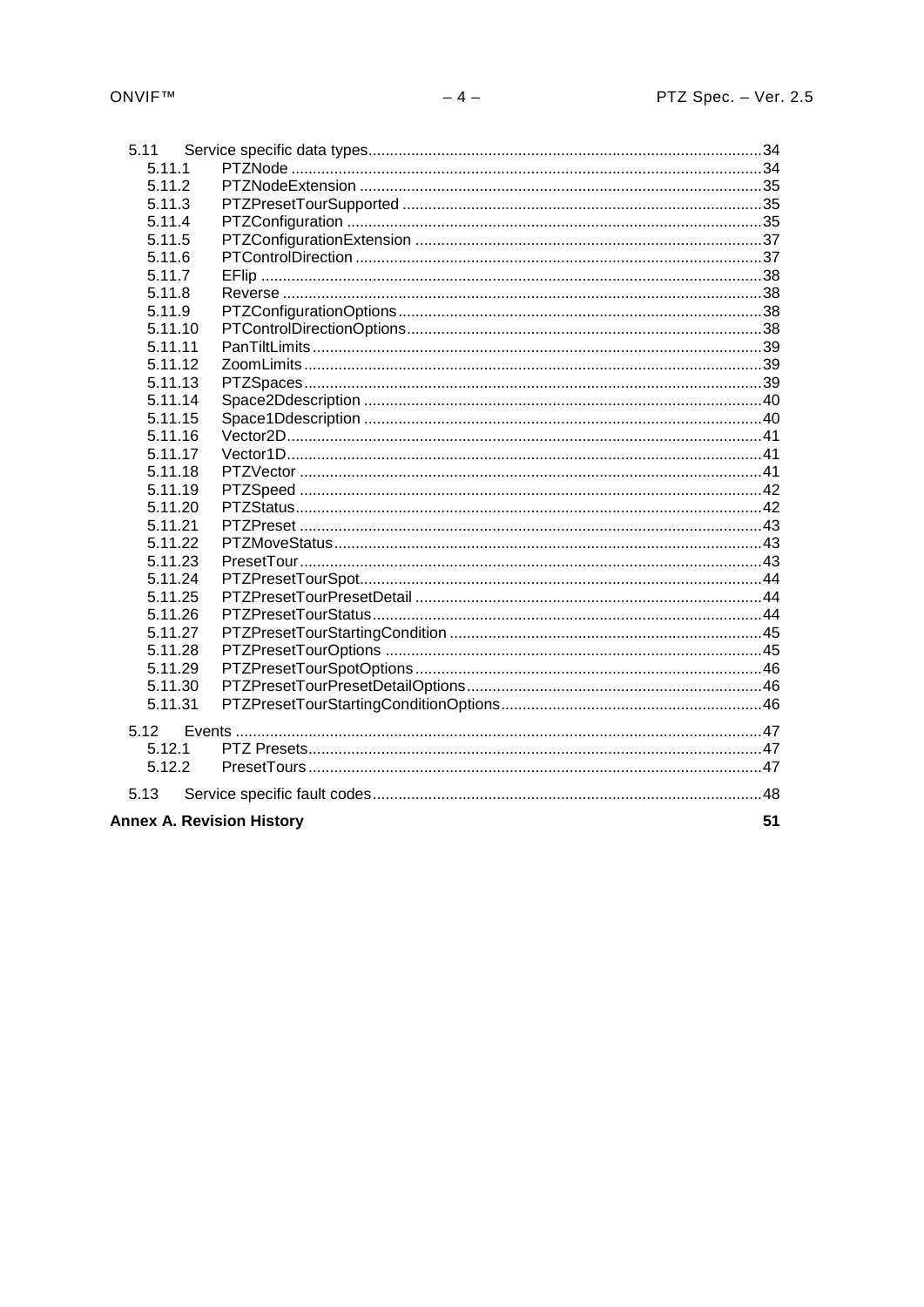| 5.11                                   |  |  |
|----------------------------------------|--|--|
| 5.11.1                                 |  |  |
| 5.11.2                                 |  |  |
| 5.11.3                                 |  |  |
| 5.11.4                                 |  |  |
| 5.11.5                                 |  |  |
| 5.11.6                                 |  |  |
| 5.11.7                                 |  |  |
| 5.11.8                                 |  |  |
| 5.11.9                                 |  |  |
| 5.11.10                                |  |  |
| 5.11.11                                |  |  |
| 5.11.12                                |  |  |
| 5.11.13                                |  |  |
| 5.11.14                                |  |  |
| 5.11.15                                |  |  |
| 5.11.16                                |  |  |
| 5.11.17                                |  |  |
| 5.11.18                                |  |  |
| 5.11.19                                |  |  |
| 5.11.20                                |  |  |
| 5.11.21                                |  |  |
| 5.11.22                                |  |  |
| 5.11.23                                |  |  |
| 5.11.24                                |  |  |
| 5.11.25                                |  |  |
| 5.11.26                                |  |  |
| 5.11.27                                |  |  |
| 5.11.28                                |  |  |
| 5.11.29                                |  |  |
| 5.11.30                                |  |  |
| 5.11.31                                |  |  |
| 5.12                                   |  |  |
| 5.12.1                                 |  |  |
| 5.12.2                                 |  |  |
|                                        |  |  |
| 5.13                                   |  |  |
| <b>Annex A. Revision History</b><br>51 |  |  |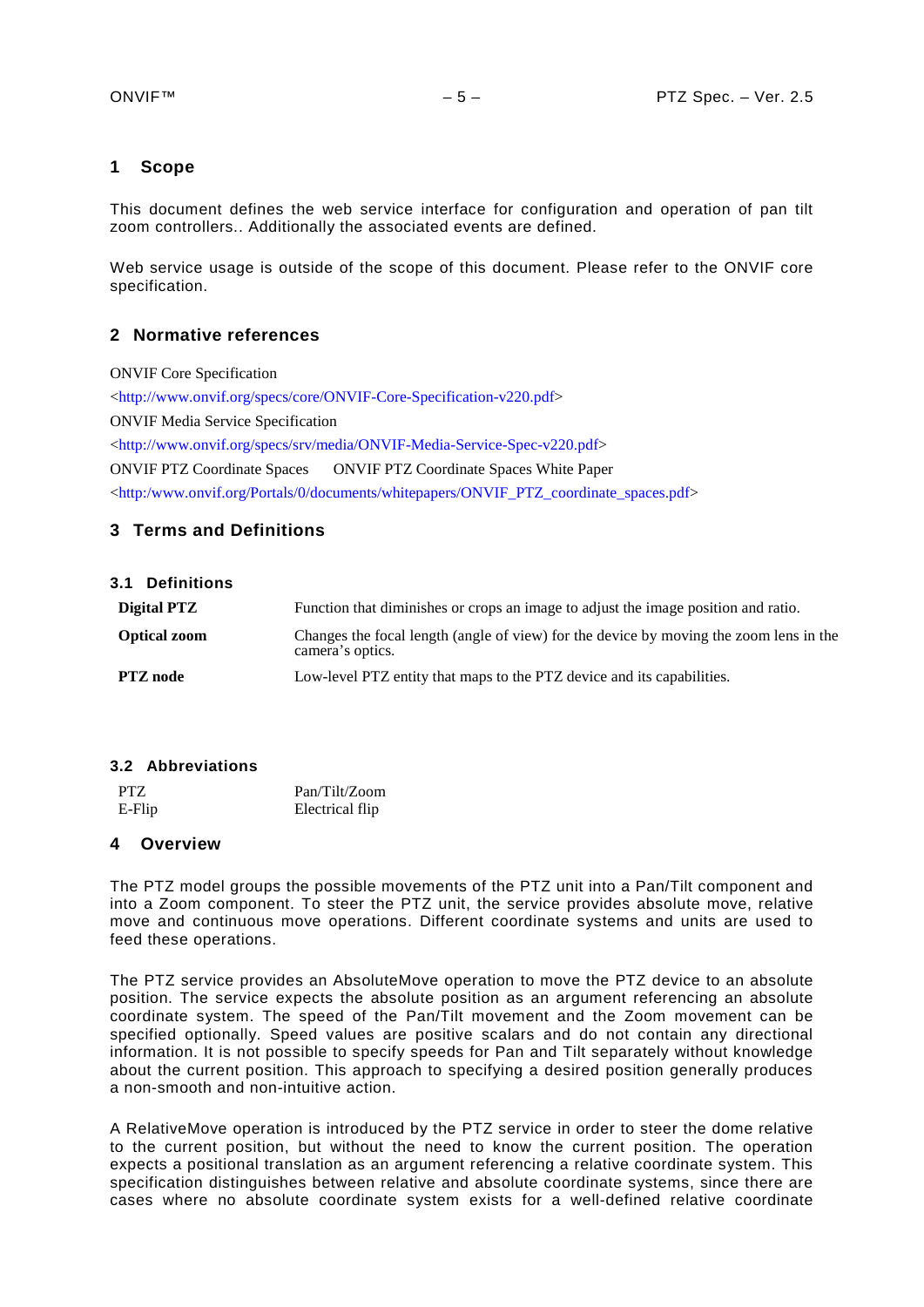# <span id="page-4-0"></span>**1 Scope**

This document defines the web service interface for configuration and operation of pan tilt zoom controllers.. Additionally the associated events are defined.

Web service usage is outside of the scope of this document. Please refer to the ONVIF core specification.

# <span id="page-4-1"></span>**2 Normative references**

ONVIF Core Specification

[<http://www.onvif.org/specs/core/ONVIF-Core-Specification-v220.pdf>](http://www.onvif.org/specs/core/ONVIF-Core-Specification-v220.pdf) ONVIF Media Service Specification [<http://www.onvif.org/specs/srv/media/ONVIF-Media-Service-Spec-v220.pdf>](http://www.onvif.org/specs/srv/media/ONVIF-Media-Service-Spec-v220.pdf) ONVIF PTZ Coordinate Spaces ONVIF PTZ Coordinate Spaces White Paper [<http:/www.onvif.org/Portals/0/documents/whitepapers/ONVIF\\_PTZ\\_coordinate\\_spaces.pdf>](http://www.onvif.org/Portals/0/documents/whitepapers/ONVIF_PTZ_coordinate_spaces.pdf)

# <span id="page-4-2"></span>**3 Terms and Definitions**

<span id="page-4-3"></span>

| <b>Definitions</b><br>3.1 |  |
|---------------------------|--|
|---------------------------|--|

| Digital PTZ         | Function that diminishes or crops an image to adjust the image position and ratio.                         |
|---------------------|------------------------------------------------------------------------------------------------------------|
| <b>Optical zoom</b> | Changes the focal length (angle of view) for the device by moving the zoom lens in the<br>camera's optics. |
| <b>PTZ</b> node     | Low-level PTZ entity that maps to the PTZ device and its capabilities.                                     |

#### <span id="page-4-4"></span>**3.2 Abbreviations**

| <b>PTZ</b> | Pan/Tilt/Zoom   |
|------------|-----------------|
| E-Flip     | Electrical flip |

# <span id="page-4-5"></span>**4 Overview**

The PTZ model groups the possible movements of the PTZ unit into a Pan/Tilt component and into a Zoom component. To steer the PTZ unit, the service provides absolute move, relative move and continuous move operations. Different coordinate systems and units are used to feed these operations.

The PTZ service provides an AbsoluteMove operation to move the PTZ device to an absolute position. The service expects the absolute position as an argument referencing an absolute coordinate system. The speed of the Pan/Tilt movement and the Zoom movement can be specified optionally. Speed values are positive scalars and do not contain any directional information. It is not possible to specify speeds for Pan and Tilt separately without knowledge about the current position. This approach to specifying a desired position generally produces a non-smooth and non-intuitive action.

A RelativeMove operation is introduced by the PTZ service in order to steer the dome relative to the current position, but without the need to know the current position. The operation expects a positional translation as an argument referencing a relative coordinate system. This specification distinguishes between relative and absolute coordinate systems, since there are cases where no absolute coordinate system exists for a well-defined relative coordinate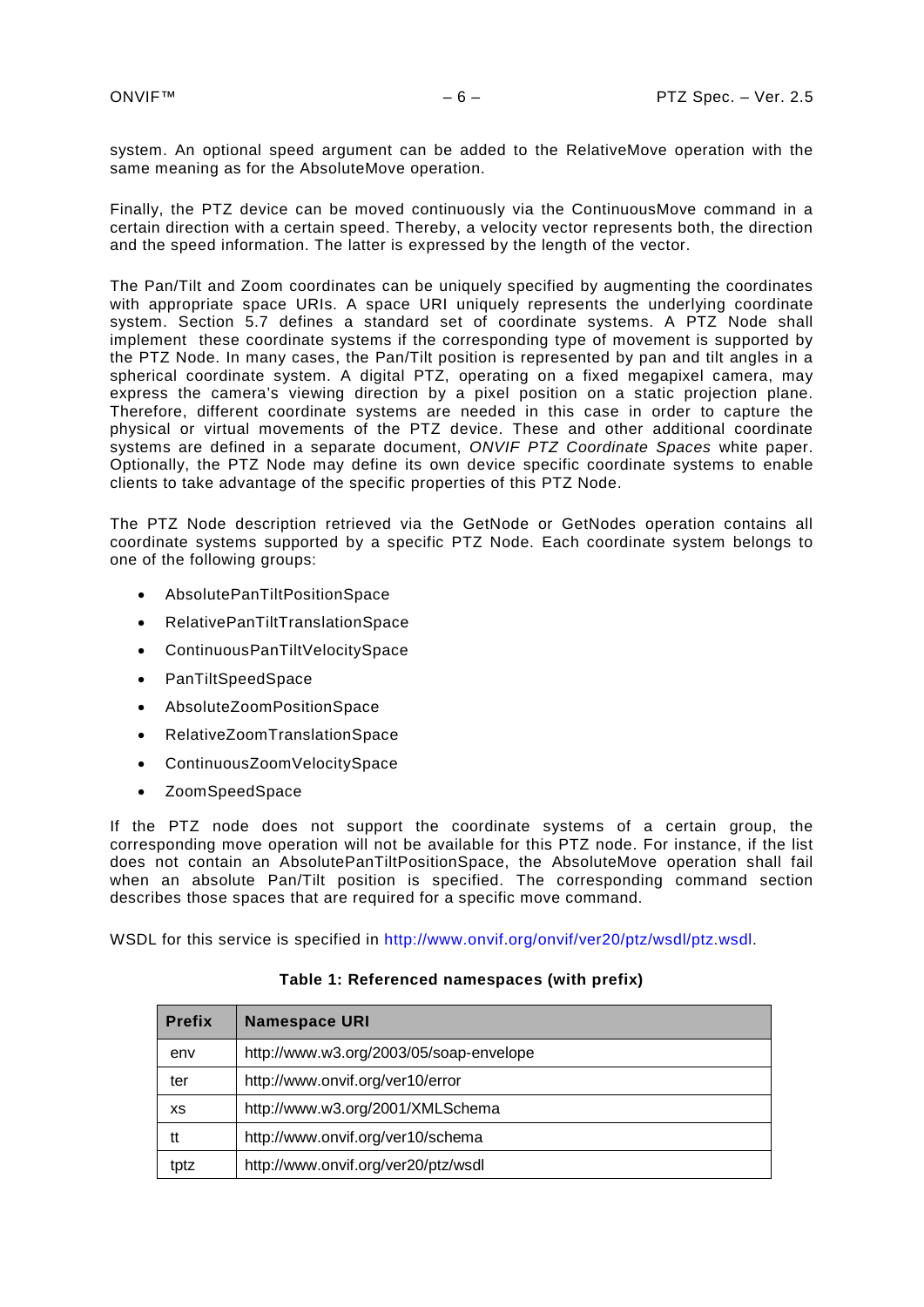system. An optional speed argument can be added to the RelativeMove operation with the same meaning as for the AbsoluteMove operation.

Finally, the PTZ device can be moved continuously via the ContinuousMove command in a certain direction with a certain speed. Thereby, a velocity vector represents both, the direction and the speed information. The latter is expressed by the length of the vector.

The Pan/Tilt and Zoom coordinates can be uniquely specified by augmenting the coordinates with appropriate space URIs. A space URI uniquely represents the underlying coordinate system. Section [5.7](#page-22-0) defines a standard set of coordinate systems. A PTZ Node shall implement these coordinate systems if the corresponding type of movement is supported by the PTZ Node. In many cases, the Pan/Tilt position is represented by pan and tilt angles in a spherical coordinate system. A digital PTZ, operating on a fixed megapixel camera, may express the camera's viewing direction by a pixel position on a static projection plane. Therefore, different coordinate systems are needed in this case in order to capture the physical or virtual movements of the PTZ device. These and other additional coordinate systems are defined in a separate document, *ONVIF PTZ Coordinate Spaces* white paper. Optionally, the PTZ Node may define its own device specific coordinate systems to enable clients to take advantage of the specific properties of this PTZ Node.

The PTZ Node description retrieved via the GetNode or GetNodes operation contains all coordinate systems supported by a specific PTZ Node. Each coordinate system belongs to one of the following groups:

- AbsolutePanTiltPositionSpace
- RelativePanTiltTranslationSpace
- ContinuousPanTiltVelocitySpace
- PanTiltSpeedSpace
- AbsoluteZoomPositionSpace
- RelativeZoomTranslationSpace
- ContinuousZoomVelocitySpace
- ZoomSpeedSpace

If the PTZ node does not support the coordinate systems of a certain group, the corresponding move operation will not be available for this PTZ node. For instance, if the list does not contain an AbsolutePanTiltPositionSpace, the AbsoluteMove operation shall fail when an absolute Pan/Tilt position is specified. The corresponding command section describes those spaces that are required for a specific move command.

WSDL for this service is specified in [http://www.onvif.org/onvif/ver20/ptz/wsdl/ptz.wsdl.](http://www.onvif.org/onvif/ver20/ptz/wsdl/ptz.wsdl)

| <b>Prefix</b> | <b>Namespace URI</b>                    |
|---------------|-----------------------------------------|
| env           | http://www.w3.org/2003/05/soap-envelope |
| ter           | http://www.onvif.org/ver10/error        |
| XS            | http://www.w3.org/2001/XMLSchema        |
| tt            | http://www.onvif.org/ver10/schema       |
| tptz          | http://www.onvif.org/ver20/ptz/wsdl     |

#### **Table 1: Referenced namespaces (with prefix)**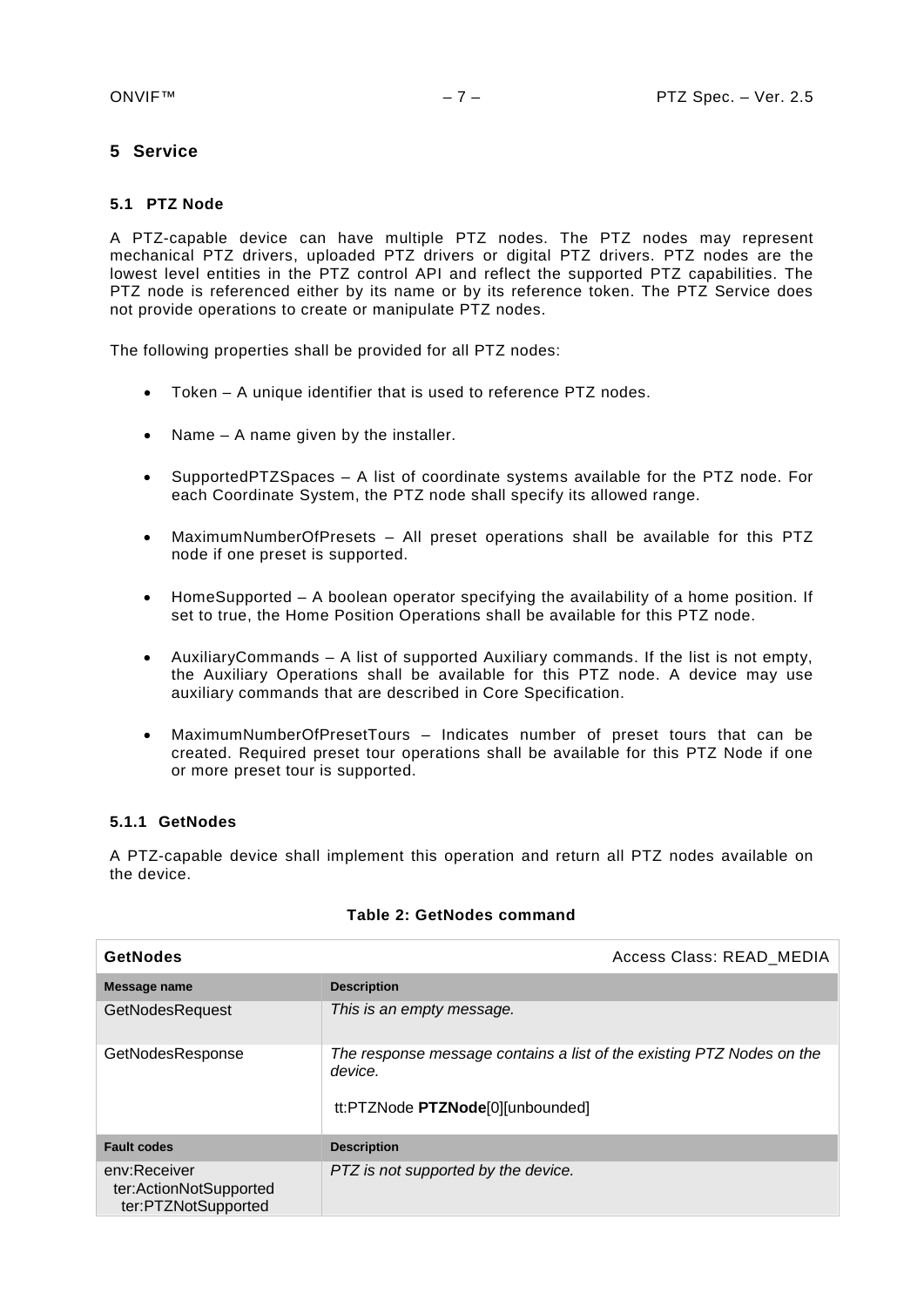# <span id="page-6-0"></span>**5 Service**

# <span id="page-6-1"></span>**5.1 PTZ Node**

A PTZ-capable device can have multiple PTZ nodes. The PTZ nodes may represent mechanical PTZ drivers, uploaded PTZ drivers or digital PTZ drivers. PTZ nodes are the lowest level entities in the PTZ control API and reflect the supported PTZ capabilities. The PTZ node is referenced either by its name or by its reference token. The PTZ Service does not provide operations to create or manipulate PTZ nodes.

The following properties shall be provided for all PTZ nodes:

- Token A unique identifier that is used to reference PTZ nodes.
- Name A name given by the installer.
- SupportedPTZSpaces A list of coordinate systems available for the PTZ node. For each Coordinate System, the PTZ node shall specify its allowed range.
- MaximumNumberOfPresets All preset operations shall be available for this PTZ node if one preset is supported.
- HomeSupported A boolean operator specifying the availability of a home position. If set to true, the Home Position Operations shall be available for this PTZ node.
- AuxiliaryCommands A list of supported Auxiliary commands. If the list is not empty, the Auxiliary Operations shall be available for this PTZ node. A device may use auxiliary commands that are described in Core Specification.
- MaximumNumberOfPresetTours Indicates number of preset tours that can be created. Required preset tour operations shall be available for this PTZ Node if one or more preset tour is supported.

# <span id="page-6-2"></span>**5.1.1 GetNodes**

A PTZ-capable device shall implement this operation and return all PTZ nodes available on the device.

| <b>GetNodes</b>                                               | Access Class: READ_MEDIA                                                                                             |
|---------------------------------------------------------------|----------------------------------------------------------------------------------------------------------------------|
| Message name                                                  | <b>Description</b>                                                                                                   |
| <b>GetNodesRequest</b>                                        | This is an empty message.                                                                                            |
| GetNodesResponse                                              | The response message contains a list of the existing PTZ Nodes on the<br>device.<br>tt:PTZNode PTZNode[0][unbounded] |
| <b>Fault codes</b>                                            | <b>Description</b>                                                                                                   |
| env:Receiver<br>ter:ActionNotSupported<br>ter:PTZNotSupported | PTZ is not supported by the device.                                                                                  |

#### **Table 2: GetNodes command**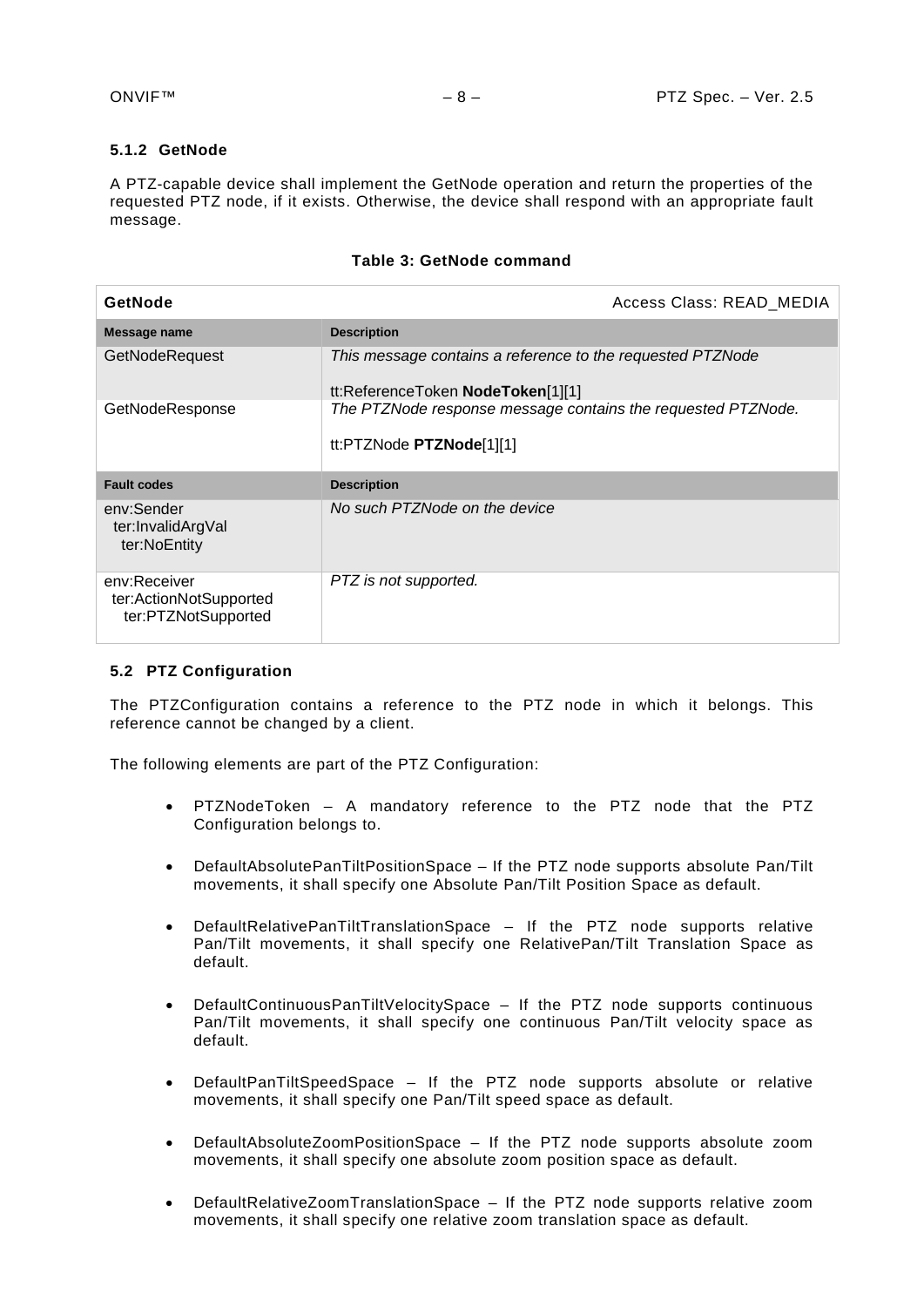# <span id="page-7-0"></span>**5.1.2 GetNode**

A PTZ-capable device shall implement the GetNode operation and return the properties of the requested PTZ node, if it exists. Otherwise, the device shall respond with an appropriate fault message.

|  |  |  | Table 3: GetNode command |
|--|--|--|--------------------------|
|--|--|--|--------------------------|

| GetNode                                                       | Access Class: READ MEDIA                                                                        |
|---------------------------------------------------------------|-------------------------------------------------------------------------------------------------|
| Message name                                                  | <b>Description</b>                                                                              |
| GetNodeRequest                                                | This message contains a reference to the requested PTZNode<br>tt:ReferenceToken NodeToken[1][1] |
| GetNodeResponse                                               | The PTZNode response message contains the requested PTZNode.<br>tt:PTZNode $PIZNode[1][1]$      |
| <b>Fault codes</b>                                            | <b>Description</b>                                                                              |
| env:Sender<br>ter:InvalidArgVal<br>ter:NoEntity               | No such PTZNode on the device                                                                   |
| env:Receiver<br>ter:ActionNotSupported<br>ter:PTZNotSupported | PTZ is not supported.                                                                           |

#### <span id="page-7-1"></span>**5.2 PTZ Configuration**

The PTZConfiguration contains a reference to the PTZ node in which it belongs. This reference cannot be changed by a client.

The following elements are part of the PTZ Configuration:

- PTZNodeToken A mandatory reference to the PTZ node that the PTZ Configuration belongs to.
- DefaultAbsolutePanTiltPositionSpace If the PTZ node supports absolute Pan/Tilt movements, it shall specify one Absolute Pan/Tilt Position Space as default.
- DefaultRelativePanTiltTranslationSpace If the PTZ node supports relative Pan/Tilt movements, it shall specify one RelativePan/Tilt Translation Space as default.
- DefaultContinuousPanTiltVelocitySpace If the PTZ node supports continuous Pan/Tilt movements, it shall specify one continuous Pan/Tilt velocity space as default.
- DefaultPanTiltSpeedSpace If the PTZ node supports absolute or relative movements, it shall specify one Pan/Tilt speed space as default.
- DefaultAbsoluteZoomPositionSpace If the PTZ node supports absolute zoom movements, it shall specify one absolute zoom position space as default.
- DefaultRelativeZoomTranslationSpace If the PTZ node supports relative zoom movements, it shall specify one relative zoom translation space as default.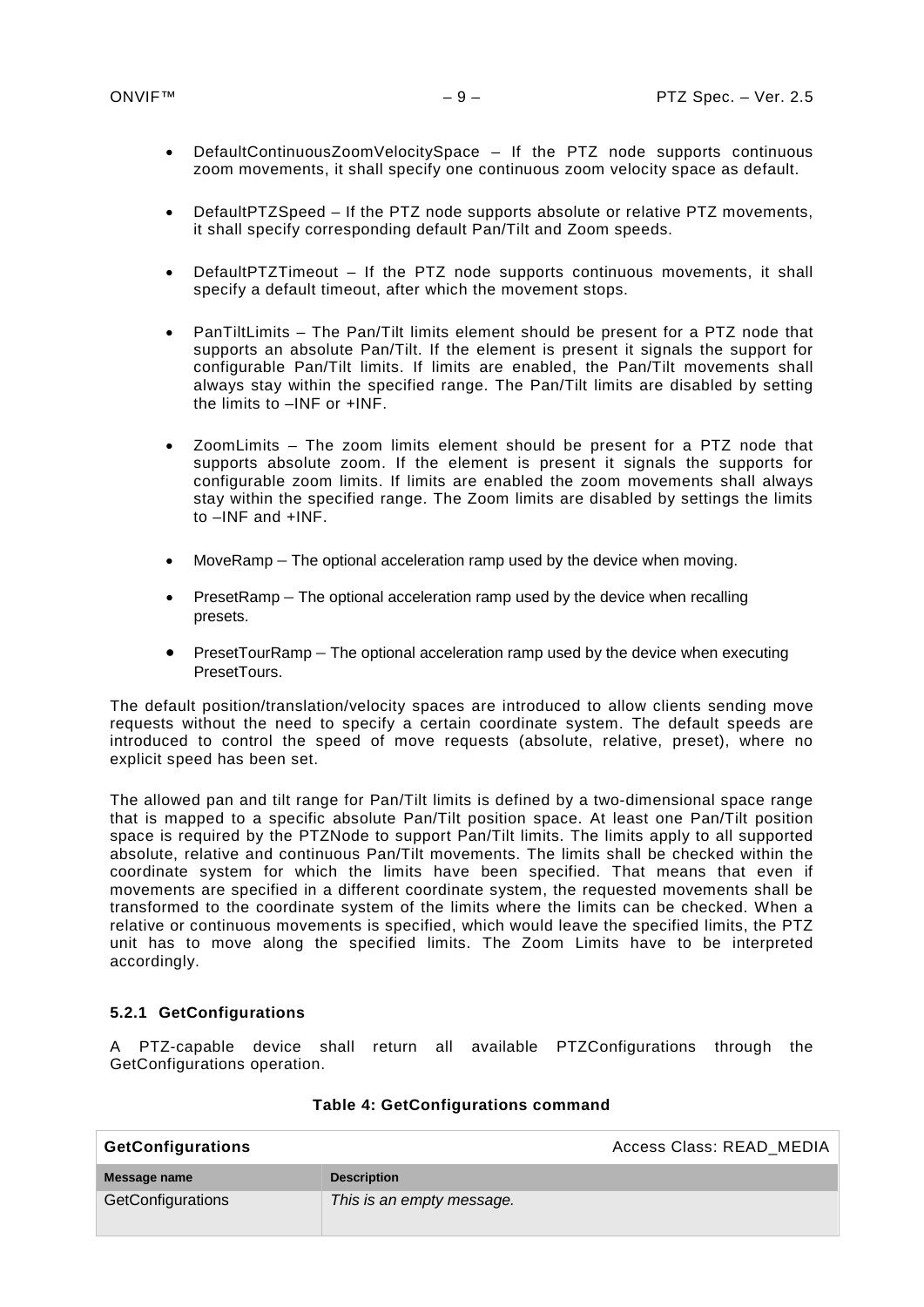- DefaultContinuousZoomVelocitySpace If the PTZ node supports continuous zoom movements, it shall specify one continuous zoom velocity space as default.
- DefaultPTZSpeed If the PTZ node supports absolute or relative PTZ movements, it shall specify corresponding default Pan/Tilt and Zoom speeds.
- DefaultPTZTimeout If the PTZ node supports continuous movements, it shall specify a default timeout, after which the movement stops.
- PanTiltLimits The Pan/Tilt limits element should be present for a PTZ node that supports an absolute Pan/Tilt. If the element is present it signals the support for configurable Pan/Tilt limits. If limits are enabled, the Pan/Tilt movements shall always stay within the specified range. The Pan/Tilt limits are disabled by setting the limits to –INF or +INF.
- ZoomLimits The zoom limits element should be present for a PTZ node that supports absolute zoom. If the element is present it signals the supports for configurable zoom limits. If limits are enabled the zoom movements shall always stay within the specified range. The Zoom limits are disabled by settings the limits to –INF and +INF.
- MoveRamp The optional acceleration ramp used by the device when moving.
- PresetRamp The optional acceleration ramp used by the device when recalling presets.
- PresetTourRamp The optional acceleration ramp used by the device when executing PresetTours.

The default position/translation/velocity spaces are introduced to allow clients sending move requests without the need to specify a certain coordinate system. The default speeds are introduced to control the speed of move requests (absolute, relative, preset), where no explicit speed has been set.

The allowed pan and tilt range for Pan/Tilt limits is defined by a two-dimensional space range that is mapped to a specific absolute Pan/Tilt position space. At least one Pan/Tilt position space is required by the PTZNode to support Pan/Tilt limits. The limits apply to all supported absolute, relative and continuous Pan/Tilt movements. The limits shall be checked within the coordinate system for which the limits have been specified. That means that even if movements are specified in a different coordinate system, the requested movements shall be transformed to the coordinate system of the limits where the limits can be checked. When a relative or continuous movements is specified, which would leave the specified limits, the PTZ unit has to move along the specified limits. The Zoom Limits have to be interpreted accordingly.

# <span id="page-8-0"></span>**5.2.1 GetConfigurations**

A PTZ-capable device shall return all available PTZConfigurations through the GetConfigurations operation.

| <b>GetConfigurations</b> |                           | Access Class: READ MEDIA |
|--------------------------|---------------------------|--------------------------|
| Message name             | <b>Description</b>        |                          |
| GetConfigurations        | This is an empty message. |                          |

#### **Table 4: GetConfigurations command**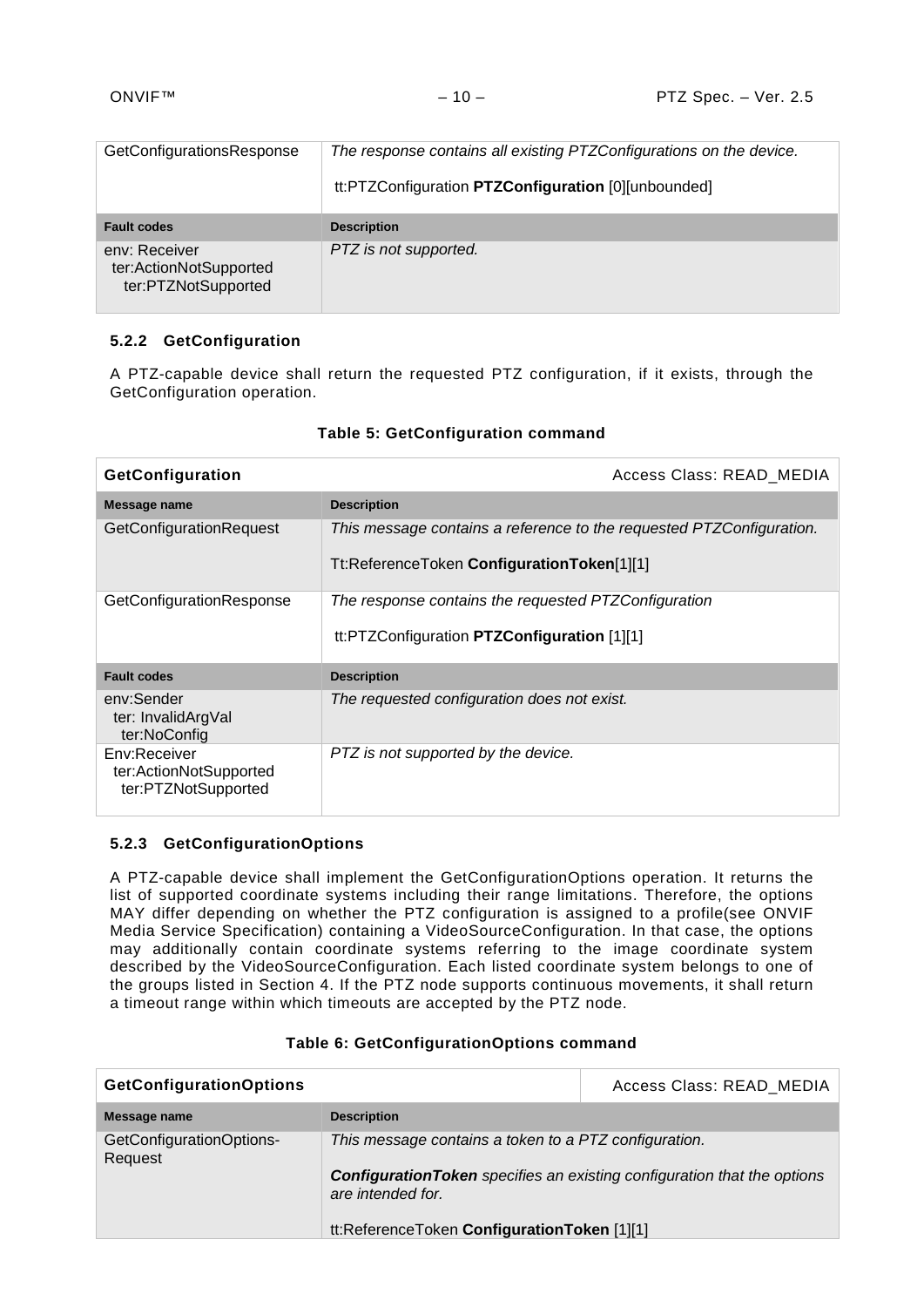| GetConfigurationsResponse                                      | The response contains all existing PTZConfigurations on the device.<br>tt:PTZConfiguration PTZConfiguration [0][unbounded] |
|----------------------------------------------------------------|----------------------------------------------------------------------------------------------------------------------------|
| <b>Fault codes</b>                                             | <b>Description</b>                                                                                                         |
| env: Receiver<br>ter:ActionNotSupported<br>ter:PTZNotSupported | PTZ is not supported.                                                                                                      |

# <span id="page-9-0"></span>**5.2.2 GetConfiguration**

A PTZ-capable device shall return the requested PTZ configuration, if it exists, through the GetConfiguration operation.

| GetConfiguration                                              | Access Class: READ MEDIA                                                                                           |
|---------------------------------------------------------------|--------------------------------------------------------------------------------------------------------------------|
| Message name                                                  | <b>Description</b>                                                                                                 |
| GetConfigurationRequest                                       | This message contains a reference to the requested PTZConfiguration.<br>Tt:ReferenceToken ConfigurationToken[1][1] |
| GetConfigurationResponse                                      | The response contains the requested PTZConfiguration<br>tt:PTZConfiguration PTZConfiguration [1][1]                |
| <b>Fault codes</b>                                            | <b>Description</b>                                                                                                 |
| env:Sender<br>ter: InvalidArgVal<br>ter:NoConfig              | The requested configuration does not exist.                                                                        |
| Env:Receiver<br>ter:ActionNotSupported<br>ter:PTZNotSupported | PTZ is not supported by the device.                                                                                |

# **Table 5: GetConfiguration command**

# <span id="page-9-1"></span>**5.2.3 GetConfigurationOptions**

A PTZ-capable device shall implement the GetConfigurationOptions operation. It returns the list of supported coordinate systems including their range limitations. Therefore, the options MAY differ depending on whether the PTZ configuration is assigned to a profile(see ONVIF Media Service Specification) containing a VideoSourceConfiguration. In that case, the options may additionally contain coordinate systems referring to the image coordinate system described by the VideoSourceConfiguration. Each listed coordinate system belongs to one of the groups listed in Section [4.](#page-4-5) If the PTZ node supports continuous movements, it shall return a timeout range within which timeouts are accepted by the PTZ node.

| <b>GetConfigurationOptions</b>      |                                                                                                      | Access Class: READ_MEDIA |
|-------------------------------------|------------------------------------------------------------------------------------------------------|--------------------------|
| Message name                        | <b>Description</b>                                                                                   |                          |
| GetConfigurationOptions-<br>Request | This message contains a token to a PTZ configuration.                                                |                          |
|                                     | <b>Configuration Token</b> specifies an existing configuration that the options<br>are intended for. |                          |
|                                     | tt:ReferenceToken ConfigurationToken [1][1]                                                          |                          |

# **Table 6: GetConfigurationOptions command**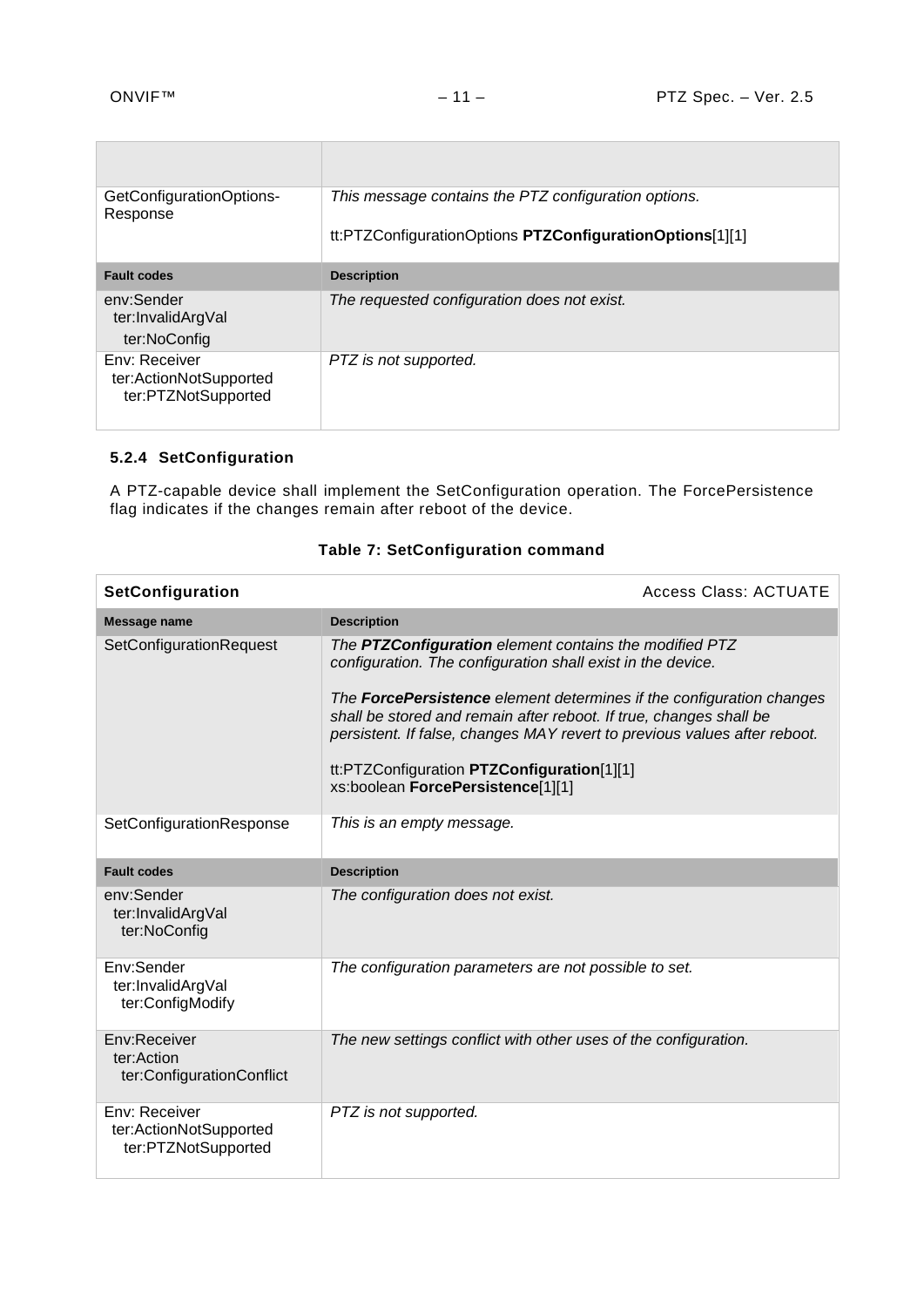'n

| GetConfigurationOptions-<br>Response                           | This message contains the PTZ configuration options.<br>tt:PTZConfigurationOptions PTZConfigurationOptions[1][1] |
|----------------------------------------------------------------|------------------------------------------------------------------------------------------------------------------|
| <b>Fault codes</b>                                             | <b>Description</b>                                                                                               |
| env:Sender<br>ter:InvalidArgVal<br>ter:NoConfig                | The requested configuration does not exist.                                                                      |
| Env: Receiver<br>ter:ActionNotSupported<br>ter:PTZNotSupported | PTZ is not supported.                                                                                            |

# <span id="page-10-0"></span>**5.2.4 SetConfiguration**

A PTZ-capable device shall implement the SetConfiguration operation. The ForcePersistence flag indicates if the changes remain after reboot of the device.

| SetConfiguration                                               | <b>Access Class: ACTUATE</b>                                                                                                                                                                                                                                                                                                                                                                                                        |
|----------------------------------------------------------------|-------------------------------------------------------------------------------------------------------------------------------------------------------------------------------------------------------------------------------------------------------------------------------------------------------------------------------------------------------------------------------------------------------------------------------------|
| <b>Message name</b>                                            | <b>Description</b>                                                                                                                                                                                                                                                                                                                                                                                                                  |
| SetConfigurationRequest                                        | The PTZConfiguration element contains the modified PTZ<br>configuration. The configuration shall exist in the device.<br>The ForcePersistence element determines if the configuration changes<br>shall be stored and remain after reboot. If true, changes shall be<br>persistent. If false, changes MAY revert to previous values after reboot.<br>tt:PTZConfiguration PTZConfiguration[1][1]<br>xs:boolean ForcePersistence[1][1] |
| SetConfigurationResponse                                       | This is an empty message.                                                                                                                                                                                                                                                                                                                                                                                                           |
| <b>Fault codes</b>                                             | <b>Description</b>                                                                                                                                                                                                                                                                                                                                                                                                                  |
| env:Sender<br>ter:InvalidArgVal<br>ter:NoConfig                | The configuration does not exist.                                                                                                                                                                                                                                                                                                                                                                                                   |
| Env:Sender<br>ter:InvalidArgVal<br>ter:ConfigModify            | The configuration parameters are not possible to set.                                                                                                                                                                                                                                                                                                                                                                               |
| Env:Receiver<br>ter:Action<br>ter:ConfigurationConflict        | The new settings conflict with other uses of the configuration.                                                                                                                                                                                                                                                                                                                                                                     |
| Env: Receiver<br>ter:ActionNotSupported<br>ter:PTZNotSupported | PTZ is not supported.                                                                                                                                                                                                                                                                                                                                                                                                               |

# **Table 7: SetConfiguration command**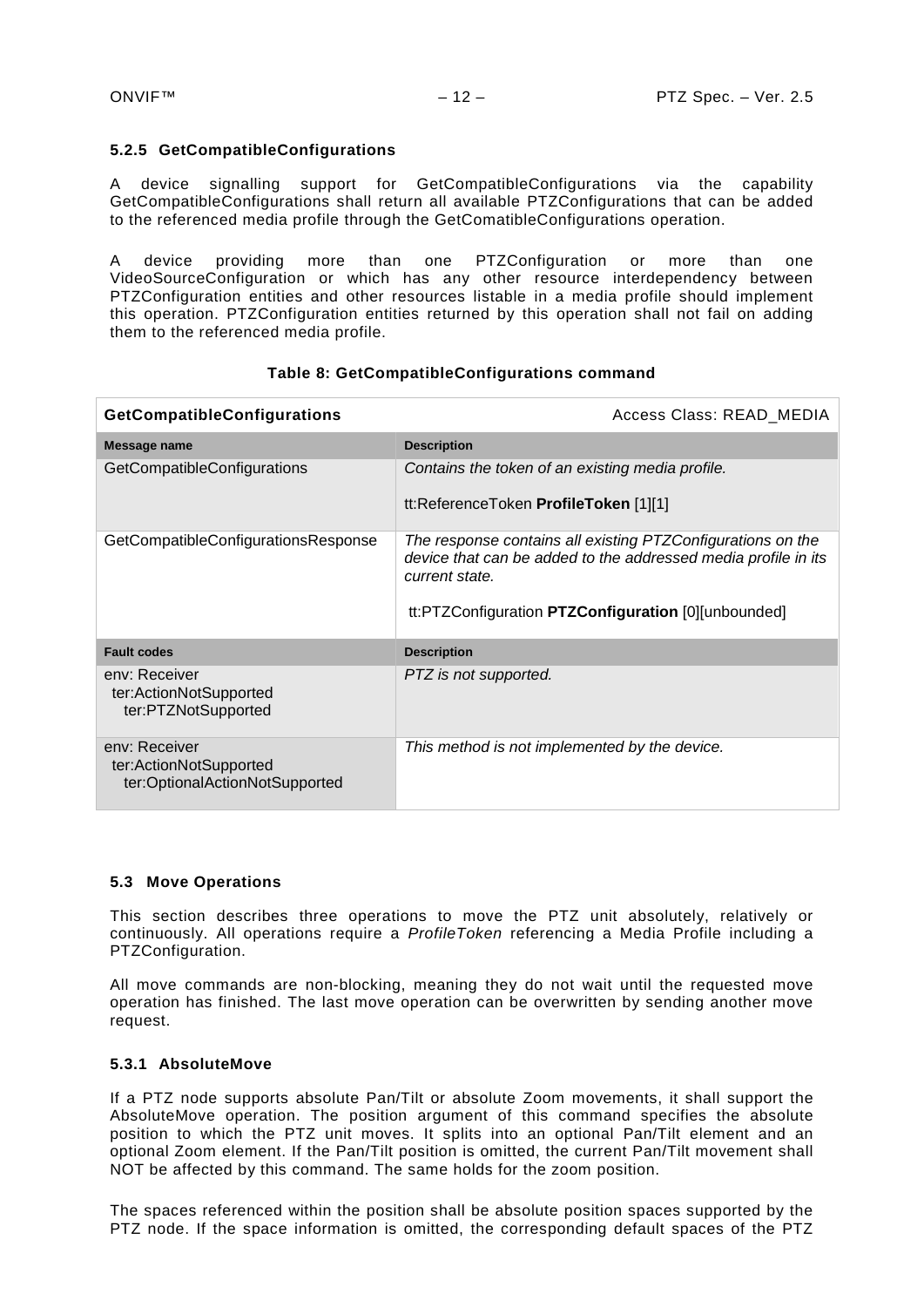# <span id="page-11-0"></span>**5.2.5 GetCompatibleConfigurations**

A device signalling support for GetCompatibleConfigurations via the capability GetCompatibleConfigurations shall return all available PTZConfigurations that can be added to the referenced media profile through the GetComatibleConfigurations operation.

A device providing more than one PTZConfiguration or more than one VideoSourceConfiguration or which has any other resource interdependency between PTZConfiguration entities and other resources listable in a media profile should implement this operation. PTZConfiguration entities returned by this operation shall not fail on adding them to the referenced media profile.

| <b>GetCompatibleConfigurations</b>                                        | Access Class: READ_MEDIA                                                                                                                                                                               |
|---------------------------------------------------------------------------|--------------------------------------------------------------------------------------------------------------------------------------------------------------------------------------------------------|
| Message name                                                              | <b>Description</b>                                                                                                                                                                                     |
| GetCompatibleConfigurations                                               | Contains the token of an existing media profile.<br>tt:ReferenceToken ProfileToken [1][1]                                                                                                              |
| GetCompatibleConfigurationsResponse                                       | The response contains all existing PTZConfigurations on the<br>device that can be added to the addressed media profile in its<br>current state.<br>tt:PTZConfiguration PTZConfiguration [0][unbounded] |
| <b>Fault codes</b>                                                        | <b>Description</b>                                                                                                                                                                                     |
| env: Receiver<br>ter:ActionNotSupported<br>ter:PTZNotSupported            | PTZ is not supported.                                                                                                                                                                                  |
| env: Receiver<br>ter:ActionNotSupported<br>ter:OptionalActionNotSupported | This method is not implemented by the device.                                                                                                                                                          |

# **Table 8: GetCompatibleConfigurations command**

# <span id="page-11-1"></span>**5.3 Move Operations**

This section describes three operations to move the PTZ unit absolutely, relatively or continuously. All operations require a *ProfileToken* referencing a Media Profile including a PTZConfiguration.

All move commands are non-blocking, meaning they do not wait until the requested move operation has finished. The last move operation can be overwritten by sending another move request.

# <span id="page-11-2"></span>**5.3.1 AbsoluteMove**

If a PTZ node supports absolute Pan/Tilt or absolute Zoom movements, it shall support the AbsoluteMove operation. The position argument of this command specifies the absolute position to which the PTZ unit moves. It splits into an optional Pan/Tilt element and an optional Zoom element. If the Pan/Tilt position is omitted, the current Pan/Tilt movement shall NOT be affected by this command. The same holds for the zoom position.

The spaces referenced within the position shall be absolute position spaces supported by the PTZ node. If the space information is omitted, the corresponding default spaces of the PTZ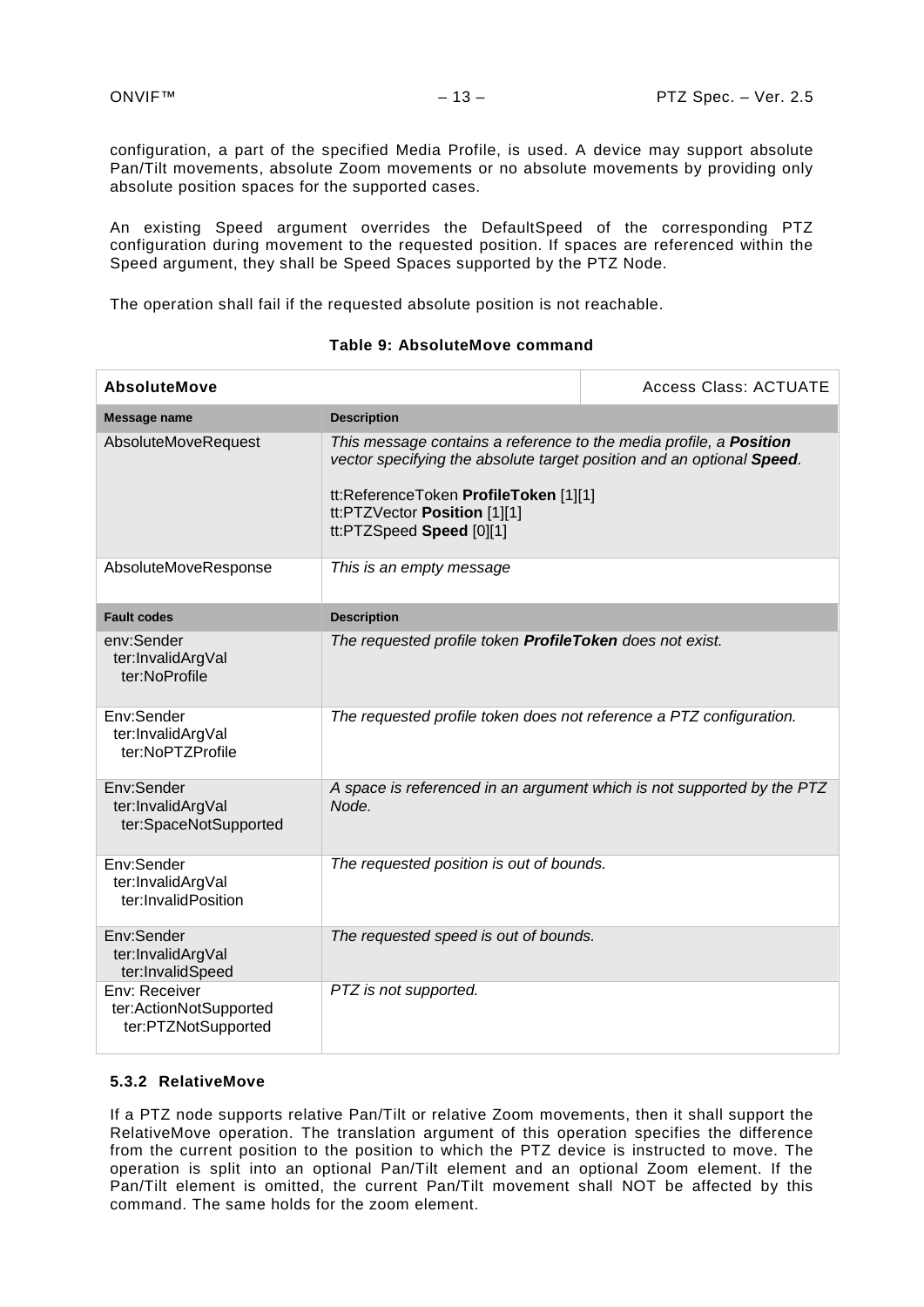configuration, a part of the specified Media Profile, is used. A device may support absolute Pan/Tilt movements, absolute Zoom movements or no absolute movements by providing only absolute position spaces for the supported cases.

An existing Speed argument overrides the DefaultSpeed of the corresponding PTZ configuration during movement to the requested position. If spaces are referenced within the Speed argument, they shall be Speed Spaces supported by the PTZ Node.

The operation shall fail if the requested absolute position is not reachable.

| <b>AbsoluteMove</b>                                            |                                                                                                                                                                                                                                                         | <b>Access Class: ACTUATE</b>                                           |
|----------------------------------------------------------------|---------------------------------------------------------------------------------------------------------------------------------------------------------------------------------------------------------------------------------------------------------|------------------------------------------------------------------------|
| <b>Message name</b>                                            | <b>Description</b>                                                                                                                                                                                                                                      |                                                                        |
| AbsoluteMoveRequest                                            | This message contains a reference to the media profile, a <b>Position</b><br>vector specifying the absolute target position and an optional Speed.<br>tt:ReferenceToken ProfileToken [1][1]<br>tt:PTZVector Position [1][1]<br>tt:PTZSpeed Speed [0][1] |                                                                        |
| AbsoluteMoveResponse                                           | This is an empty message                                                                                                                                                                                                                                |                                                                        |
| <b>Fault codes</b>                                             | <b>Description</b>                                                                                                                                                                                                                                      |                                                                        |
| env:Sender<br>ter:InvalidArgVal<br>ter:NoProfile               | The requested profile token ProfileToken does not exist.                                                                                                                                                                                                |                                                                        |
| Env:Sender<br>ter:InvalidArgVal<br>ter:NoPTZProfile            | The requested profile token does not reference a PTZ configuration.                                                                                                                                                                                     |                                                                        |
| Env:Sender<br>ter:InvalidArgVal<br>ter:SpaceNotSupported       | Node.                                                                                                                                                                                                                                                   | A space is referenced in an argument which is not supported by the PTZ |
| Env:Sender<br>ter:InvalidArgVal<br>ter:InvalidPosition         | The requested position is out of bounds.                                                                                                                                                                                                                |                                                                        |
| Env:Sender<br>ter:InvalidArgVal<br>ter:InvalidSpeed            | The requested speed is out of bounds.                                                                                                                                                                                                                   |                                                                        |
| Env: Receiver<br>ter:ActionNotSupported<br>ter:PTZNotSupported | PTZ is not supported.                                                                                                                                                                                                                                   |                                                                        |

#### **Table 9: AbsoluteMove command**

#### <span id="page-12-0"></span>**5.3.2 RelativeMove**

If a PTZ node supports relative Pan/Tilt or relative Zoom movements, then it shall support the RelativeMove operation. The translation argument of this operation specifies the difference from the current position to the position to which the PTZ device is instructed to move. The operation is split into an optional Pan/Tilt element and an optional Zoom element. If the Pan/Tilt element is omitted, the current Pan/Tilt movement shall NOT be affected by this command. The same holds for the zoom element.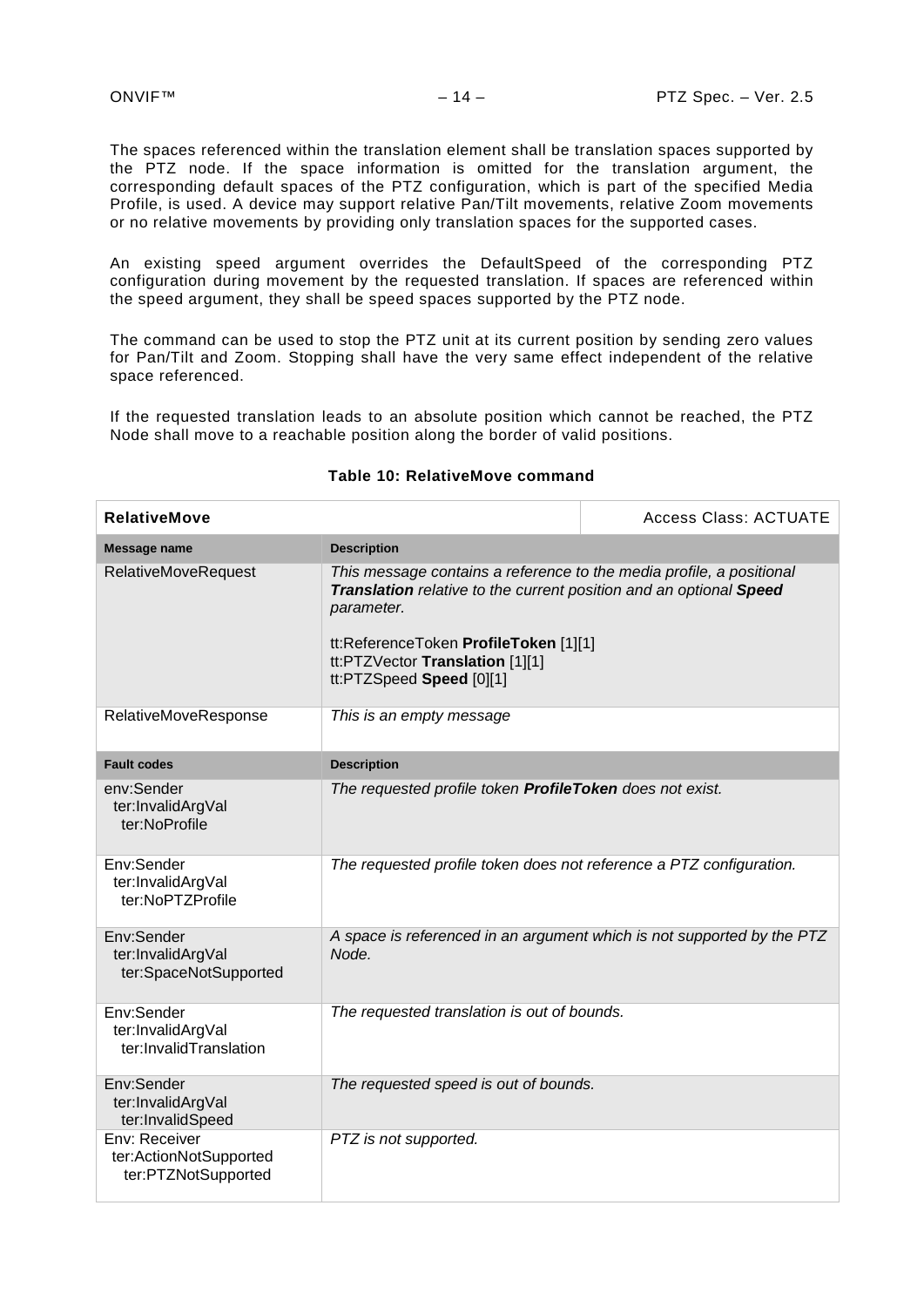The spaces referenced within the translation element shall be translation spaces supported by the PTZ node. If the space information is omitted for the translation argument, the corresponding default spaces of the PTZ configuration, which is part of the specified Media Profile, is used. A device may support relative Pan/Tilt movements, relative Zoom movements or no relative movements by providing only translation spaces for the supported cases.

An existing speed argument overrides the DefaultSpeed of the corresponding PTZ configuration during movement by the requested translation. If spaces are referenced within the speed argument, they shall be speed spaces supported by the PTZ node.

The command can be used to stop the PTZ unit at its current position by sending zero values for Pan/Tilt and Zoom. Stopping shall have the very same effect independent of the relative space referenced.

If the requested translation leads to an absolute position which cannot be reached, the PTZ Node shall move to a reachable position along the border of valid positions.

| <b>RelativeMove</b>                                            |                                                                                                                                                                                                                                                                  | <b>Access Class: ACTUATE</b>                                           |
|----------------------------------------------------------------|------------------------------------------------------------------------------------------------------------------------------------------------------------------------------------------------------------------------------------------------------------------|------------------------------------------------------------------------|
| <b>Message name</b>                                            | <b>Description</b>                                                                                                                                                                                                                                               |                                                                        |
| <b>RelativeMoveRequest</b>                                     | This message contains a reference to the media profile, a positional<br>Translation relative to the current position and an optional Speed<br>parameter.<br>tt:ReferenceToken ProfileToken [1][1]<br>tt:PTZVector Translation [1][1]<br>tt:PTZSpeed Speed [0][1] |                                                                        |
| RelativeMoveResponse                                           | This is an empty message                                                                                                                                                                                                                                         |                                                                        |
| <b>Fault codes</b>                                             | <b>Description</b>                                                                                                                                                                                                                                               |                                                                        |
| env:Sender<br>ter:InvalidArgVal<br>ter:NoProfile               | The requested profile token ProfileToken does not exist.                                                                                                                                                                                                         |                                                                        |
| Env:Sender<br>ter:InvalidArgVal<br>ter:NoPTZProfile            | The requested profile token does not reference a PTZ configuration.                                                                                                                                                                                              |                                                                        |
| Env:Sender<br>ter:InvalidArgVal<br>ter:SpaceNotSupported       | Node.                                                                                                                                                                                                                                                            | A space is referenced in an argument which is not supported by the PTZ |
| Env:Sender<br>ter:InvalidArgVal<br>ter:InvalidTranslation      | The requested translation is out of bounds.                                                                                                                                                                                                                      |                                                                        |
| Env:Sender<br>ter:InvalidArgVal<br>ter:InvalidSpeed            | The requested speed is out of bounds.                                                                                                                                                                                                                            |                                                                        |
| Env: Receiver<br>ter:ActionNotSupported<br>ter:PTZNotSupported | PTZ is not supported.                                                                                                                                                                                                                                            |                                                                        |

#### **Table 10: RelativeMove command**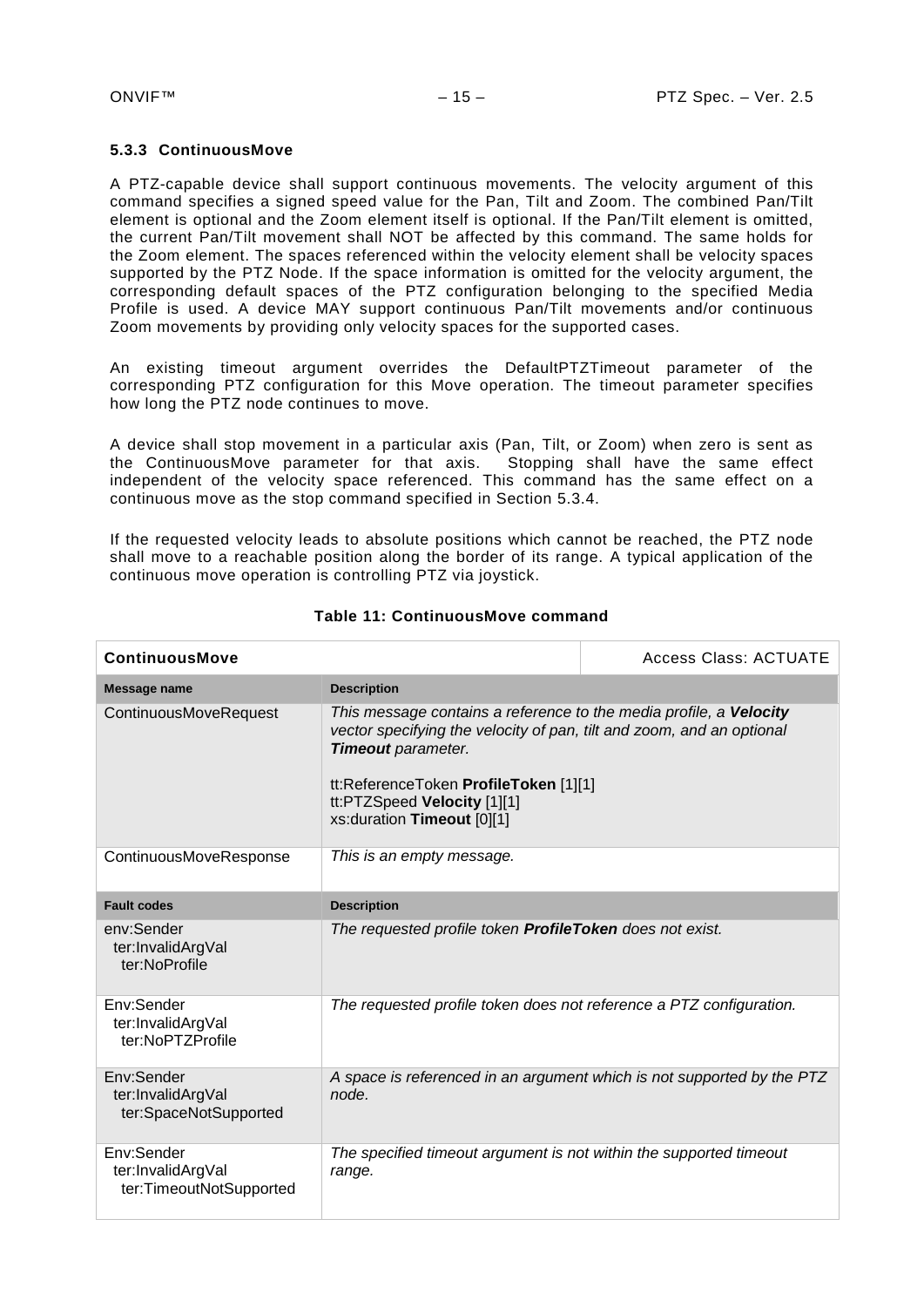# <span id="page-14-0"></span>**5.3.3 ContinuousMove**

A PTZ-capable device shall support continuous movements. The velocity argument of this command specifies a signed speed value for the Pan, Tilt and Zoom. The combined Pan/Tilt element is optional and the Zoom element itself is optional. If the Pan/Tilt element is omitted, the current Pan/Tilt movement shall NOT be affected by this command. The same holds for the Zoom element. The spaces referenced within the velocity element shall be velocity spaces supported by the PTZ Node. If the space information is omitted for the velocity argument, the corresponding default spaces of the PTZ configuration belonging to the specified Media Profile is used. A device MAY support continuous Pan/Tilt movements and/or continuous Zoom movements by providing only velocity spaces for the supported cases.

An existing timeout argument overrides the DefaultPTZTimeout parameter of the corresponding PTZ configuration for this Move operation. The timeout parameter specifies how long the PTZ node continues to move.

A device shall stop movement in a particular axis (Pan, Tilt, or Zoom) when zero is sent as the ContinuousMove parameter for that axis. Stopping shall have the same effect independent of the velocity space referenced. This command has the same effect on a continuous move as the stop command specified in Section [5.3.4.](#page-15-0)

If the requested velocity leads to absolute positions which cannot be reached, the PTZ node shall move to a reachable position along the border of its range. A typical application of the continuous move operation is controlling PTZ via joystick.

| <b>ContinuousMove</b>                                      |                                                                                                                                                                                                                                                                                | <b>Access Class: ACTUATE</b>                                           |
|------------------------------------------------------------|--------------------------------------------------------------------------------------------------------------------------------------------------------------------------------------------------------------------------------------------------------------------------------|------------------------------------------------------------------------|
| Message name                                               | <b>Description</b>                                                                                                                                                                                                                                                             |                                                                        |
| ContinuousMoveRequest                                      | This message contains a reference to the media profile, a Velocity<br>vector specifying the velocity of pan, tilt and zoom, and an optional<br><b>Timeout</b> parameter.<br>tt:ReferenceToken ProfileToken [1][1]<br>tt:PTZSpeed Velocity [1][1]<br>xs:duration Timeout [0][1] |                                                                        |
| ContinuousMoveResponse                                     | This is an empty message.                                                                                                                                                                                                                                                      |                                                                        |
| <b>Fault codes</b>                                         | <b>Description</b>                                                                                                                                                                                                                                                             |                                                                        |
| env:Sender<br>ter:InvalidArgVal<br>ter:NoProfile           | The requested profile token ProfileToken does not exist.                                                                                                                                                                                                                       |                                                                        |
| Env:Sender<br>ter:InvalidArgVal<br>ter:NoPTZProfile        | The requested profile token does not reference a PTZ configuration.                                                                                                                                                                                                            |                                                                        |
| Env:Sender<br>ter:InvalidArgVal<br>ter:SpaceNotSupported   | node.                                                                                                                                                                                                                                                                          | A space is referenced in an argument which is not supported by the PTZ |
| Env:Sender<br>ter:InvalidArgVal<br>ter:TimeoutNotSupported | The specified timeout argument is not within the supported timeout<br>range.                                                                                                                                                                                                   |                                                                        |

#### **Table 11: ContinuousMove command**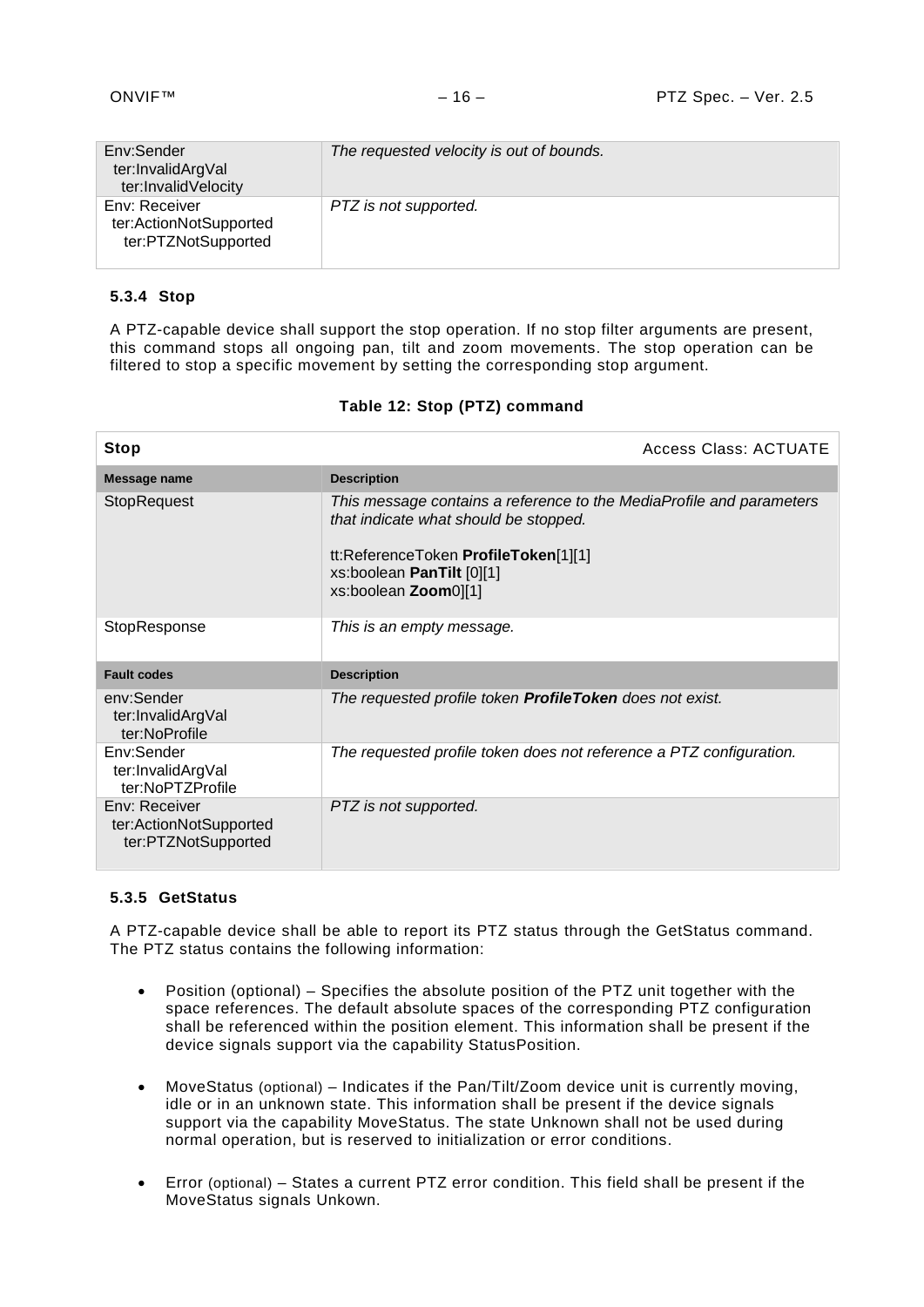| Env:Sender<br>ter:InvalidArgVal<br>ter:InvalidVelocity         | The requested velocity is out of bounds. |
|----------------------------------------------------------------|------------------------------------------|
| Env: Receiver<br>ter:ActionNotSupported<br>ter:PTZNotSupported | PTZ is not supported.                    |

# <span id="page-15-0"></span>**5.3.4 Stop**

A PTZ-capable device shall support the stop operation. If no stop filter arguments are present, this command stops all ongoing pan, tilt and zoom movements. The stop operation can be filtered to stop a specific movement by setting the corresponding stop argument.

| <b>Stop</b>                                                    | Access Class: ACTUATE                                                                                                                                                                                      |
|----------------------------------------------------------------|------------------------------------------------------------------------------------------------------------------------------------------------------------------------------------------------------------|
| Message name                                                   | <b>Description</b>                                                                                                                                                                                         |
| <b>StopRequest</b>                                             | This message contains a reference to the MediaProfile and parameters<br>that indicate what should be stopped.<br>tt:ReferenceToken ProfileToken[1][1]<br>xs:boolean PanTilt [0][1]<br>xs:boolean Zoom0][1] |
| StopResponse                                                   | This is an empty message.                                                                                                                                                                                  |
| <b>Fault codes</b>                                             | <b>Description</b>                                                                                                                                                                                         |
| env:Sender<br>ter:InvalidArgVal<br>ter:NoProfile               | The requested profile token ProfileToken does not exist.                                                                                                                                                   |
| Env:Sender<br>ter:InvalidArgVal<br>ter:NoPTZProfile            | The requested profile token does not reference a PTZ configuration.                                                                                                                                        |
| Env: Receiver<br>ter:ActionNotSupported<br>ter:PTZNotSupported | PTZ is not supported.                                                                                                                                                                                      |

# **Table 12: Stop (PTZ) command**

#### <span id="page-15-1"></span>**5.3.5 GetStatus**

A PTZ-capable device shall be able to report its PTZ status through the GetStatus command. The PTZ status contains the following information:

- Position (optional) Specifies the absolute position of the PTZ unit together with the space references. The default absolute spaces of the corresponding PTZ configuration shall be referenced within the position element. This information shall be present if the device signals support via the capability StatusPosition.
- MoveStatus (optional) Indicates if the Pan/Tilt/Zoom device unit is currently moving, idle or in an unknown state. This information shall be present if the device signals support via the capability MoveStatus. The state Unknown shall not be used during normal operation, but is reserved to initialization or error conditions.
- Error (optional) States a current PTZ error condition. This field shall be present if the MoveStatus signals Unkown.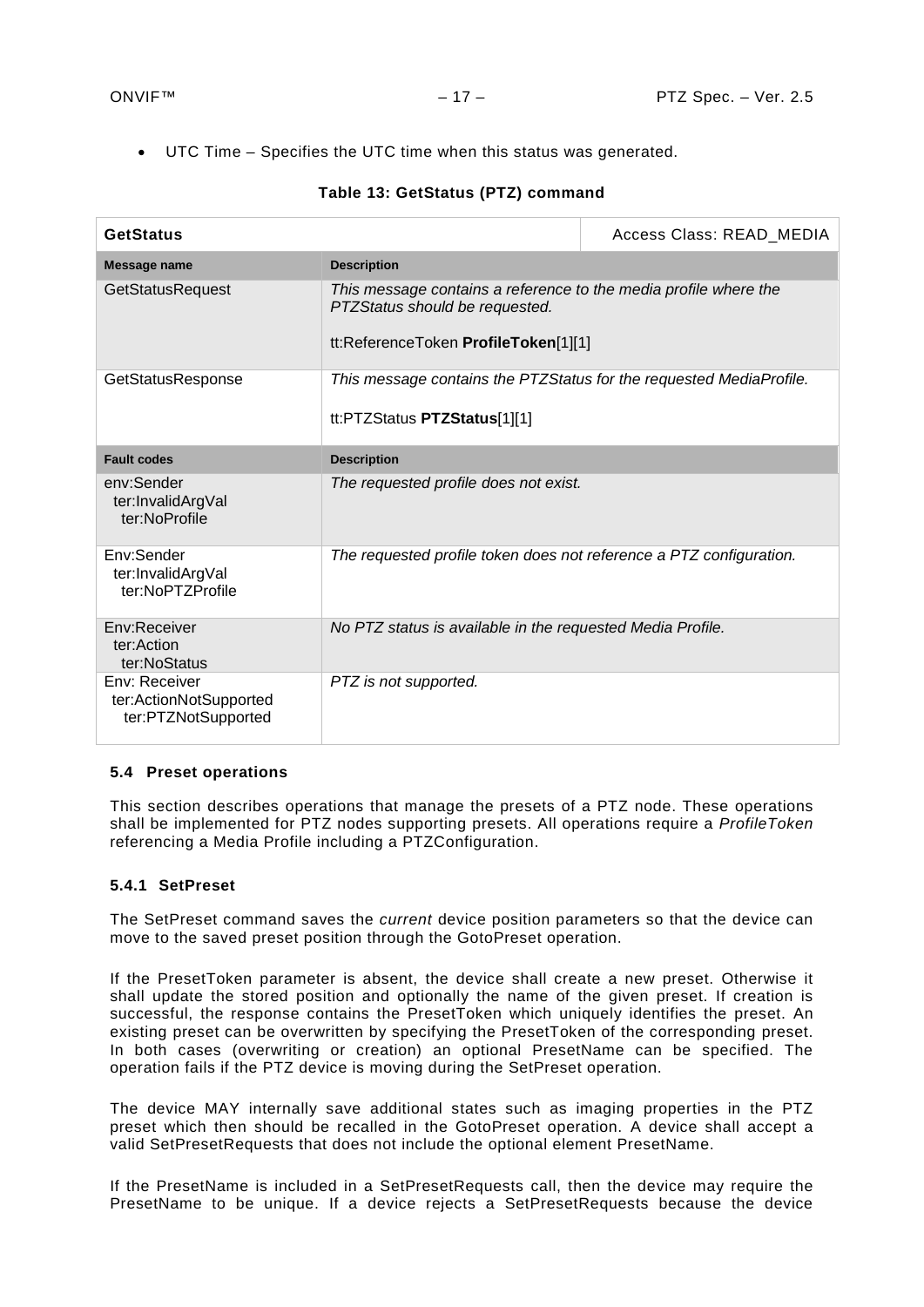• UTC Time – Specifies the UTC time when this status was generated.

| <b>GetStatus</b>                                               |                                                                                                                                            | Access Class: READ MEDIA |
|----------------------------------------------------------------|--------------------------------------------------------------------------------------------------------------------------------------------|--------------------------|
| Message name                                                   | <b>Description</b>                                                                                                                         |                          |
| <b>GetStatusRequest</b>                                        | This message contains a reference to the media profile where the<br>PTZStatus should be requested.<br>tt:ReferenceToken ProfileToken[1][1] |                          |
| GetStatusResponse                                              | This message contains the PTZStatus for the requested MediaProfile.<br>tt:PTZStatus PTZStatus[1][1]                                        |                          |
| <b>Fault codes</b>                                             | <b>Description</b>                                                                                                                         |                          |
| env:Sender<br>ter:InvalidArgVal<br>ter:NoProfile               | The requested profile does not exist.                                                                                                      |                          |
| Env:Sender<br>ter:InvalidArgVal<br>ter:NoPTZProfile            | The requested profile token does not reference a PTZ configuration.                                                                        |                          |
| Env:Receiver<br>ter:Action<br>ter:NoStatus                     | No PTZ status is available in the requested Media Profile.                                                                                 |                          |
| Env: Receiver<br>ter:ActionNotSupported<br>ter:PTZNotSupported | PTZ is not supported.                                                                                                                      |                          |

# **Table 13: GetStatus (PTZ) command**

# <span id="page-16-0"></span>**5.4 Preset operations**

This section describes operations that manage the presets of a PTZ node. These operations shall be implemented for PTZ nodes supporting presets. All operations require a *ProfileToken*  referencing a Media Profile including a PTZConfiguration.

# <span id="page-16-1"></span>**5.4.1 SetPreset**

The SetPreset command saves the *current* device position parameters so that the device can move to the saved preset position through the GotoPreset operation.

If the PresetToken parameter is absent, the device shall create a new preset. Otherwise it shall update the stored position and optionally the name of the given preset. If creation is successful, the response contains the PresetToken which uniquely identifies the preset. An existing preset can be overwritten by specifying the PresetToken of the corresponding preset. In both cases (overwriting or creation) an optional PresetName can be specified. The operation fails if the PTZ device is moving during the SetPreset operation.

The device MAY internally save additional states such as imaging properties in the PTZ preset which then should be recalled in the GotoPreset operation. A device shall accept a valid SetPresetRequests that does not include the optional element PresetName.

If the PresetName is included in a SetPresetRequests call, then the device may require the PresetName to be unique. If a device rejects a SetPresetRequests because the device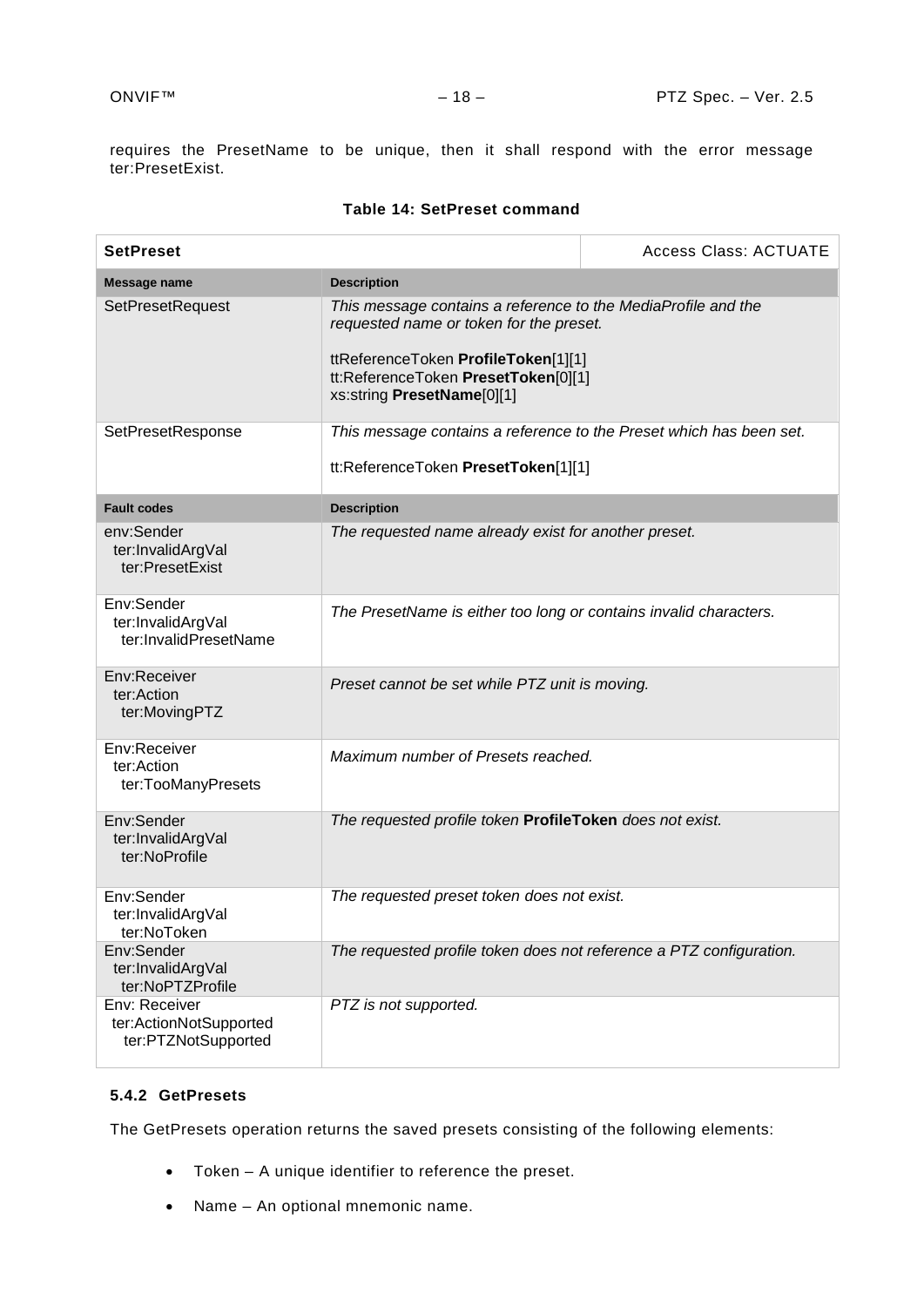requires the PresetName to be unique, then it shall respond with the error message ter:PresetExist.

| <b>SetPreset</b>                                               |                                                                                                                                                                                                                      | <b>Access Class: ACTUATE</b> |
|----------------------------------------------------------------|----------------------------------------------------------------------------------------------------------------------------------------------------------------------------------------------------------------------|------------------------------|
| <b>Message name</b>                                            | <b>Description</b>                                                                                                                                                                                                   |                              |
| <b>SetPresetRequest</b>                                        | This message contains a reference to the MediaProfile and the<br>requested name or token for the preset.<br>ttReferenceToken ProfileToken[1][1]<br>tt:ReferenceToken PresetToken[0][1]<br>xs:string PresetName[0][1] |                              |
| SetPresetResponse                                              | This message contains a reference to the Preset which has been set.<br>tt:ReferenceToken PresetToken[1][1]                                                                                                           |                              |
| <b>Fault codes</b>                                             | <b>Description</b>                                                                                                                                                                                                   |                              |
| env:Sender<br>ter:InvalidArgVal<br>ter:PresetExist             | The requested name already exist for another preset.                                                                                                                                                                 |                              |
| Env:Sender<br>ter:InvalidArgVal<br>ter:InvalidPresetName       | The PresetName is either too long or contains invalid characters.                                                                                                                                                    |                              |
| Env:Receiver<br>ter:Action<br>ter:MovingPTZ                    | Preset cannot be set while PTZ unit is moving.                                                                                                                                                                       |                              |
| Env:Receiver<br>ter:Action<br>ter:TooManyPresets               | Maximum number of Presets reached.                                                                                                                                                                                   |                              |
| Env:Sender<br>ter:InvalidArgVal<br>ter:NoProfile               | The requested profile token ProfileToken does not exist.                                                                                                                                                             |                              |
| Env:Sender<br>ter:InvalidArgVal<br>ter:NoToken                 | The requested preset token does not exist.                                                                                                                                                                           |                              |
| Env:Sender<br>ter:InvalidArgVal<br>ter:NoPTZProfile            | The requested profile token does not reference a PTZ configuration.                                                                                                                                                  |                              |
| Env: Receiver<br>ter:ActionNotSupported<br>ter:PTZNotSupported | PTZ is not supported.                                                                                                                                                                                                |                              |

#### **Table 14: SetPreset command**

# <span id="page-17-0"></span>**5.4.2 GetPresets**

The GetPresets operation returns the saved presets consisting of the following elements:

- Token A unique identifier to reference the preset.
- Name An optional mnemonic name.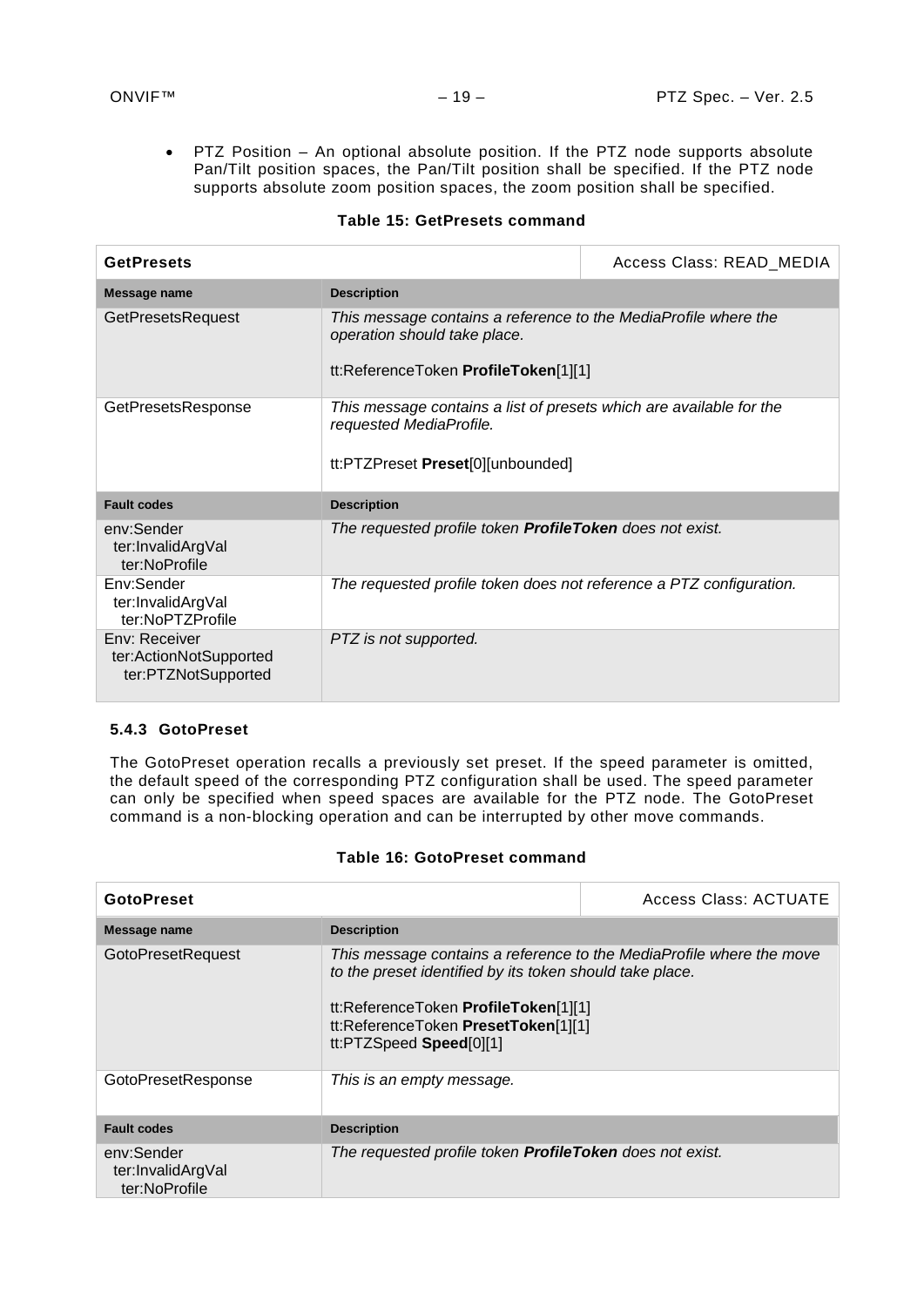• PTZ Position – An optional absolute position. If the PTZ node supports absolute Pan/Tilt position spaces, the Pan/Tilt position shall be specified. If the PTZ node supports absolute zoom position spaces, the zoom position shall be specified.

| <b>GetPresets</b>                                              | Access Class: READ_MEDIA                                                                                                                |  |
|----------------------------------------------------------------|-----------------------------------------------------------------------------------------------------------------------------------------|--|
| Message name                                                   | <b>Description</b>                                                                                                                      |  |
| <b>GetPresetsRequest</b>                                       | This message contains a reference to the MediaProfile where the<br>operation should take place.<br>tt:ReferenceToken ProfileToken[1][1] |  |
| GetPresetsResponse                                             | This message contains a list of presets which are available for the<br>requested MediaProfile.<br>tt:PTZPreset Preset[0][unbounded]     |  |
| <b>Fault codes</b>                                             | <b>Description</b>                                                                                                                      |  |
| env:Sender<br>ter:InvalidArgVal<br>ter:NoProfile               | The requested profile token <b>ProfileToken</b> does not exist.                                                                         |  |
| Env:Sender<br>ter:InvalidArgVal<br>ter:NoPTZProfile            | The requested profile token does not reference a PTZ configuration.                                                                     |  |
| Env: Receiver<br>ter:ActionNotSupported<br>ter:PTZNotSupported | PTZ is not supported.                                                                                                                   |  |

#### **Table 15: GetPresets command**

#### <span id="page-18-0"></span>**5.4.3 GotoPreset**

The GotoPreset operation recalls a previously set preset. If the speed parameter is omitted, the default speed of the corresponding PTZ configuration shall be used. The speed parameter can only be specified when speed spaces are available for the PTZ node. The GotoPreset command is a non-blocking operation and can be interrupted by other move commands.

#### **Table 16: GotoPreset command**

| <b>GotoPreset</b>                                |                                                                                                                                                                                                                                            | Access Class: ACTUATE |
|--------------------------------------------------|--------------------------------------------------------------------------------------------------------------------------------------------------------------------------------------------------------------------------------------------|-----------------------|
| Message name                                     | <b>Description</b>                                                                                                                                                                                                                         |                       |
| <b>GotoPresetRequest</b>                         | This message contains a reference to the MediaProfile where the move<br>to the preset identified by its token should take place.<br>tt:ReferenceToken ProfileToken[1][1]<br>tt:ReferenceToken PresetToken[1][1]<br>tt:PTZSpeed Speed[0][1] |                       |
| GotoPresetResponse                               | This is an empty message.                                                                                                                                                                                                                  |                       |
| <b>Fault codes</b>                               | <b>Description</b>                                                                                                                                                                                                                         |                       |
| env:Sender<br>ter:InvalidArgVal<br>ter:NoProfile | The requested profile token <b>ProfileToken</b> does not exist.                                                                                                                                                                            |                       |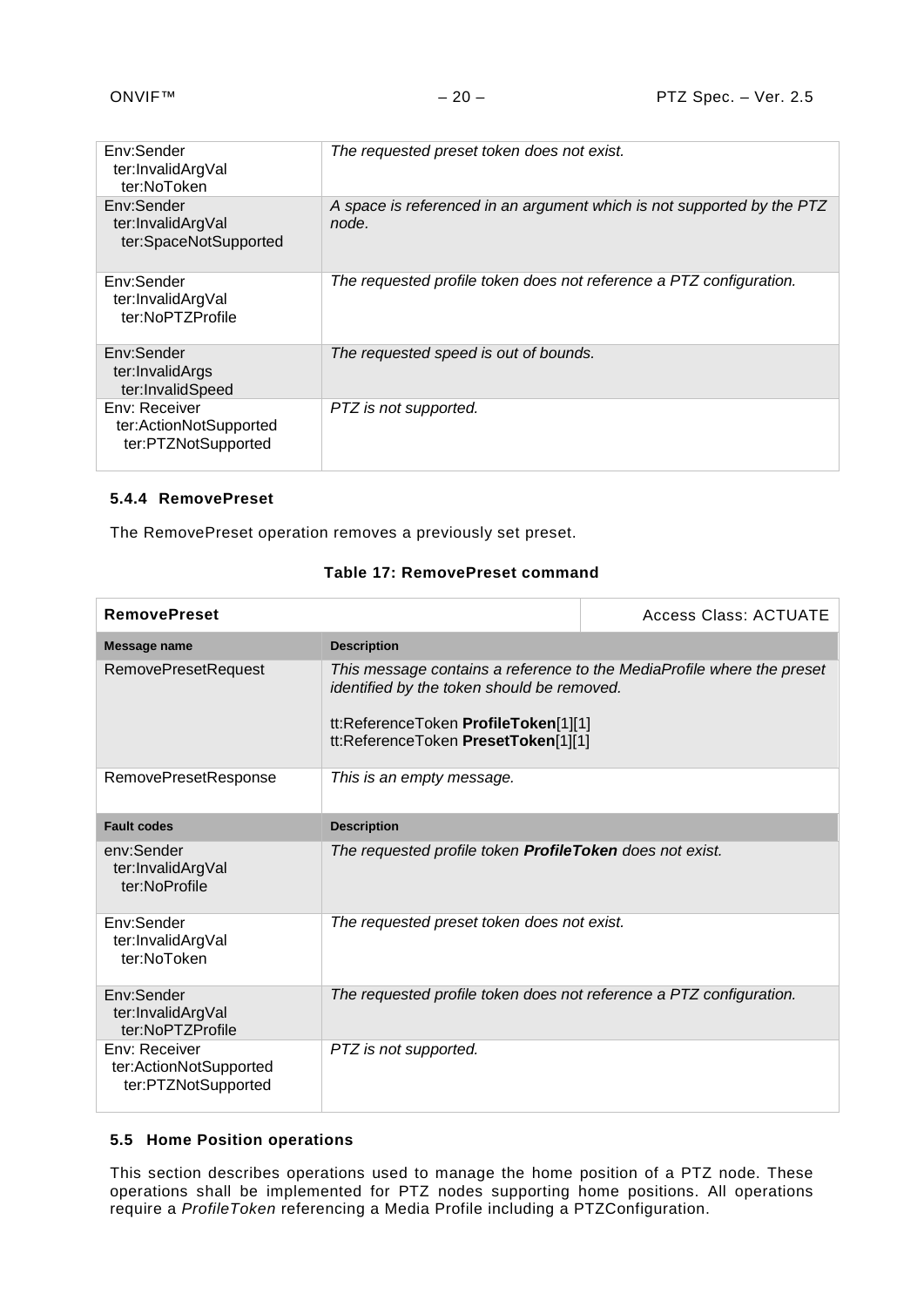| Env:Sender<br>ter:InvalidArgVal<br>ter:NoToken                 | The requested preset token does not exist.                                      |
|----------------------------------------------------------------|---------------------------------------------------------------------------------|
| Env:Sender<br>ter:InvalidArgVal<br>ter:SpaceNotSupported       | A space is referenced in an argument which is not supported by the PTZ<br>node. |
| Env:Sender<br>ter:InvalidArgVal<br>ter:NoPTZProfile            | The requested profile token does not reference a PTZ configuration.             |
| Env:Sender<br>ter:InvalidArgs<br>ter:InvalidSpeed              | The requested speed is out of bounds.                                           |
| Env: Receiver<br>ter:ActionNotSupported<br>ter:PTZNotSupported | PTZ is not supported.                                                           |

# <span id="page-19-0"></span>**5.4.4 RemovePreset**

The RemovePreset operation removes a previously set preset.

# **Table 17: RemovePreset command**

| <b>RemovePreset</b>                                            |                                                                                                                           | <b>Access Class: ACTUATE</b>                                           |
|----------------------------------------------------------------|---------------------------------------------------------------------------------------------------------------------------|------------------------------------------------------------------------|
| Message name                                                   | <b>Description</b>                                                                                                        |                                                                        |
| <b>RemovePresetRequest</b>                                     | identified by the token should be removed.<br>tt:ReferenceToken ProfileToken[1][1]<br>tt:ReferenceToken PresetToken[1][1] | This message contains a reference to the MediaProfile where the preset |
| <b>RemovePresetResponse</b>                                    | This is an empty message.                                                                                                 |                                                                        |
| <b>Fault codes</b>                                             | <b>Description</b>                                                                                                        |                                                                        |
| env:Sender<br>ter:InvalidArgVal<br>ter:NoProfile               | The requested profile token <b>ProfileToken</b> does not exist.                                                           |                                                                        |
| Env:Sender<br>ter:InvalidArgVal<br>ter:NoToken                 | The requested preset token does not exist.                                                                                |                                                                        |
| Env:Sender<br>ter:InvalidArgVal<br>ter:NoPTZProfile            | The requested profile token does not reference a PTZ configuration.                                                       |                                                                        |
| Env: Receiver<br>ter:ActionNotSupported<br>ter:PTZNotSupported | PTZ is not supported.                                                                                                     |                                                                        |

# <span id="page-19-1"></span>**5.5 Home Position operations**

This section describes operations used to manage the home position of a PTZ node. These operations shall be implemented for PTZ nodes supporting home positions. All operations require a *ProfileToken* referencing a Media Profile including a PTZConfiguration.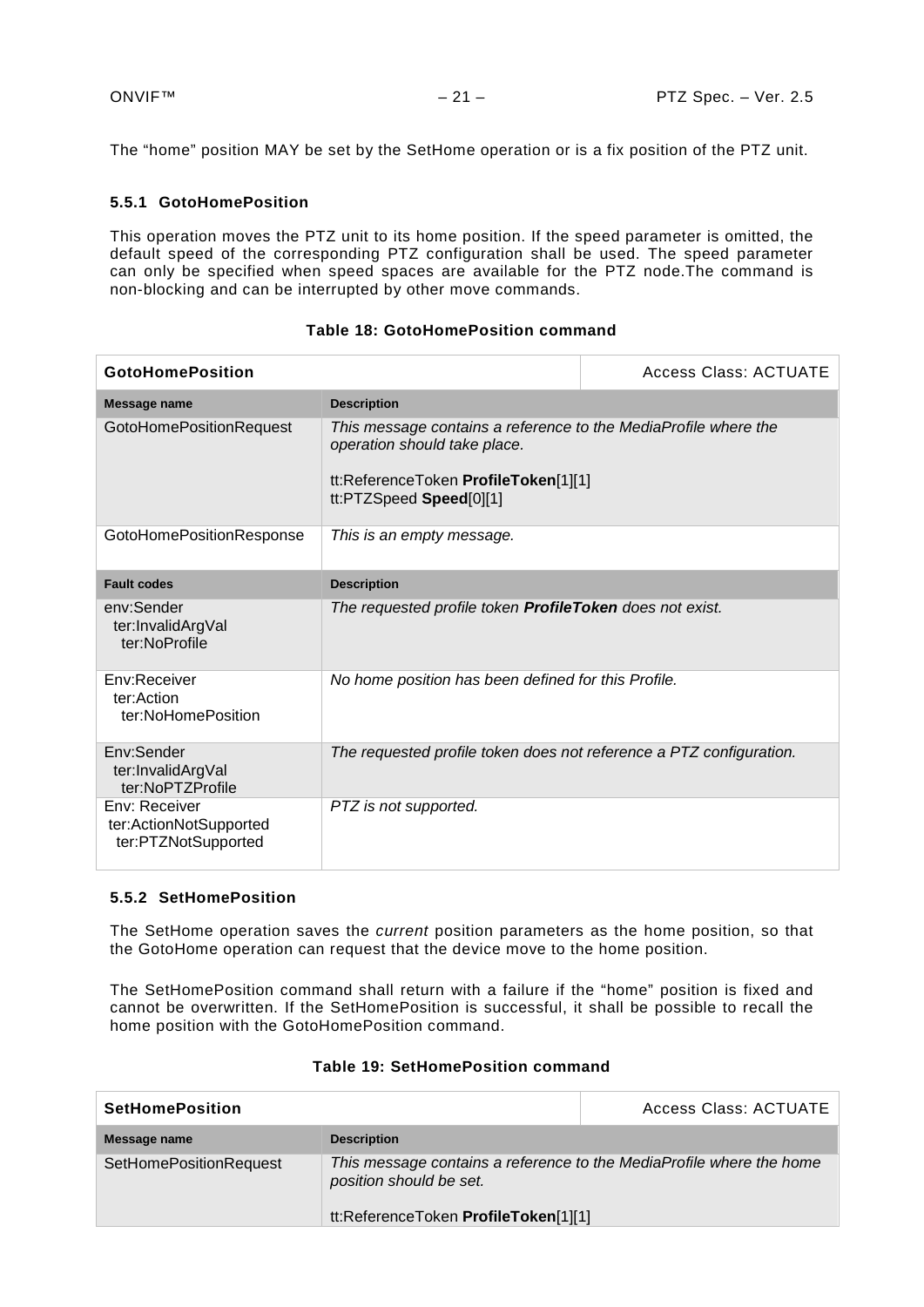The "home" position MAY be set by the SetHome operation or is a fix position of the PTZ unit.

# <span id="page-20-0"></span>**5.5.1 GotoHomePosition**

This operation moves the PTZ unit to its home position. If the speed parameter is omitted, the default speed of the corresponding PTZ configuration shall be used. The speed parameter can only be specified when speed spaces are available for the PTZ node.The command is non-blocking and can be interrupted by other move commands.

| <b>GotoHomePosition</b>                                        |                                                                                                                                                                    | <b>Access Class: ACTUATE</b> |
|----------------------------------------------------------------|--------------------------------------------------------------------------------------------------------------------------------------------------------------------|------------------------------|
| Message name                                                   | <b>Description</b>                                                                                                                                                 |                              |
| <b>GotoHomePositionRequest</b>                                 | This message contains a reference to the MediaProfile where the<br>operation should take place.<br>tt:ReferenceToken ProfileToken[1][1]<br>tt:PTZSpeed Speed[0][1] |                              |
| <b>GotoHomePositionResponse</b>                                | This is an empty message.                                                                                                                                          |                              |
| <b>Fault codes</b>                                             | <b>Description</b>                                                                                                                                                 |                              |
| env:Sender<br>ter:InvalidArgVal<br>ter:NoProfile               | The requested profile token ProfileToken does not exist.                                                                                                           |                              |
| Env:Receiver<br>ter:Action<br>ter:NoHomePosition               | No home position has been defined for this Profile.                                                                                                                |                              |
| Env:Sender<br>ter:InvalidArgVal<br>ter:NoPTZProfile            | The requested profile token does not reference a PTZ configuration.                                                                                                |                              |
| Env: Receiver<br>ter:ActionNotSupported<br>ter:PTZNotSupported | PTZ is not supported.                                                                                                                                              |                              |

# **Table 18: GotoHomePosition command**

#### <span id="page-20-1"></span>**5.5.2 SetHomePosition**

The SetHome operation saves the *current* position parameters as the home position, so that the GotoHome operation can request that the device move to the home position.

The SetHomePosition command shall return with a failure if the "home" position is fixed and cannot be overwritten. If the SetHomePosition is successful, it shall be possible to recall the home position with the GotoHomePosition command.

| <b>SetHomePosition</b>        |                                                                                                                                         | Access Class: ACTUATE |
|-------------------------------|-----------------------------------------------------------------------------------------------------------------------------------------|-----------------------|
| Message name                  | <b>Description</b>                                                                                                                      |                       |
| <b>SetHomePositionRequest</b> | This message contains a reference to the MediaProfile where the home<br>position should be set.<br>tt:ReferenceToken ProfileToken[1][1] |                       |

# **Table 19: SetHomePosition command**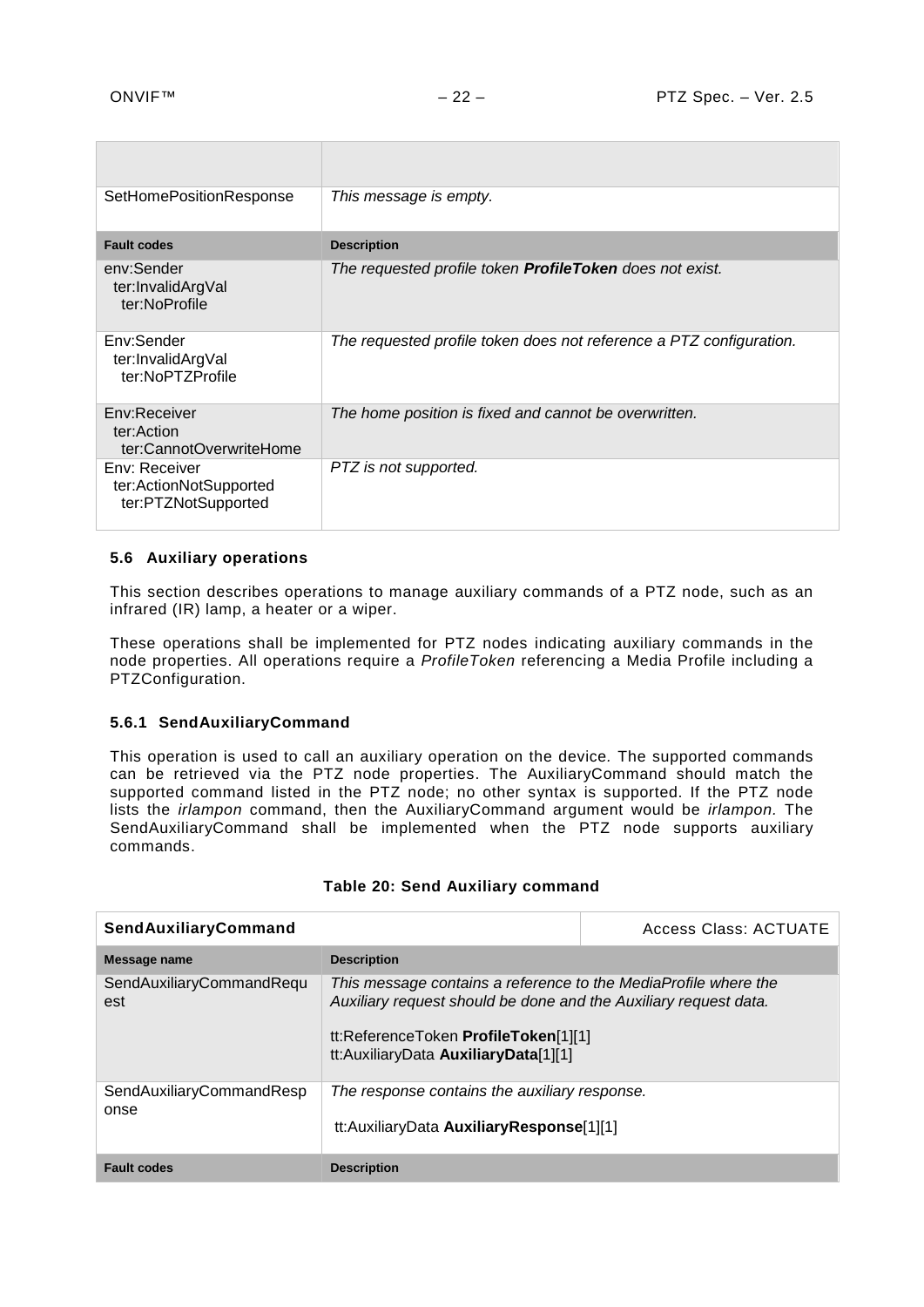| SetHomePositionResponse                                        | This message is empty.                                              |
|----------------------------------------------------------------|---------------------------------------------------------------------|
| <b>Fault codes</b>                                             | <b>Description</b>                                                  |
| env:Sender<br>ter:InvalidArgVal<br>ter:NoProfile               | The requested profile token <b>ProfileToken</b> does not exist.     |
| Env:Sender<br>ter:InvalidArgVal<br>ter:NoPTZProfile            | The requested profile token does not reference a PTZ configuration. |
| Env:Receiver<br>ter:Action<br>ter:CannotOverwriteHome          | The home position is fixed and cannot be overwritten.               |
| Env: Receiver<br>ter:ActionNotSupported<br>ter:PTZNotSupported | PTZ is not supported.                                               |

# <span id="page-21-0"></span>**5.6 Auxiliary operations**

This section describes operations to manage auxiliary commands of a PTZ node, such as an infrared (IR) lamp, a heater or a wiper.

These operations shall be implemented for PTZ nodes indicating auxiliary commands in the node properties. All operations require a *ProfileToken* referencing a Media Profile including a PTZConfiguration.

# <span id="page-21-1"></span>**5.6.1 SendAuxiliaryCommand**

This operation is used to call an auxiliary operation on the device*.* The supported commands can be retrieved via the PTZ node properties. The AuxiliaryCommand should match the supported command listed in the PTZ node; no other syntax is supported. If the PTZ node lists the *irlampon* command, then the AuxiliaryCommand argument would be *irlampon.* The SendAuxiliaryCommand shall be implemented when the PTZ node supports auxiliary commands.

| SendAuxiliaryCommand             |                                                                                                                                                                                                                     | <b>Access Class: ACTUATE</b> |
|----------------------------------|---------------------------------------------------------------------------------------------------------------------------------------------------------------------------------------------------------------------|------------------------------|
| Message name                     | <b>Description</b>                                                                                                                                                                                                  |                              |
| SendAuxiliaryCommandRequ<br>est  | This message contains a reference to the MediaProfile where the<br>Auxiliary request should be done and the Auxiliary request data.<br>tt:ReferenceToken ProfileToken[1][1]<br>tt:AuxiliaryData AuxiliaryData[1][1] |                              |
| SendAuxiliaryCommandResp<br>onse | The response contains the auxiliary response.<br>tt:AuxiliaryData AuxiliaryResponse[1][1]                                                                                                                           |                              |
| <b>Fault codes</b>               | <b>Description</b>                                                                                                                                                                                                  |                              |

#### **Table 20: Send Auxiliary command**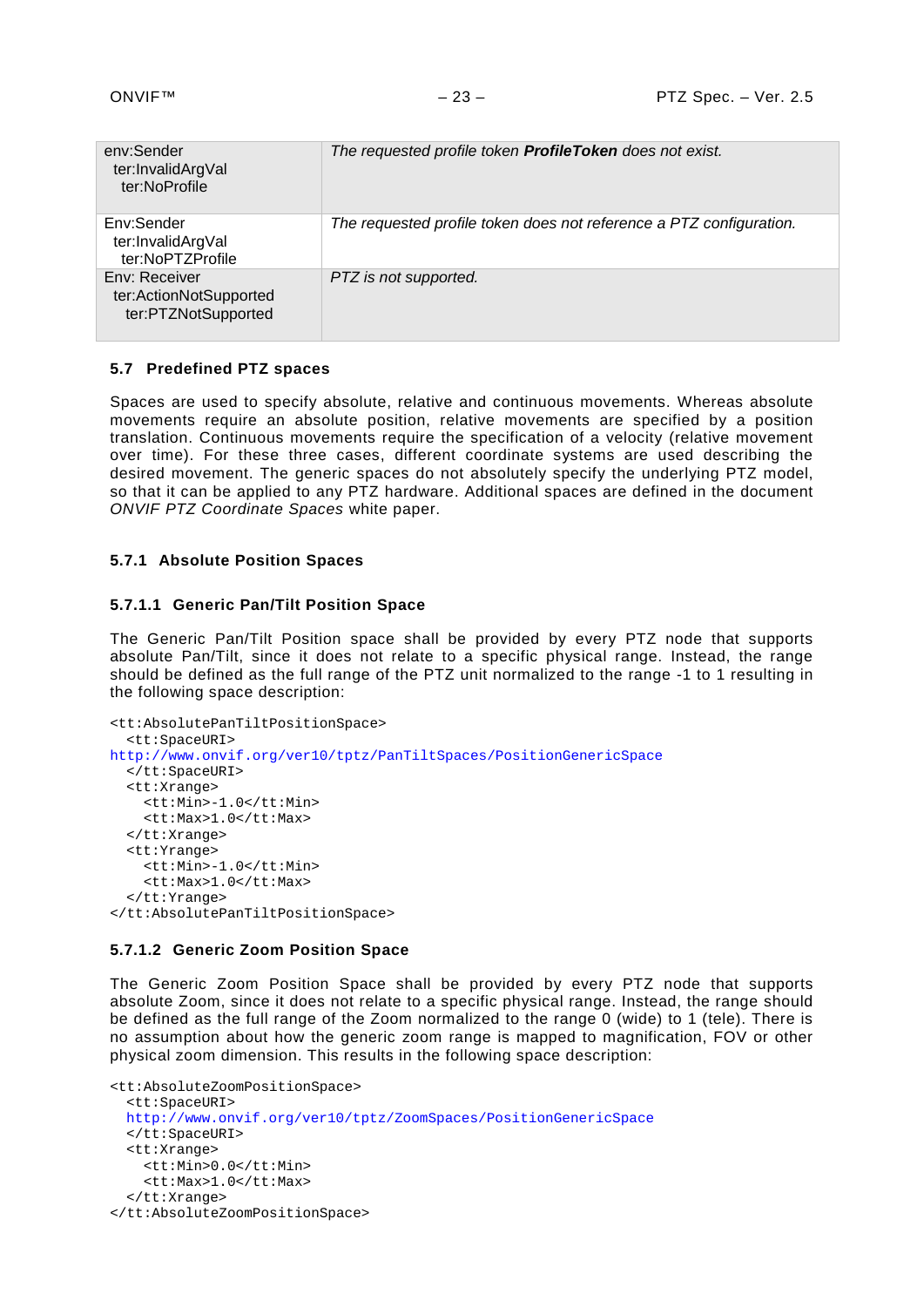| env:Sender<br>ter:InvalidArgVal<br>ter:NoProfile               | The requested profile token <b>ProfileToken</b> does not exist.     |
|----------------------------------------------------------------|---------------------------------------------------------------------|
| Env:Sender<br>ter:InvalidArgVal<br>ter:NoPTZProfile            | The requested profile token does not reference a PTZ configuration. |
| Env: Receiver<br>ter:ActionNotSupported<br>ter:PTZNotSupported | PTZ is not supported.                                               |

#### <span id="page-22-0"></span>**5.7 Predefined PTZ spaces**

Spaces are used to specify absolute, relative and continuous movements. Whereas absolute movements require an absolute position, relative movements are specified by a position translation. Continuous movements require the specification of a velocity (relative movement over time). For these three cases, different coordinate systems are used describing the desired movement. The generic spaces do not absolutely specify the underlying PTZ model, so that it can be applied to any PTZ hardware. Additional spaces are defined in the document *ONVIF PTZ Coordinate Spaces* white paper.

#### <span id="page-22-1"></span>**5.7.1 Absolute Position Spaces**

#### **5.7.1.1 Generic Pan/Tilt Position Space**

The Generic Pan/Tilt Position space shall be provided by every PTZ node that supports absolute Pan/Tilt, since it does not relate to a specific physical range. Instead, the range should be defined as the full range of the PTZ unit normalized to the range -1 to 1 resulting in the following space description:

```
<tt:AbsolutePanTiltPositionSpace>
  <tt:SpaceURI>
http://www.onvif.org/ver10/tptz/PanTiltSpaces/PositionGenericSpace
  </tt:SpaceURI>
  <tt:Xrange>
     <tt:Min>-1.0</tt:Min>
     <tt:Max>1.0</tt:Max>
  </tt:Xrange>
  <tt:Yrange>
     <tt:Min>-1.0</tt:Min>
     <tt:Max>1.0</tt:Max>
  </tt:Yrange>
</tt:AbsolutePanTiltPositionSpace>
```
#### **5.7.1.2 Generic Zoom Position Space**

The Generic Zoom Position Space shall be provided by every PTZ node that supports absolute Zoom, since it does not relate to a specific physical range. Instead, the range should be defined as the full range of the Zoom normalized to the range 0 (wide) to 1 (tele). There is no assumption about how the generic zoom range is mapped to magnification, FOV or other physical zoom dimension. This results in the following space description:

```
<tt:AbsoluteZoomPositionSpace>
  <tt:SpaceURI>
 http://www.onvif.org/ver10/tptz/ZoomSpaces/PositionGenericSpace
  </tt:SpaceURI>
  <tt:Xrange>
    <tt:Min>0.0</tt:Min>
     <tt:Max>1.0</tt:Max>
  </tt:Xrange>
</tt:AbsoluteZoomPositionSpace>
```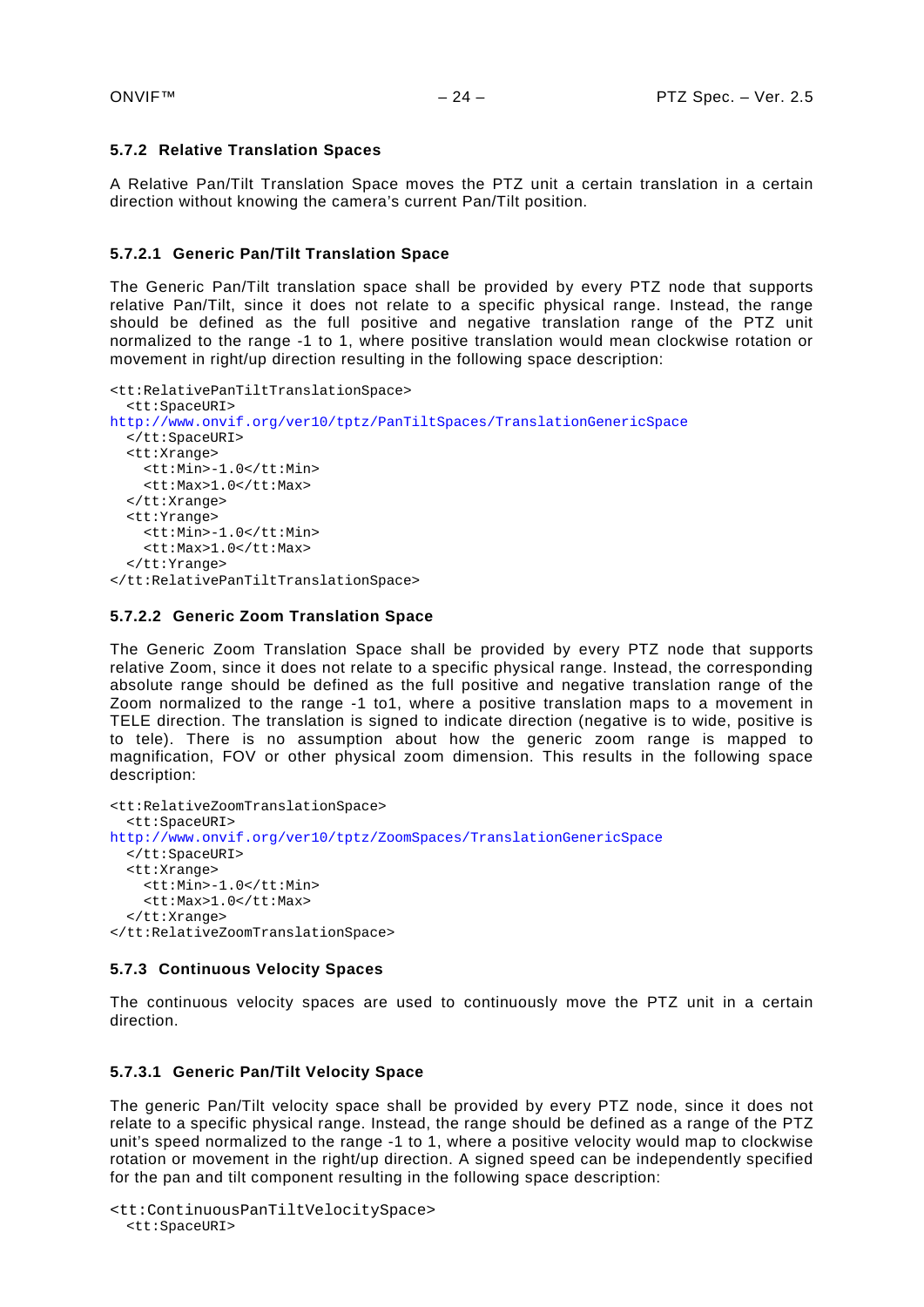# <span id="page-23-0"></span>**5.7.2 Relative Translation Spaces**

A Relative Pan/Tilt Translation Space moves the PTZ unit a certain translation in a certain direction without knowing the camera's current Pan/Tilt position.

# **5.7.2.1 Generic Pan/Tilt Translation Space**

The Generic Pan/Tilt translation space shall be provided by every PTZ node that supports relative Pan/Tilt, since it does not relate to a specific physical range. Instead, the range should be defined as the full positive and negative translation range of the PTZ unit normalized to the range -1 to 1, where positive translation would mean clockwise rotation or movement in right/up direction resulting in the following space description:

```
<tt:RelativePanTiltTranslationSpace>
  <tt:SpaceURI>
http://www.onvif.org/ver10/tptz/PanTiltSpaces/TranslationGenericSpace
  </tt:SpaceURI>
  <tt:Xrange>
     <tt:Min>-1.0</tt:Min>
     <tt:Max>1.0</tt:Max>
  </tt:Xrange>
  <tt:Yrange>
     <tt:Min>-1.0</tt:Min>
     <tt:Max>1.0</tt:Max>
  </tt:Yrange>
</tt:RelativePanTiltTranslationSpace>
```
# **5.7.2.2 Generic Zoom Translation Space**

The Generic Zoom Translation Space shall be provided by every PTZ node that supports relative Zoom, since it does not relate to a specific physical range. Instead, the corresponding absolute range should be defined as the full positive and negative translation range of the Zoom normalized to the range -1 to1, where a positive translation maps to a movement in TELE direction. The translation is signed to indicate direction (negative is to wide, positive is to tele). There is no assumption about how the generic zoom range is mapped to magnification, FOV or other physical zoom dimension. This results in the following space description:

```
<tt:RelativeZoomTranslationSpace>
  <tt:SpaceURI>
http://www.onvif.org/ver10/tptz/ZoomSpaces/TranslationGenericSpace
  </tt:SpaceURI>
  <tt:Xrange>
     <tt:Min>-1.0</tt:Min>
     <tt:Max>1.0</tt:Max>
  </tt:Xrange>
</tt:RelativeZoomTranslationSpace>
```
#### <span id="page-23-1"></span>**5.7.3 Continuous Velocity Spaces**

The continuous velocity spaces are used to continuously move the PTZ unit in a certain direction.

#### **5.7.3.1 Generic Pan/Tilt Velocity Space**

The generic Pan/Tilt velocity space shall be provided by every PTZ node, since it does not relate to a specific physical range. Instead, the range should be defined as a range of the PTZ unit's speed normalized to the range -1 to 1, where a positive velocity would map to clockwise rotation or movement in the right/up direction. A signed speed can be independently specified for the pan and tilt component resulting in the following space description:

```
<tt:ContinuousPanTiltVelocitySpace>
 <tt:SpaceURI>
```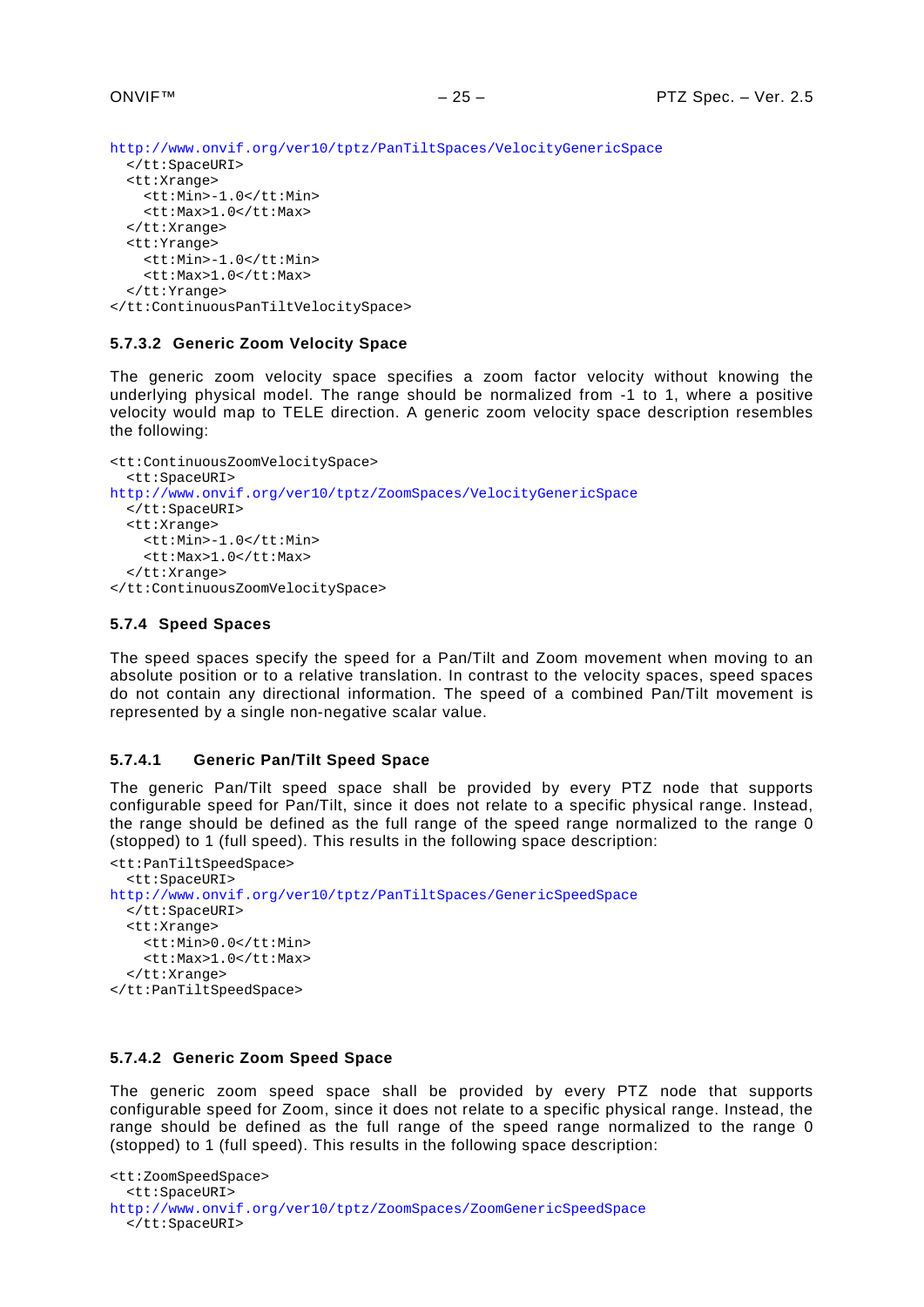```
http://www.onvif.org/ver10/tptz/PanTiltSpaces/VelocityGenericSpace
  </tt:SpaceURI>
  <tt:Xrange>
     <tt:Min>-1.0</tt:Min>
     <tt:Max>1.0</tt:Max>
  </tt:Xrange>
  <tt:Yrange>
     <tt:Min>-1.0</tt:Min>
     <tt:Max>1.0</tt:Max>
  </tt:Yrange>
</tt:ContinuousPanTiltVelocitySpace>
```
# **5.7.3.2 Generic Zoom Velocity Space**

The generic zoom velocity space specifies a zoom factor velocity without knowing the underlying physical model. The range should be normalized from -1 to 1, where a positive velocity would map to TELE direction. A generic zoom velocity space description resembles the following:

```
<tt:ContinuousZoomVelocitySpace>
  <tt:SpaceURI>
http://www.onvif.org/ver10/tptz/ZoomSpaces/VelocityGenericSpace
  </tt:SpaceURI>
  <tt:Xrange>
     <tt:Min>-1.0</tt:Min>
     <tt:Max>1.0</tt:Max>
  \epsilon/\uparrowt:Xrange>
</tt:ContinuousZoomVelocitySpace>
```
#### <span id="page-24-0"></span>**5.7.4 Speed Spaces**

The speed spaces specify the speed for a Pan/Tilt and Zoom movement when moving to an absolute position or to a relative translation. In contrast to the velocity spaces, speed spaces do not contain any directional information. The speed of a combined Pan/Tilt movement is represented by a single non-negative scalar value.

#### **5.7.4.1 Generic Pan/Tilt Speed Space**

The generic Pan/Tilt speed space shall be provided by every PTZ node that supports configurable speed for Pan/Tilt, since it does not relate to a specific physical range. Instead, the range should be defined as the full range of the speed range normalized to the range 0 (stopped) to 1 (full speed). This results in the following space description:

```
<tt:PanTiltSpeedSpace>
  <tt:SpaceURI>
http://www.onvif.org/ver10/tptz/PanTiltSpaces/GenericSpeedSpace
  </tt:SpaceURI>
  <tt:Xrange>
     <tt:Min>0.0</tt:Min>
     <tt:Max>1.0</tt:Max>
  </tt:Xrange>
</tt:PanTiltSpeedSpace>
```
#### **5.7.4.2 Generic Zoom Speed Space**

The generic zoom speed space shall be provided by every PTZ node that supports configurable speed for Zoom, since it does not relate to a specific physical range. Instead, the range should be defined as the full range of the speed range normalized to the range 0 (stopped) to 1 (full speed). This results in the following space description:

```
<tt:ZoomSpeedSpace>
  <tt:SpaceURI>
http://www.onvif.org/ver10/tptz/ZoomSpaces/ZoomGenericSpeedSpace
  </tt:SpaceURI>
```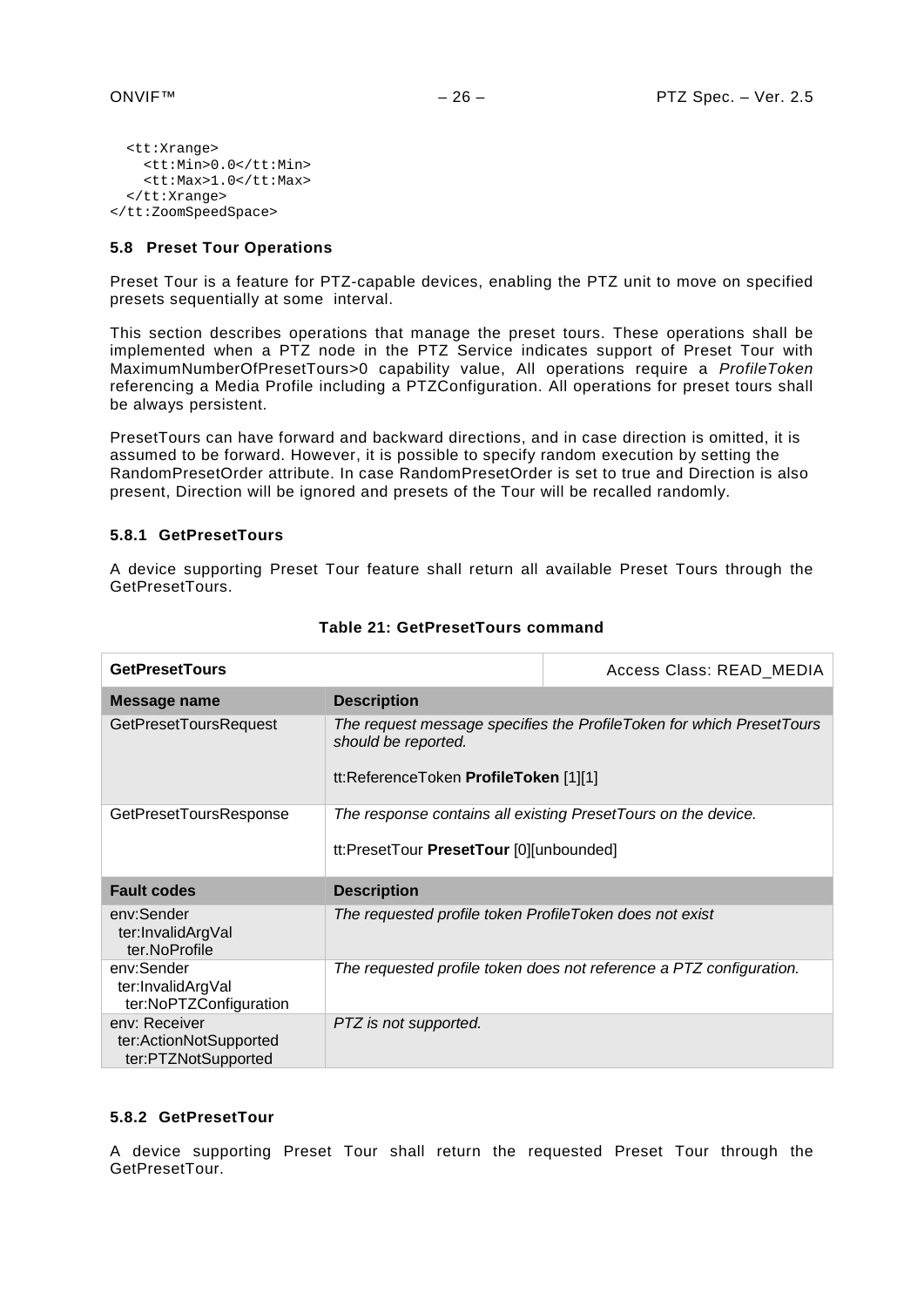```
<tt:Xrange>
     <tt:Min>0.0</tt:Min>
    <tt:Max>1.0</tt:Max>
  </tt:Xrange>
</tt:ZoomSpeedSpace>
```
#### <span id="page-25-0"></span>**5.8 Preset Tour Operations**

Preset Tour is a feature for PTZ-capable devices, enabling the PTZ unit to move on specified presets sequentially at some interval.

This section describes operations that manage the preset tours. These operations shall be implemented when a PTZ node in the PTZ Service indicates support of Preset Tour with MaximumNumberOfPresetTours>0 capability value, All operations require a *ProfileToken*  referencing a Media Profile including a PTZConfiguration. All operations for preset tours shall be always persistent.

<span id="page-25-1"></span>PresetTours can have forward and backward directions, and in case direction is omitted, it is assumed to be forward. However, it is possible to specify random execution by setting the RandomPresetOrder attribute. In case RandomPresetOrder is set to true and Direction is also present, Direction will be ignored and presets of the Tour will be recalled randomly.

#### **5.8.1 GetPresetTours**

A device supporting Preset Tour feature shall return all available Preset Tours through the GetPresetTours.

| <b>GetPresetTours</b>                                     |                                                              | Access Class: READ_MEDIA                                             |
|-----------------------------------------------------------|--------------------------------------------------------------|----------------------------------------------------------------------|
| Message name                                              | <b>Description</b>                                           |                                                                      |
| <b>GetPresetToursRequest</b>                              | should be reported.<br>tt:ReferenceToken ProfileToken [1][1] | The request message specifies the ProfileToken for which PresetTours |
| GetPresetToursResponse                                    | tt:PresetTour PresetTour [0][unbounded]                      | The response contains all existing PresetTours on the device.        |
| <b>Fault codes</b>                                        | <b>Description</b>                                           |                                                                      |
| env:Sender<br>ter:InvalidArgVal<br>ter.NoProfile          | The requested profile token ProfileToken does not exist      |                                                                      |
| env:Sender<br>ter:InvalidArgVal<br>ter:NoPTZConfiguration |                                                              | The requested profile token does not reference a PTZ configuration.  |
| env: Receiver                                             | PTZ is not supported.                                        |                                                                      |

#### **Table 21: GetPresetTours command**

#### <span id="page-25-2"></span>**5.8.2 GetPresetTour**

A device supporting Preset Tour shall return the requested Preset Tour through the GetPresetTour.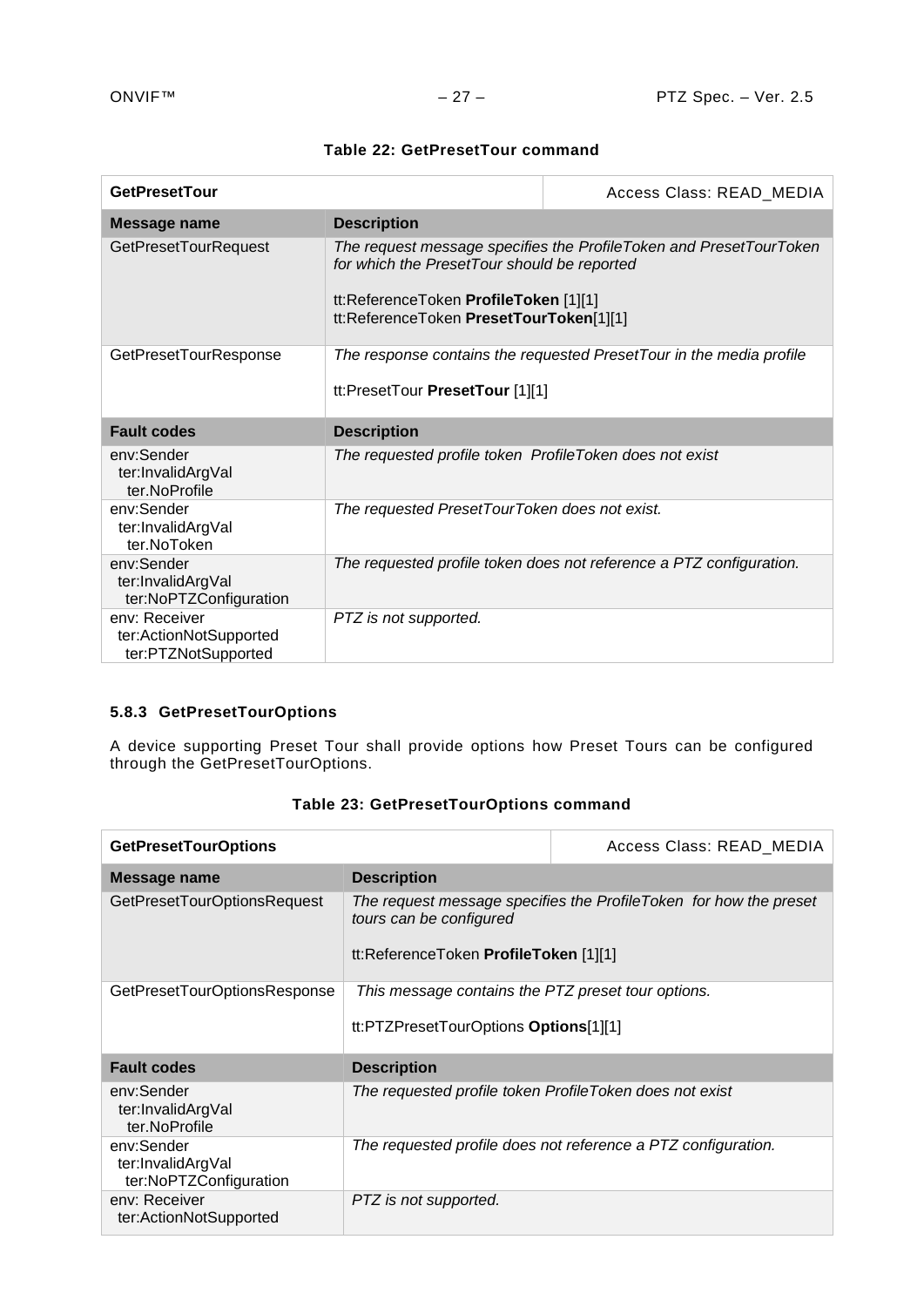| Table 22: GetPresetTour command |  |
|---------------------------------|--|
|---------------------------------|--|

| <b>GetPresetTour</b>                                      |                                                                                                                                 | Access Class: READ_MEDIA                                            |
|-----------------------------------------------------------|---------------------------------------------------------------------------------------------------------------------------------|---------------------------------------------------------------------|
| Message name                                              | <b>Description</b>                                                                                                              |                                                                     |
| <b>GetPresetTourRequest</b>                               | for which the PresetTour should be reported<br>tt:ReferenceToken ProfileToken [1][1]<br>tt:ReferenceToken PresetTourToken[1][1] | The request message specifies the ProfileToken and PresetTourToken  |
| GetPresetTourResponse                                     | tt:PresetTour PresetTour [1][1]                                                                                                 | The response contains the requested PresetTour in the media profile |
| <b>Fault codes</b>                                        | <b>Description</b>                                                                                                              |                                                                     |
| env:Sender<br>ter:InvalidArgVal<br>ter.NoProfile          | The requested profile token ProfileToken does not exist                                                                         |                                                                     |
|                                                           |                                                                                                                                 |                                                                     |
| env:Sender<br>ter:InvalidArgVal<br>ter.NoToken            | The requested PresetTourToken does not exist.                                                                                   |                                                                     |
| env:Sender<br>ter:InvalidArgVal<br>ter:NoPTZConfiguration |                                                                                                                                 | The requested profile token does not reference a PTZ configuration. |

# <span id="page-26-0"></span>**5.8.3 GetPresetTourOptions**

A device supporting Preset Tour shall provide options how Preset Tours can be configured through the GetPresetTourOptions.

| <b>GetPresetTourOptions</b>                               |                                                                                             | Access Class: READ MEDIA                                           |
|-----------------------------------------------------------|---------------------------------------------------------------------------------------------|--------------------------------------------------------------------|
| Message name                                              | <b>Description</b>                                                                          |                                                                    |
| GetPresetTourOptionsRequest                               | tours can be configured<br>tt:ReferenceToken ProfileToken [1][1]                            | The request message specifies the Profile Token for how the preset |
| GetPresetTourOptionsResponse                              | This message contains the PTZ preset tour options.<br>tt:PTZPresetTourOptions Options[1][1] |                                                                    |
| <b>Fault codes</b>                                        | <b>Description</b>                                                                          |                                                                    |
| env:Sender<br>ter:InvalidArgVal<br>ter.NoProfile          | The requested profile token ProfileToken does not exist                                     |                                                                    |
| env:Sender<br>ter:InvalidArgVal<br>ter:NoPTZConfiguration |                                                                                             | The requested profile does not reference a PTZ configuration.      |
| env: Receiver<br>ter:ActionNotSupported                   | PTZ is not supported.                                                                       |                                                                    |

# **Table 23: GetPresetTourOptions command**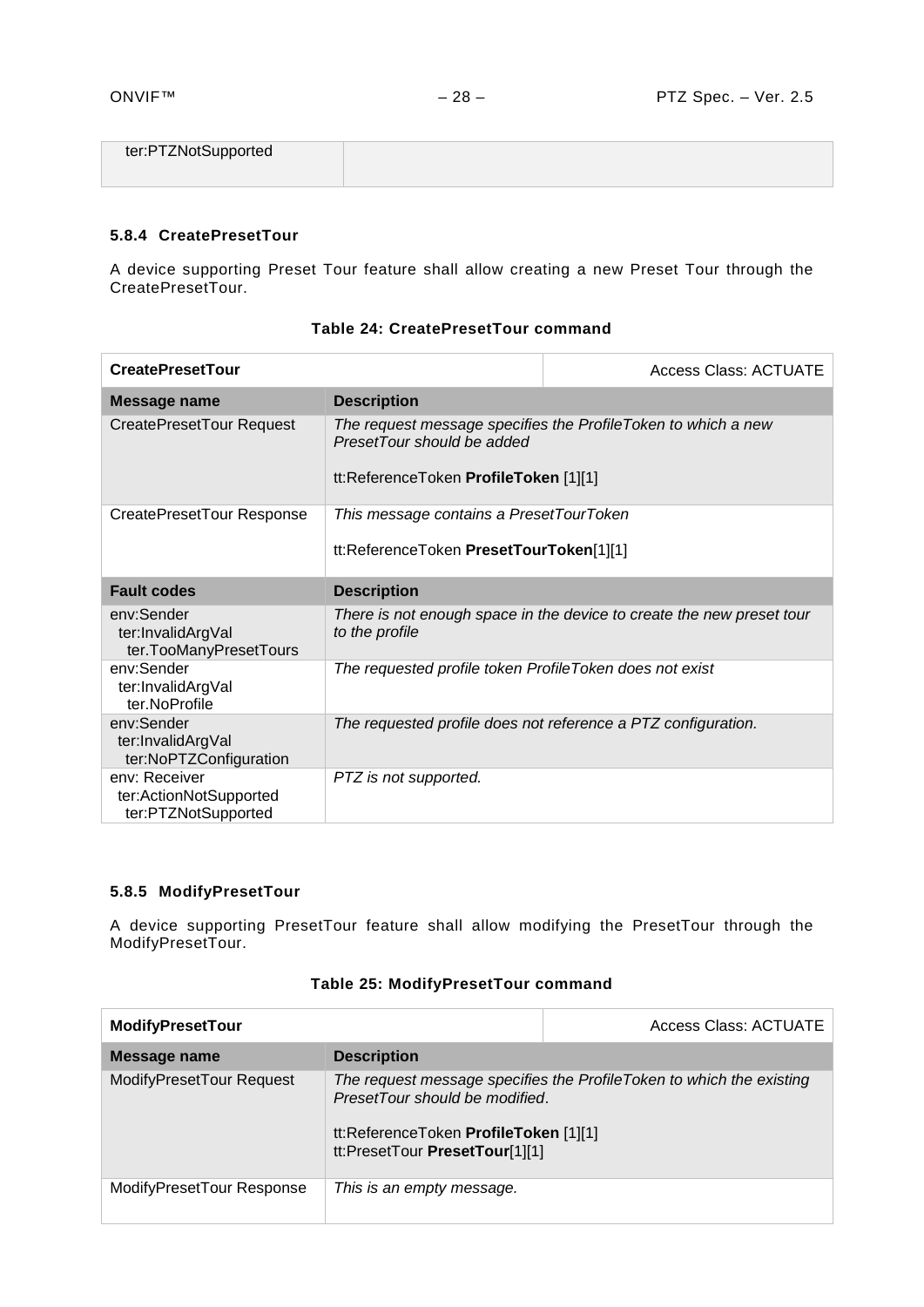| ter:PTZNotSupported |  |
|---------------------|--|
|                     |  |

# <span id="page-27-0"></span>**5.8.4 CreatePresetTour**

A device supporting Preset Tour feature shall allow creating a new Preset Tour through the CreatePresetTour.

| <b>CreatePresetTour</b>                                        |                                                                                                                                       | Access Class: ACTUATE                                                 |
|----------------------------------------------------------------|---------------------------------------------------------------------------------------------------------------------------------------|-----------------------------------------------------------------------|
| <b>Message name</b>                                            | <b>Description</b>                                                                                                                    |                                                                       |
| CreatePresetTour Request                                       | The request message specifies the Profile Token to which a new<br>PresetTour should be added<br>tt:ReferenceToken ProfileToken [1][1] |                                                                       |
| CreatePresetTour Response                                      | This message contains a PresetTourToken<br>tt:ReferenceToken PresetTourToken[1][1]                                                    |                                                                       |
| <b>Fault codes</b>                                             | <b>Description</b>                                                                                                                    |                                                                       |
| env:Sender<br>ter:InvalidArgVal<br>ter.TooManyPresetTours      | to the profile                                                                                                                        | There is not enough space in the device to create the new preset tour |
| env:Sender<br>ter:InvalidArgVal<br>ter.NoProfile               | The requested profile token ProfileToken does not exist                                                                               |                                                                       |
| env:Sender<br>ter:InvalidArgVal<br>ter:NoPTZConfiguration      |                                                                                                                                       | The requested profile does not reference a PTZ configuration.         |
| env: Receiver<br>ter:ActionNotSupported<br>ter:PTZNotSupported | PTZ is not supported.                                                                                                                 |                                                                       |

# **Table 24: CreatePresetTour command**

# <span id="page-27-1"></span>**5.8.5 ModifyPresetTour**

A device supporting PresetTour feature shall allow modifying the PresetTour through the ModifyPresetTour.

| <b>ModifyPresetTour</b>   |                                                                                                           | <b>Access Class: ACTUATE</b>                                         |
|---------------------------|-----------------------------------------------------------------------------------------------------------|----------------------------------------------------------------------|
| Message name              | <b>Description</b>                                                                                        |                                                                      |
| ModifyPresetTour Request  | PresetTour should be modified.<br>tt:ReferenceToken ProfileToken [1][1]<br>tt:PresetTour PresetTour[1][1] | The request message specifies the ProfileToken to which the existing |
| ModifyPresetTour Response | This is an empty message.                                                                                 |                                                                      |

# **Table 25: ModifyPresetTour command**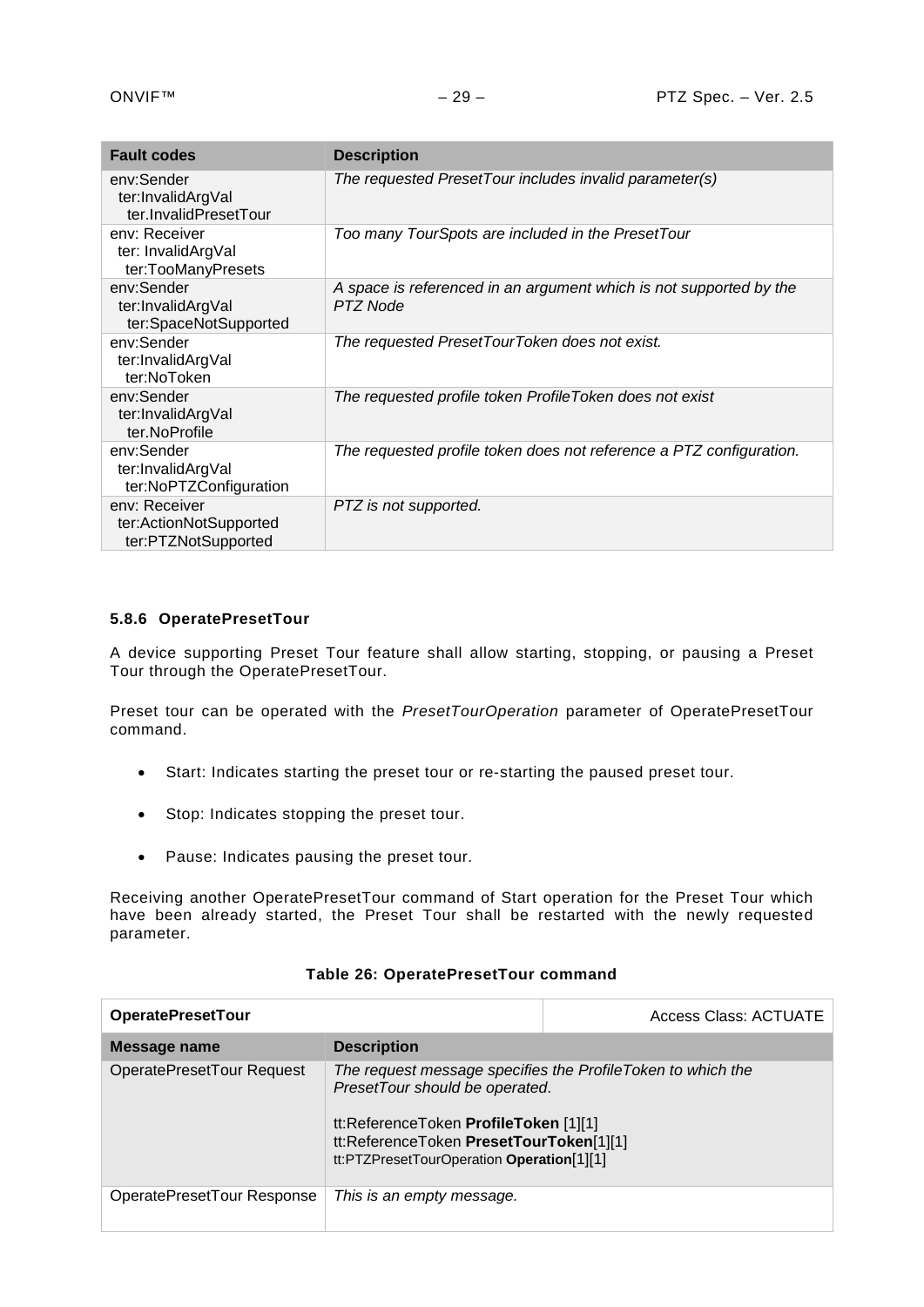| <b>Fault codes</b>                                             | <b>Description</b>                                                             |
|----------------------------------------------------------------|--------------------------------------------------------------------------------|
| env:Sender<br>ter:InvalidArgVal<br>ter.InvalidPresetTour       | The requested PresetTour includes invalid parameter(s)                         |
| env: Receiver<br>ter: InvalidArgVal<br>ter:TooManyPresets      | Too many TourSpots are included in the PresetTour                              |
| env:Sender<br>ter:InvalidArgVal<br>ter:SpaceNotSupported       | A space is referenced in an argument which is not supported by the<br>PTZ Node |
| env:Sender<br>ter:InvalidArgVal<br>ter:NoToken                 | The requested PresetTourToken does not exist.                                  |
| env:Sender<br>ter:InvalidArgVal<br>ter.NoProfile               | The requested profile token ProfileToken does not exist                        |
| env:Sender<br>ter:InvalidArgVal<br>ter:NoPTZConfiguration      | The requested profile token does not reference a PTZ configuration.            |
| env: Receiver<br>ter:ActionNotSupported<br>ter:PTZNotSupported | PTZ is not supported.                                                          |

# <span id="page-28-0"></span>**5.8.6 OperatePresetTour**

A device supporting Preset Tour feature shall allow starting, stopping, or pausing a Preset Tour through the OperatePresetTour.

Preset tour can be operated with the *PresetTourOperation* parameter of OperatePresetTour command.

- Start: Indicates starting the preset tour or re-starting the paused preset tour.
- Stop: Indicates stopping the preset tour.
- Pause: Indicates pausing the preset tour.

Receiving another OperatePresetTour command of Start operation for the Preset Tour which have been already started, the Preset Tour shall be restarted with the newly requested parameter.

| <b>OperatePresetTour</b>   |                                                                                                                                                                 | <b>Access Class: ACTUATE</b>                                |
|----------------------------|-----------------------------------------------------------------------------------------------------------------------------------------------------------------|-------------------------------------------------------------|
| Message name               | <b>Description</b>                                                                                                                                              |                                                             |
| OperatePresetTour Request  | PresetTour should be operated.<br>tt:ReferenceToken ProfileToken [1][1]<br>tt:ReferenceToken PresetTourToken[1][1]<br>tt:PTZPresetTourOperation Operation[1][1] | The request message specifies the ProfileToken to which the |
| OperatePresetTour Response | This is an empty message.                                                                                                                                       |                                                             |

#### **Table 26: OperatePresetTour command**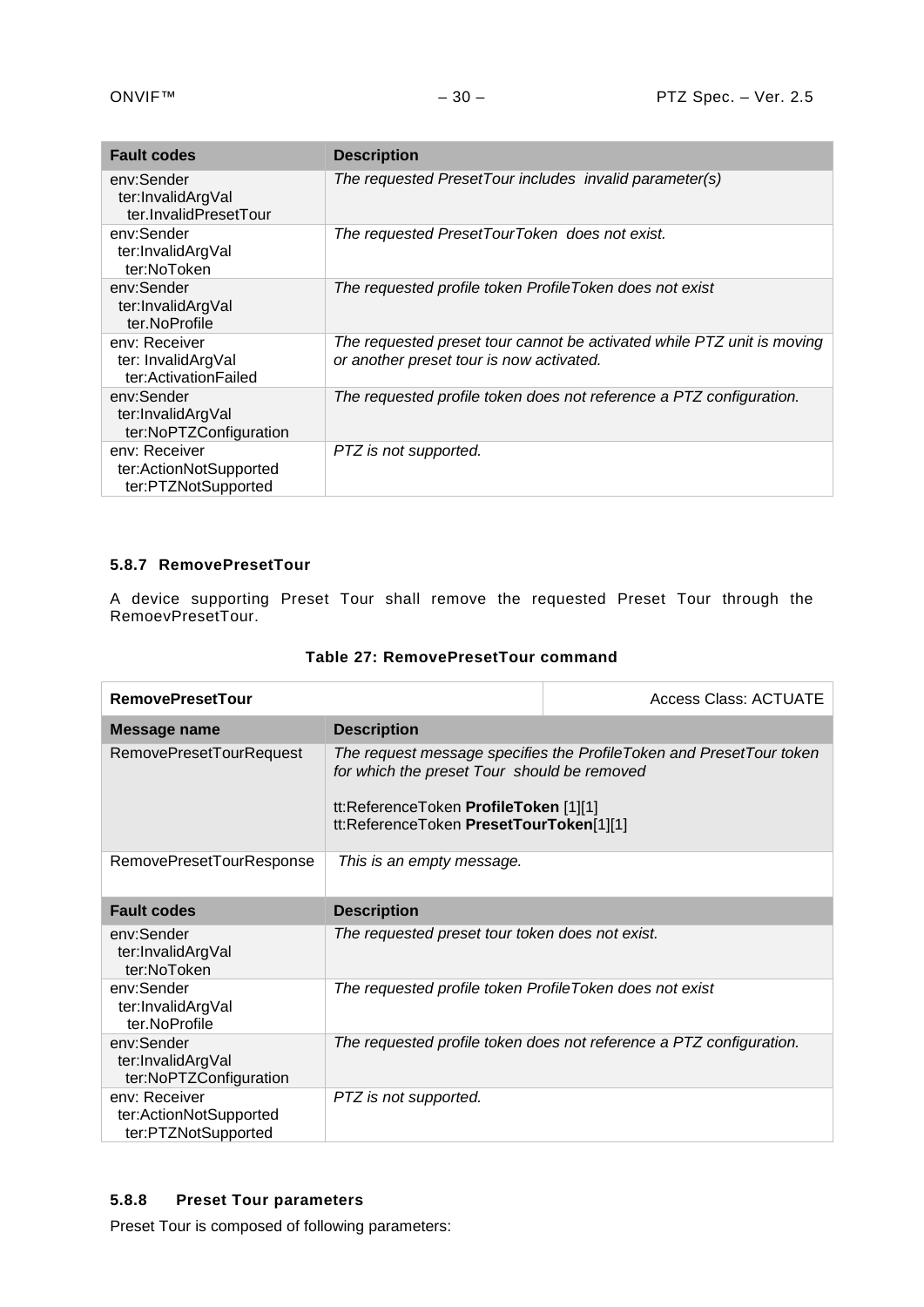| <b>Fault codes</b>                                             | <b>Description</b>                                                                                                 |
|----------------------------------------------------------------|--------------------------------------------------------------------------------------------------------------------|
| env:Sender<br>ter:InvalidArgVal<br>ter.InvalidPresetTour       | The requested PresetTour includes invalid parameter(s)                                                             |
| env:Sender<br>ter:InvalidArgVal<br>ter:NoToken                 | The requested PresetTourToken does not exist.                                                                      |
| env:Sender<br>ter:InvalidArgVal<br>ter.NoProfile               | The requested profile token ProfileToken does not exist                                                            |
| env: Receiver<br>ter: InvalidArgVal<br>ter:ActivationFailed    | The requested preset tour cannot be activated while PTZ unit is moving<br>or another preset tour is now activated. |
| env:Sender<br>ter:InvalidArgVal<br>ter:NoPTZConfiguration      | The requested profile token does not reference a PTZ configuration.                                                |
| env: Receiver<br>ter:ActionNotSupported<br>ter:PTZNotSupported | PTZ is not supported.                                                                                              |

# <span id="page-29-0"></span>**5.8.7 RemovePresetTour**

A device supporting Preset Tour shall remove the requested Preset Tour through the RemoevPresetTour.

# **Table 27: RemovePresetTour command**

| <b>RemovePresetTour</b>                                        |                                                                                                                                                                                                        | <b>Access Class: ACTUATE</b>                                        |  |
|----------------------------------------------------------------|--------------------------------------------------------------------------------------------------------------------------------------------------------------------------------------------------------|---------------------------------------------------------------------|--|
| <b>Message name</b>                                            | <b>Description</b>                                                                                                                                                                                     |                                                                     |  |
| RemovePresetTourRequest                                        | The request message specifies the ProfileToken and PresetTour token<br>for which the preset Tour should be removed<br>tt:ReferenceToken ProfileToken [1][1]<br>tt:ReferenceToken PresetTourToken[1][1] |                                                                     |  |
| RemovePresetTourResponse                                       | This is an empty message.                                                                                                                                                                              |                                                                     |  |
| <b>Fault codes</b>                                             | <b>Description</b>                                                                                                                                                                                     |                                                                     |  |
| env:Sender<br>ter:InvalidArgVal<br>ter:NoToken                 | The requested preset tour token does not exist.                                                                                                                                                        |                                                                     |  |
| env:Sender<br>ter:InvalidArgVal<br>ter.NoProfile               | The requested profile token ProfileToken does not exist                                                                                                                                                |                                                                     |  |
| env:Sender<br>ter:InvalidArgVal<br>ter:NoPTZConfiguration      |                                                                                                                                                                                                        | The requested profile token does not reference a PTZ configuration. |  |
| env: Receiver<br>ter:ActionNotSupported<br>ter:PTZNotSupported | PTZ is not supported.                                                                                                                                                                                  |                                                                     |  |

# <span id="page-29-1"></span>**5.8.8 Preset Tour parameters**

Preset Tour is composed of following parameters: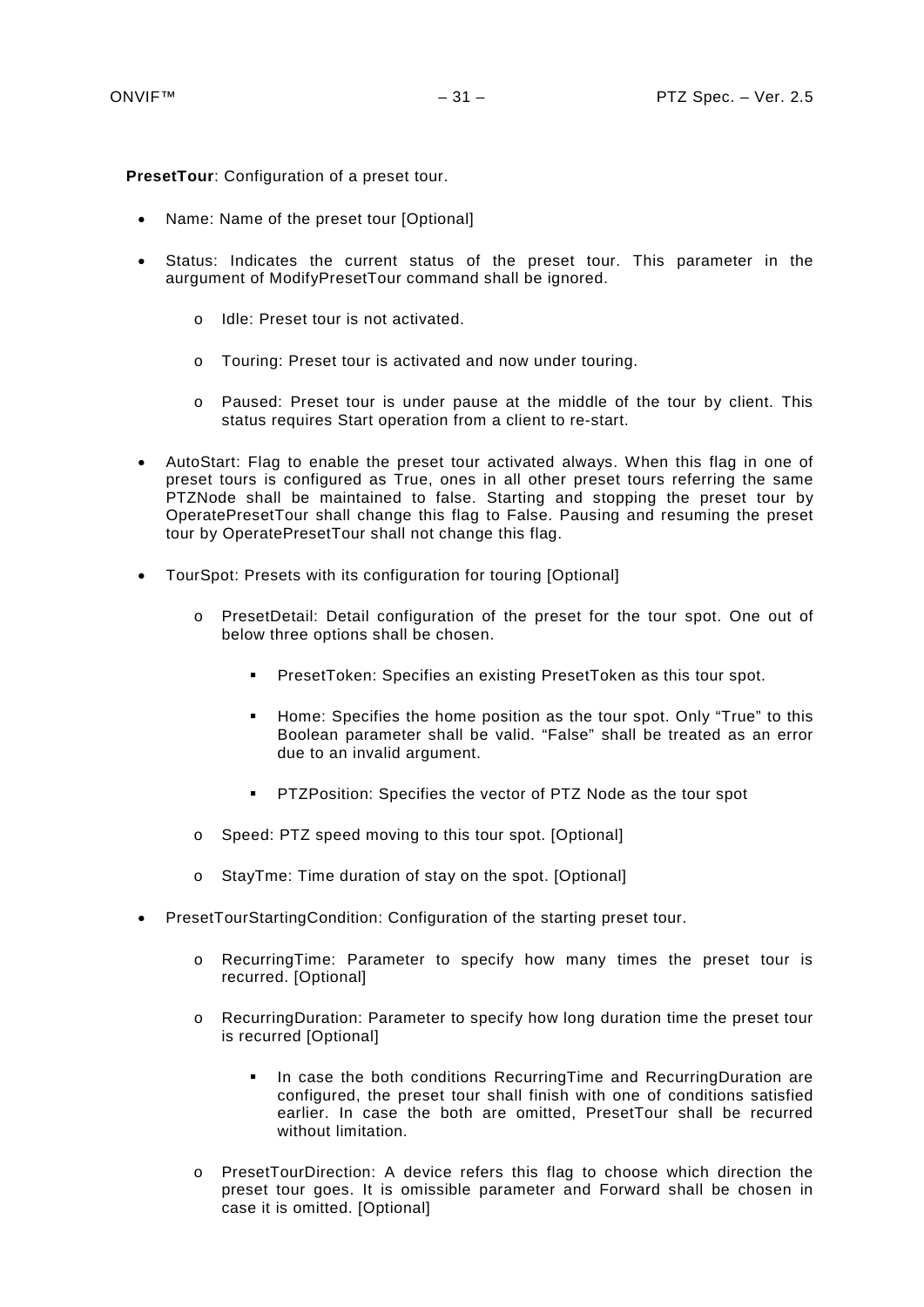**PresetTour**: Configuration of a preset tour.

- Name: Name of the preset tour [Optional]
- Status: Indicates the current status of the preset tour. This parameter in the aurgument of ModifyPresetTour command shall be ignored.
	- o Idle: Preset tour is not activated.
	- o Touring: Preset tour is activated and now under touring.
	- o Paused: Preset tour is under pause at the middle of the tour by client. This status requires Start operation from a client to re-start.
- AutoStart: Flag to enable the preset tour activated always. When this flag in one of preset tours is configured as True, ones in all other preset tours referring the same PTZNode shall be maintained to false. Starting and stopping the preset tour by OperatePresetTour shall change this flag to False. Pausing and resuming the preset tour by OperatePresetTour shall not change this flag.
- TourSpot: Presets with its configuration for touring [Optional]
	- o PresetDetail: Detail configuration of the preset for the tour spot. One out of below three options shall be chosen.
		- **PresetToken: Specifies an existing PresetToken as this tour spot.**
		- **Home: Specifies the home position as the tour spot. Only "True" to this** Boolean parameter shall be valid. "False" shall be treated as an error due to an invalid argument.
		- **PTZPosition: Specifies the vector of PTZ Node as the tour spot**
	- o Speed: PTZ speed moving to this tour spot. [Optional]
	- o StayTme: Time duration of stay on the spot. [Optional]
- PresetTourStartingCondition: Configuration of the starting preset tour.
	- o RecurringTime: Parameter to specify how many times the preset tour is recurred. [Optional]
	- o RecurringDuration: Parameter to specify how long duration time the preset tour is recurred [Optional]
		- **In case the both conditions RecurringTime and RecurringDuration are** configured, the preset tour shall finish with one of conditions satisfied earlier. In case the both are omitted, PresetTour shall be recurred without limitation.
	- o PresetTourDirection: A device refers this flag to choose which direction the preset tour goes. It is omissible parameter and Forward shall be chosen in case it is omitted. [Optional]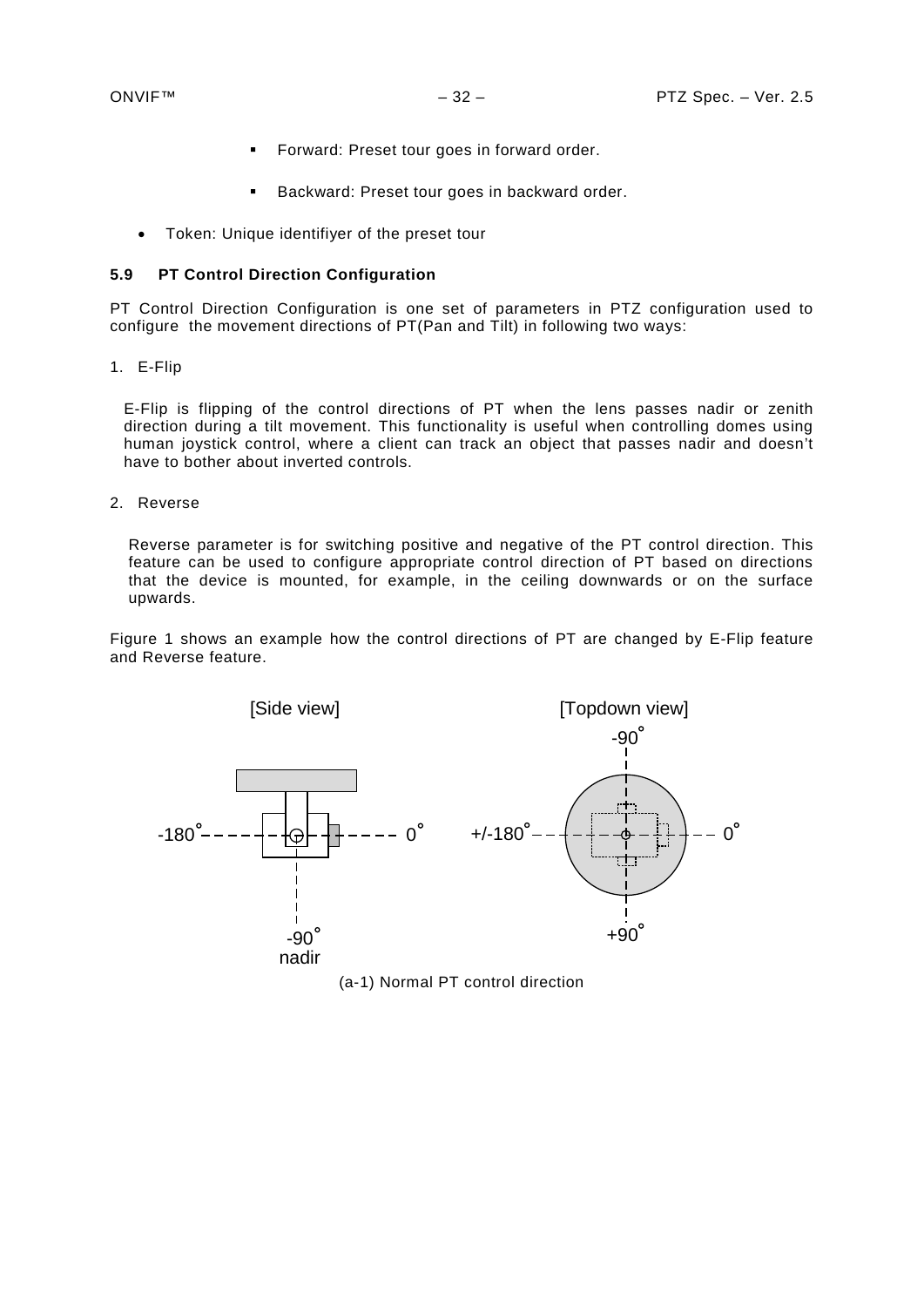- **Forward: Preset tour goes in forward order.**
- **Backward: Preset tour goes in backward order.**
- Token: Unique identifiyer of the preset tour

#### <span id="page-31-0"></span>**5.9 PT Control Direction Configuration**

PT Control Direction Configuration is one set of parameters in PTZ configuration used to configure the movement directions of PT(Pan and Tilt) in following two ways:

1. E-Flip

E-Flip is flipping of the control directions of PT when the lens passes nadir or zenith direction during a tilt movement. This functionality is useful when controlling domes using human joystick control, where a client can track an object that passes nadir and doesn't have to bother about inverted controls.

2. Reverse

Reverse parameter is for switching positive and negative of the PT control direction. This feature can be used to configure appropriate control direction of PT based on directions that the device is mounted, for example, in the ceiling downwards or on the surface upwards.

[Figure 1](#page-32-0) shows an example how the control directions of PT are changed by E-Flip feature and Reverse feature.



(a-1) Normal PT control direction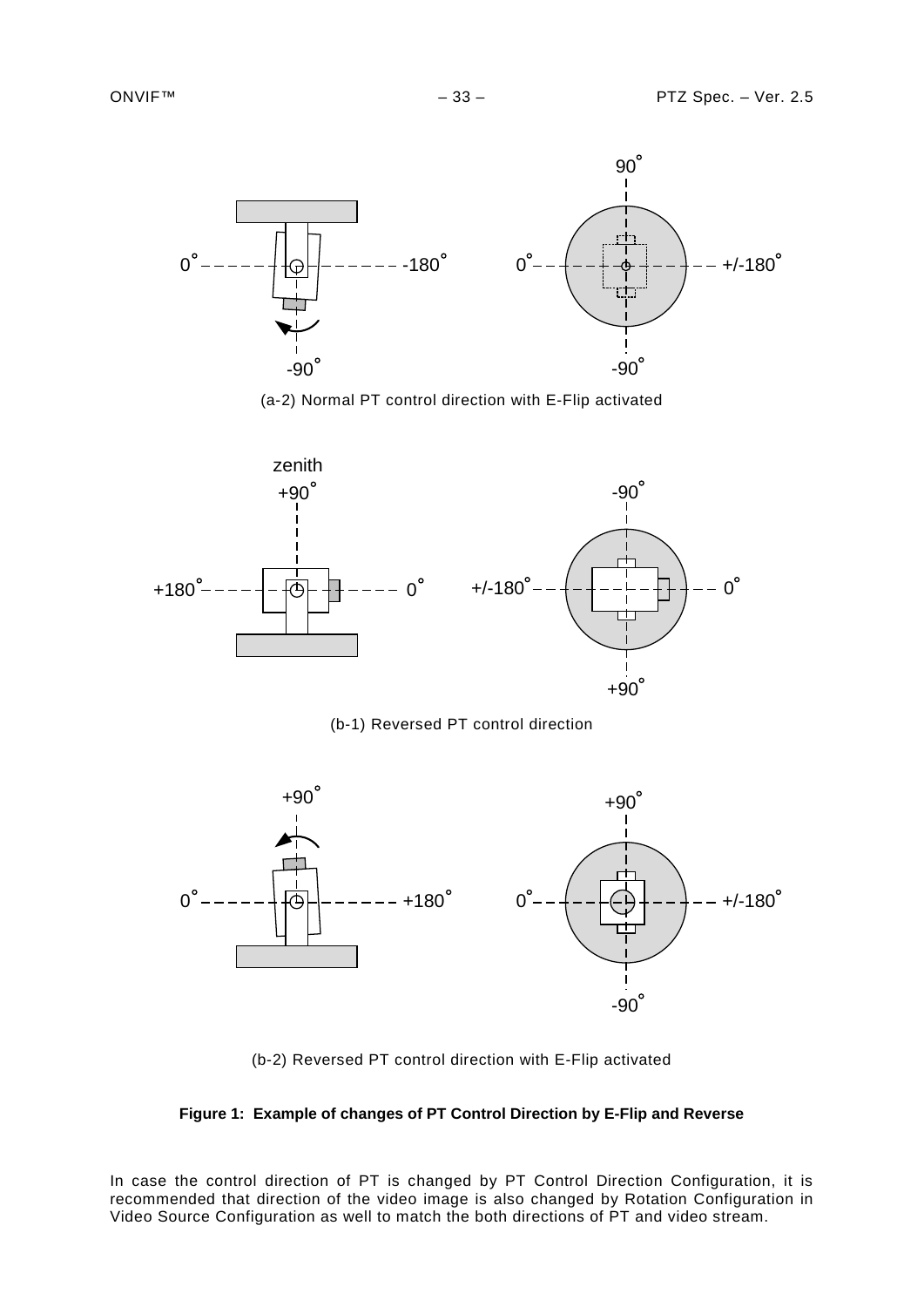









(b-2) Reversed PT control direction with E-Flip activated

<span id="page-32-0"></span>

In case the control direction of PT is changed by PT Control Direction Configuration, it is recommended that direction of the video image is also changed by Rotation Configuration in Video Source Configuration as well to match the both directions of PT and video stream.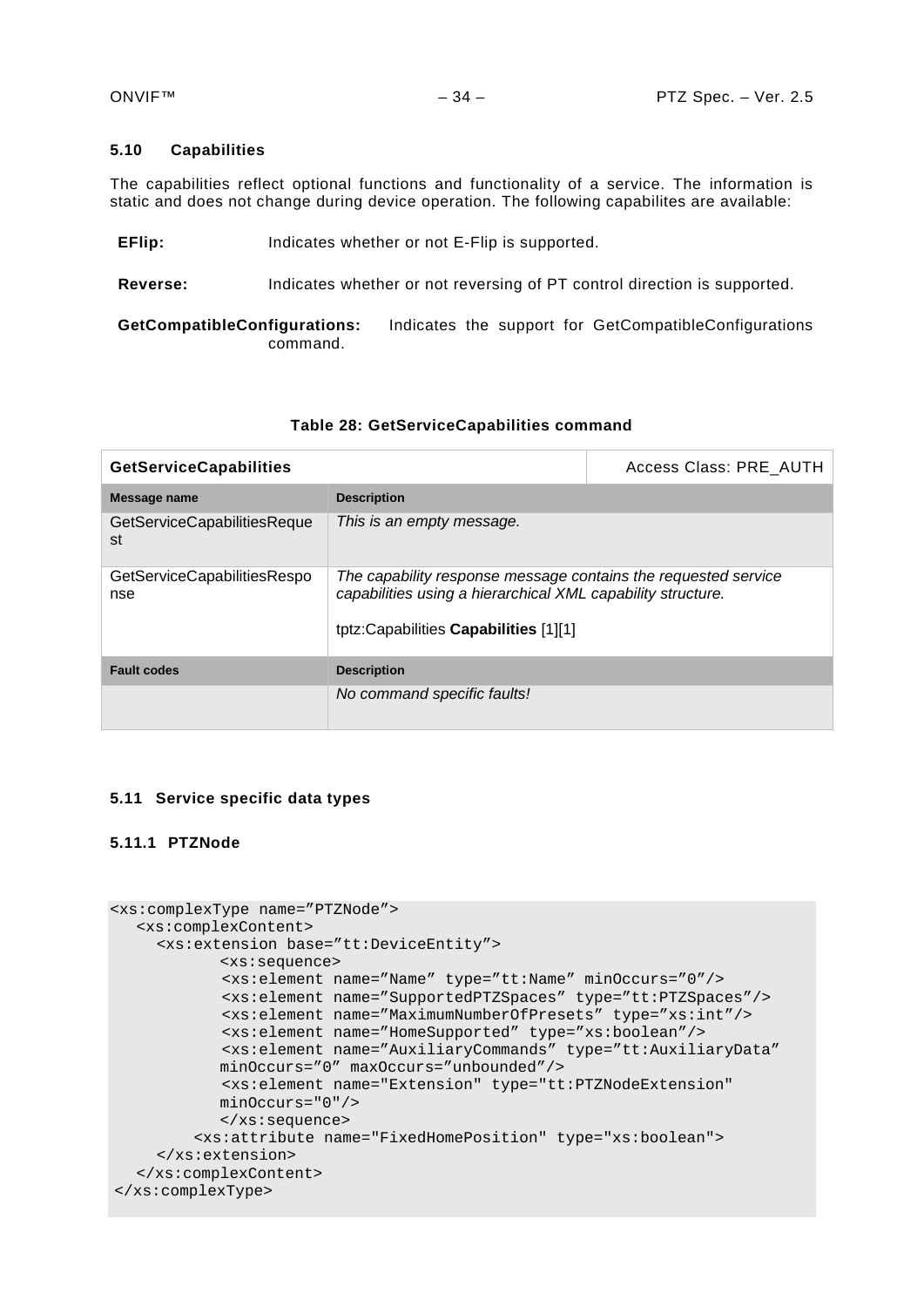# <span id="page-33-0"></span>**5.10 Capabilities**

The capabilities reflect optional functions and functionality of a service. The information is static and does not change during device operation. The following capabilites are available:

**EFIIP:** Indicates whether or not E-FIIP is supported.

**Reverse:** Indicates whether or not reversing of PT control direction is supported.

**GetCompatibleConfigurations:** Indicates the support for GetCompatibleConfigurations command.

# **Table 28: GetServiceCapabilities command**

| <b>GetServiceCapabilities</b>      |                                                                                                                                                                        | Access Class: PRE AUTH |
|------------------------------------|------------------------------------------------------------------------------------------------------------------------------------------------------------------------|------------------------|
| Message name                       | <b>Description</b>                                                                                                                                                     |                        |
| GetServiceCapabilitiesReque<br>st  | This is an empty message.                                                                                                                                              |                        |
| GetServiceCapabilitiesRespo<br>nse | The capability response message contains the requested service<br>capabilities using a hierarchical XML capability structure.<br>tptz:Capabilities Capabilities [1][1] |                        |
| <b>Fault codes</b>                 | <b>Description</b>                                                                                                                                                     |                        |
|                                    | No command specific faults!                                                                                                                                            |                        |

# <span id="page-33-1"></span>**5.11 Service specific data types**

# <span id="page-33-2"></span>**5.11.1 PTZNode**

```
<xs:complexType name="PTZNode">
  <xs:complexContent>
     <xs:extension base="tt:DeviceEntity">
           <xs:sequence>
            <xs:element name="Name" type="tt:Name" minOccurs="0"/>
            <xs:element name="SupportedPTZSpaces" type="tt:PTZSpaces"/>
            <xs:element name="MaximumNumberOfPresets" type="xs:int"/>
            <xs:element name="HomeSupported" type="xs:boolean"/>
            <xs:element name="AuxiliaryCommands" type="tt:AuxiliaryData"
           minOccurs="0" maxOccurs="unbounded"/>
            <xs:element name="Extension" type="tt:PTZNodeExtension" 
           minOccurs="0"/>
           </xs:sequence>
          <xs:attribute name="FixedHomePosition" type="xs:boolean">
     </xs:extension>
  </xs:complexContent>
</xs:complexType>
```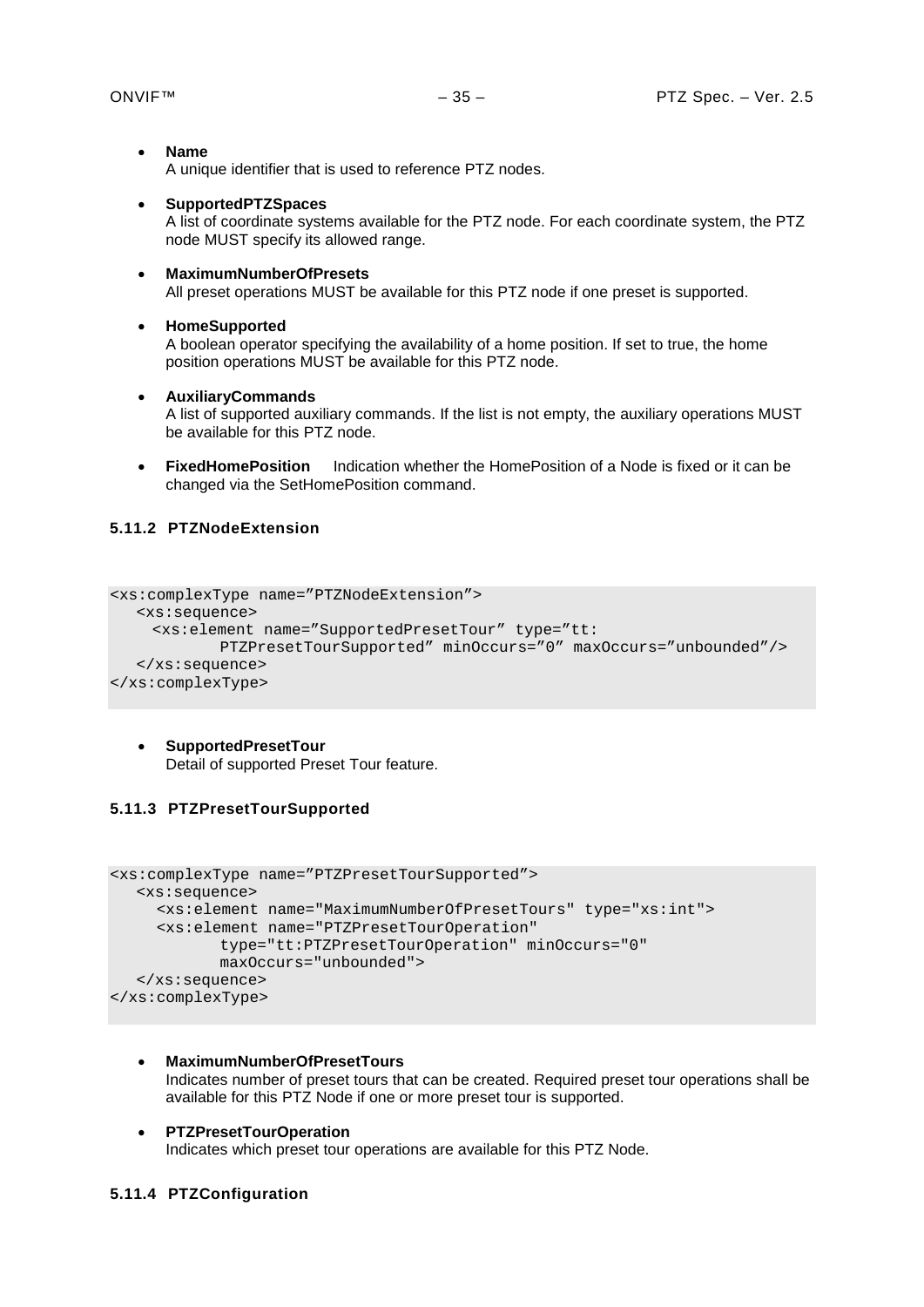- **Name** A unique identifier that is used to reference PTZ nodes.
- **SupportedPTZSpaces**

A list of coordinate systems available for the PTZ node. For each coordinate system, the PTZ node MUST specify its allowed range.

- **MaximumNumberOfPresets** All preset operations MUST be available for this PTZ node if one preset is supported.
- **HomeSupported**

A boolean operator specifying the availability of a home position. If set to true, the home position operations MUST be available for this PTZ node.

#### • **AuxiliaryCommands**

A list of supported auxiliary commands. If the list is not empty, the auxiliary operations MUST be available for this PTZ node.

• **FixedHomePosition** Indication whether the HomePosition of a Node is fixed or it can be changed via the SetHomePosition command.

# <span id="page-34-0"></span>**5.11.2 PTZNodeExtension**

```
<xs:complexType name="PTZNodeExtension">
  <xs:sequence>
    <xs:element name="SupportedPresetTour" type="tt:
           PTZPresetTourSupported" minOccurs="0" maxOccurs="unbounded"/>
  </xs:sequence>
</xs:complexType>
```
• **SupportedPresetTour** Detail of supported Preset Tour feature.

# <span id="page-34-1"></span>**5.11.3 PTZPresetTourSupported**

```
<xs:complexType name="PTZPresetTourSupported">
  <xs:sequence>
    <xs:element name="MaximumNumberOfPresetTours" type="xs:int">
    <xs:element name="PTZPresetTourOperation" 
           type="tt:PTZPresetTourOperation" minOccurs="0" 
           maxOccurs="unbounded">
  </xs:sequence>
</xs:complexType>
```
- **MaximumNumberOfPresetTours** Indicates number of preset tours that can be created. Required preset tour operations shall be available for this PTZ Node if one or more preset tour is supported.
- **PTZPresetTourOperation** Indicates which preset tour operations are available for this PTZ Node.

# <span id="page-34-2"></span>**5.11.4 PTZConfiguration**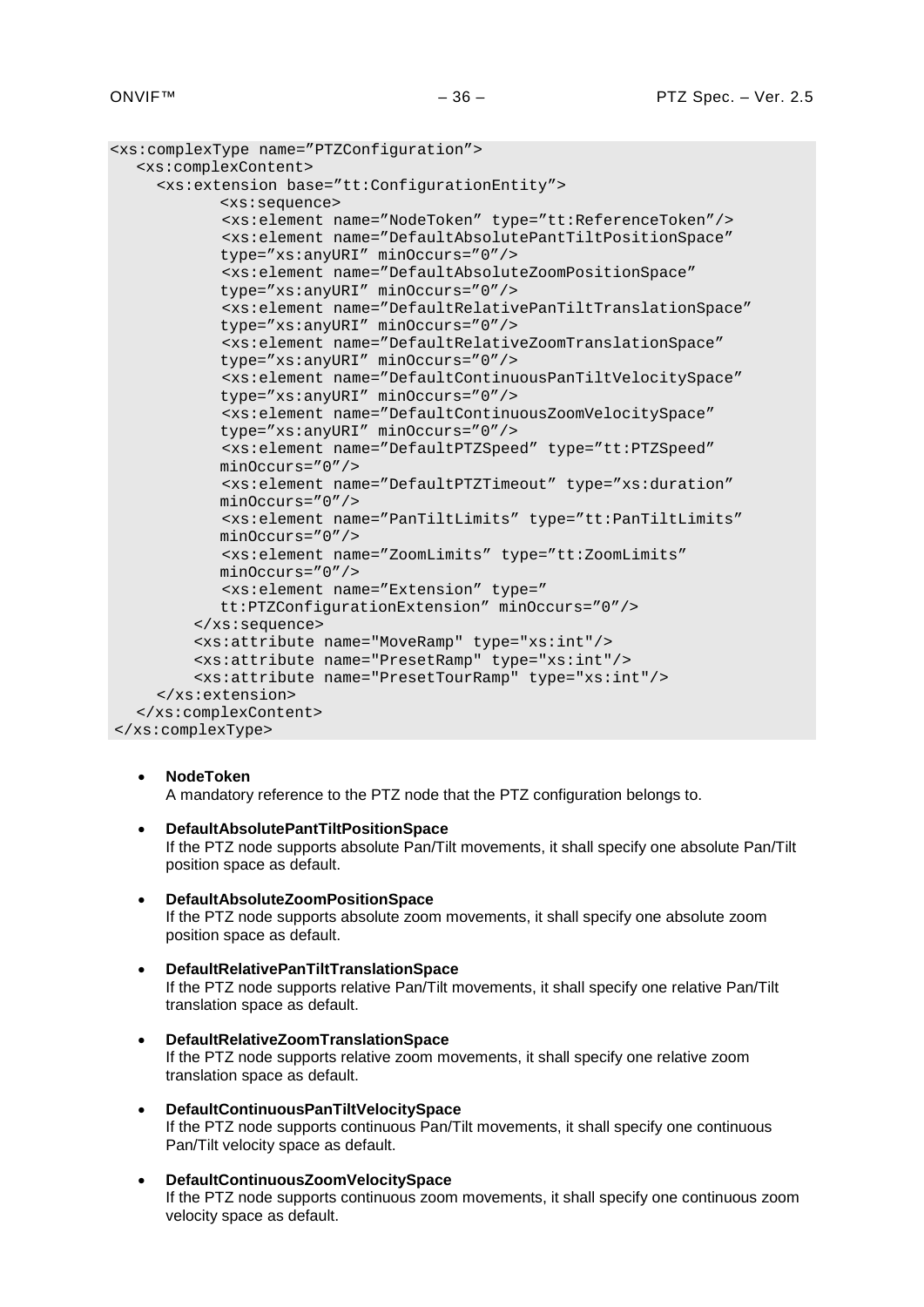```
<xs:complexType name="PTZConfiguration">
  <xs:complexContent>
    <xs:extension base="tt:ConfigurationEntity">
           <xs:sequence>
            <xs:element name="NodeToken" type="tt:ReferenceToken"/>
            <xs:element name="DefaultAbsolutePantTiltPositionSpace"
           type="xs:anyURI" minOccurs="0"/>
            <xs:element name="DefaultAbsoluteZoomPositionSpace"
           type="xs:anyURI" minOccurs="0"/>
            <xs:element name="DefaultRelativePanTiltTranslationSpace"
           type="xs:anyURI" minOccurs="0"/>
            <xs:element name="DefaultRelativeZoomTranslationSpace"
           type="xs:anyURI" minOccurs="0"/>
            <xs:element name="DefaultContinuousPanTiltVelocitySpace"
           type="xs:anyURI" minOccurs="0"/>
            <xs:element name="DefaultContinuousZoomVelocitySpace"
           type="xs:anyURI" minOccurs="0"/>
            <xs:element name="DefaultPTZSpeed" type="tt:PTZSpeed"
           minOccurs="0"/>
           <xs:element name="DefaultPTZTimeout" type="xs:duration"
           minOccurs="0"/>
           <xs:element name="PanTiltLimits" type="tt:PanTiltLimits"
           minOccurs="0"/>
           <xs:element name="ZoomLimits" type="tt:ZoomLimits"
           minOccurs="0"/>
            <xs:element name="Extension" type="
           tt:PTZConfigurationExtension" minOccurs="0"/>
          </xs:sequence>
          <xs:attribute name="MoveRamp" type="xs:int"/>
          <xs:attribute name="PresetRamp" type="xs:int"/>
          <xs:attribute name="PresetTourRamp" type="xs:int"/>
     </xs:extension>
  </xs:complexContent>
</xs:complexType>
```
• **NodeToken** A mandatory reference to the PTZ node that the PTZ configuration belongs to.

• **DefaultAbsolutePantTiltPositionSpace**

- If the PTZ node supports absolute Pan/Tilt movements, it shall specify one absolute Pan/Tilt position space as default.
- **DefaultAbsoluteZoomPositionSpace** If the PTZ node supports absolute zoom movements, it shall specify one absolute zoom position space as default.
- **DefaultRelativePanTiltTranslationSpace** If the PTZ node supports relative Pan/Tilt movements, it shall specify one relative Pan/Tilt translation space as default.
- **DefaultRelativeZoomTranslationSpace** If the PTZ node supports relative zoom movements, it shall specify one relative zoom translation space as default.
- **DefaultContinuousPanTiltVelocitySpace** If the PTZ node supports continuous Pan/Tilt movements, it shall specify one continuous Pan/Tilt velocity space as default.
- **DefaultContinuousZoomVelocitySpace** If the PTZ node supports continuous zoom movements, it shall specify one continuous zoom velocity space as default.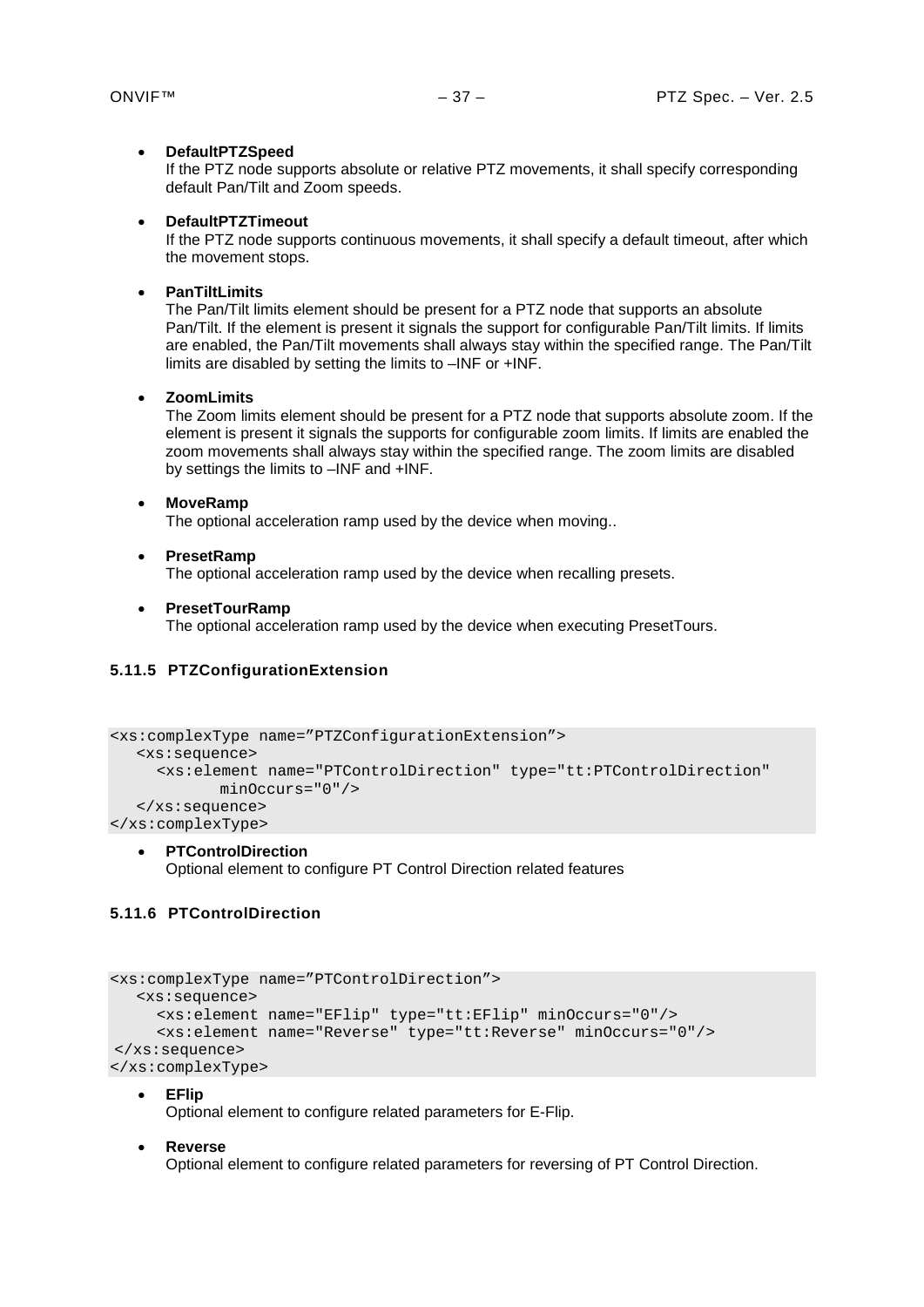#### • **DefaultPTZSpeed**

If the PTZ node supports absolute or relative PTZ movements, it shall specify corresponding default Pan/Tilt and Zoom speeds.

#### • **DefaultPTZTimeout**

If the PTZ node supports continuous movements, it shall specify a default timeout, after which the movement stops.

# • **PanTiltLimits**

The Pan/Tilt limits element should be present for a PTZ node that supports an absolute Pan/Tilt. If the element is present it signals the support for configurable Pan/Tilt limits. If limits are enabled, the Pan/Tilt movements shall always stay within the specified range. The Pan/Tilt limits are disabled by setting the limits to –INF or +INF.

#### • **ZoomLimits**

The Zoom limits element should be present for a PTZ node that supports absolute zoom. If the element is present it signals the supports for configurable zoom limits. If limits are enabled the zoom movements shall always stay within the specified range. The zoom limits are disabled by settings the limits to –INF and +INF.

#### • **MoveRamp**

The optional acceleration ramp used by the device when moving..

#### • **PresetRamp**

The optional acceleration ramp used by the device when recalling presets.

#### • **PresetTourRamp**

The optional acceleration ramp used by the device when executing PresetTours.

# <span id="page-36-0"></span>**5.11.5 PTZConfigurationExtension**

```
<xs:complexType name="PTZConfigurationExtension">
  <xs:sequence>
    <xs:element name="PTControlDirection" type="tt:PTControlDirection" 
           minOccurs="0"/>
  </xs:sequence>
</xs:complexType>
```
• **PTControlDirection** Optional element to configure PT Control Direction related features

# <span id="page-36-1"></span>**5.11.6 PTControlDirection**

```
<xs:complexType name="PTControlDirection">
  <xs:sequence>
    <xs:element name="EFlip" type="tt:EFlip" minOccurs="0"/>
    <xs:element name="Reverse" type="tt:Reverse" minOccurs="0"/>
</xs:sequence>
</xs:complexType>
```
#### • **EFlip**

Optional element to configure related parameters for E-Flip.

#### • **Reverse**

Optional element to configure related parameters for reversing of PT Control Direction.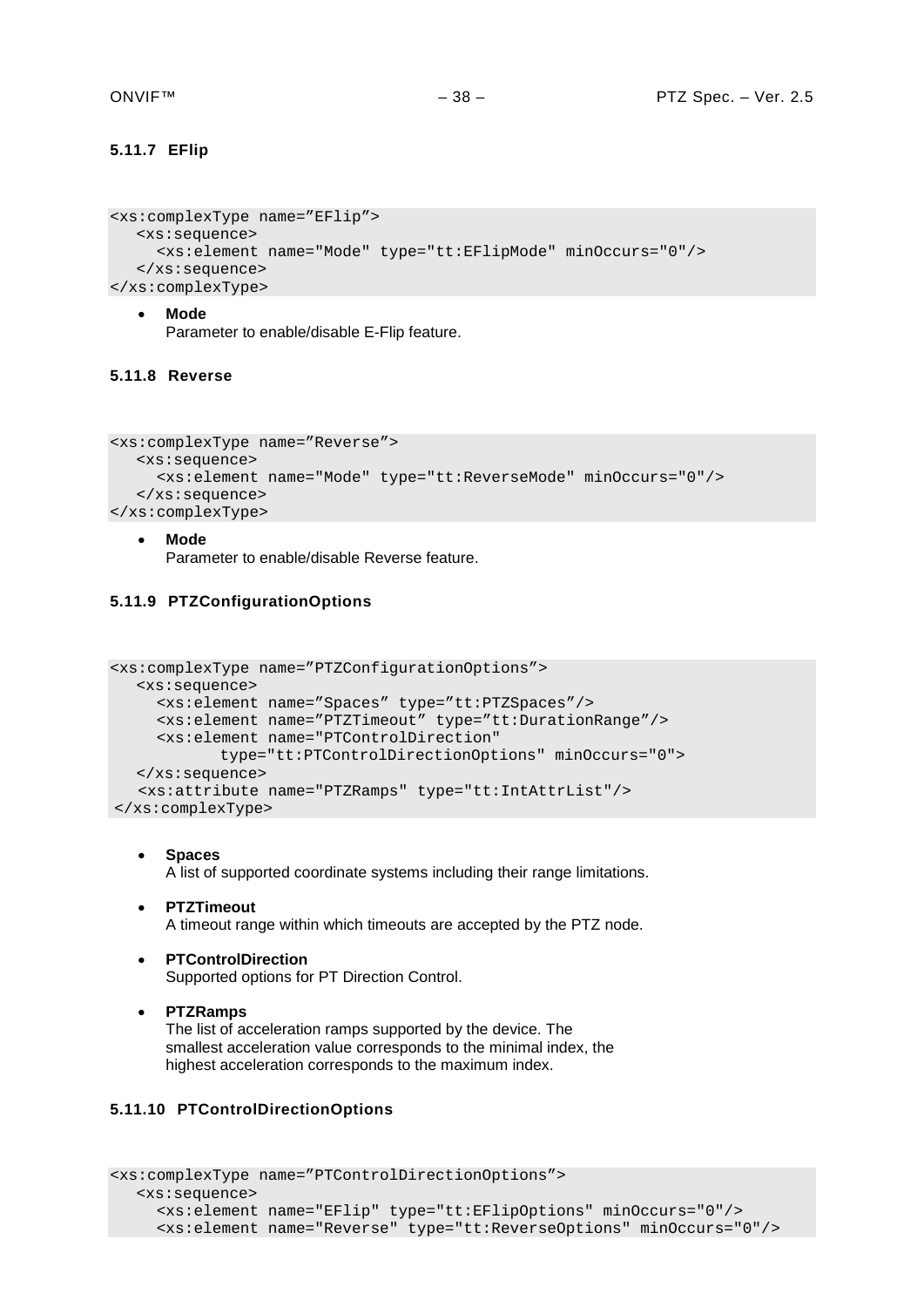# <span id="page-37-0"></span>**5.11.7 EFlip**

```
<xs:complexType name="EFlip">
  <xs:sequence>
     <xs:element name="Mode" type="tt:EFlipMode" minOccurs="0"/>
   </xs:sequence>
</xs:complexType>
```
#### • **Mode**

Parameter to enable/disable E-Flip feature.

# <span id="page-37-1"></span>**5.11.8 Reverse**

```
<xs:complexType name="Reverse">
  <xs:sequence>
     <xs:element name="Mode" type="tt:ReverseMode" minOccurs="0"/>
  </xs:sequence>
</xs:complexType>
```
#### • **Mode** Parameter to enable/disable Reverse feature.

# <span id="page-37-2"></span>**5.11.9 PTZConfigurationOptions**

```
<xs:complexType name="PTZConfigurationOptions">
  <xs:sequence>
    <xs:element name="Spaces" type="tt:PTZSpaces"/>
    <xs:element name="PTZTimeout" type="tt:DurationRange"/>
    <xs:element name="PTControlDirection" 
            type="tt:PTControlDirectionOptions" minOccurs="0">
  </xs:sequence>
    <xs:attribute name="PTZRamps" type="tt:IntAttrList"/>
</xs:complexType>
```
- **Spaces** A list of supported coordinate systems including their range limitations.
- **PTZTimeout** A timeout range within which timeouts are accepted by the PTZ node.
- **PTControlDirection** Supported options for PT Direction Control.
- **PTZRamps** The list of acceleration ramps supported by the device. The smallest acceleration value corresponds to the minimal index, the highest acceleration corresponds to the maximum index.

# <span id="page-37-3"></span>**5.11.10 PTControlDirectionOptions**

```
<xs:complexType name="PTControlDirectionOptions">
  <xs:sequence>
     <xs:element name="EFlip" type="tt:EFlipOptions" minOccurs="0"/>
     <xs:element name="Reverse" type="tt:ReverseOptions" minOccurs="0"/>
```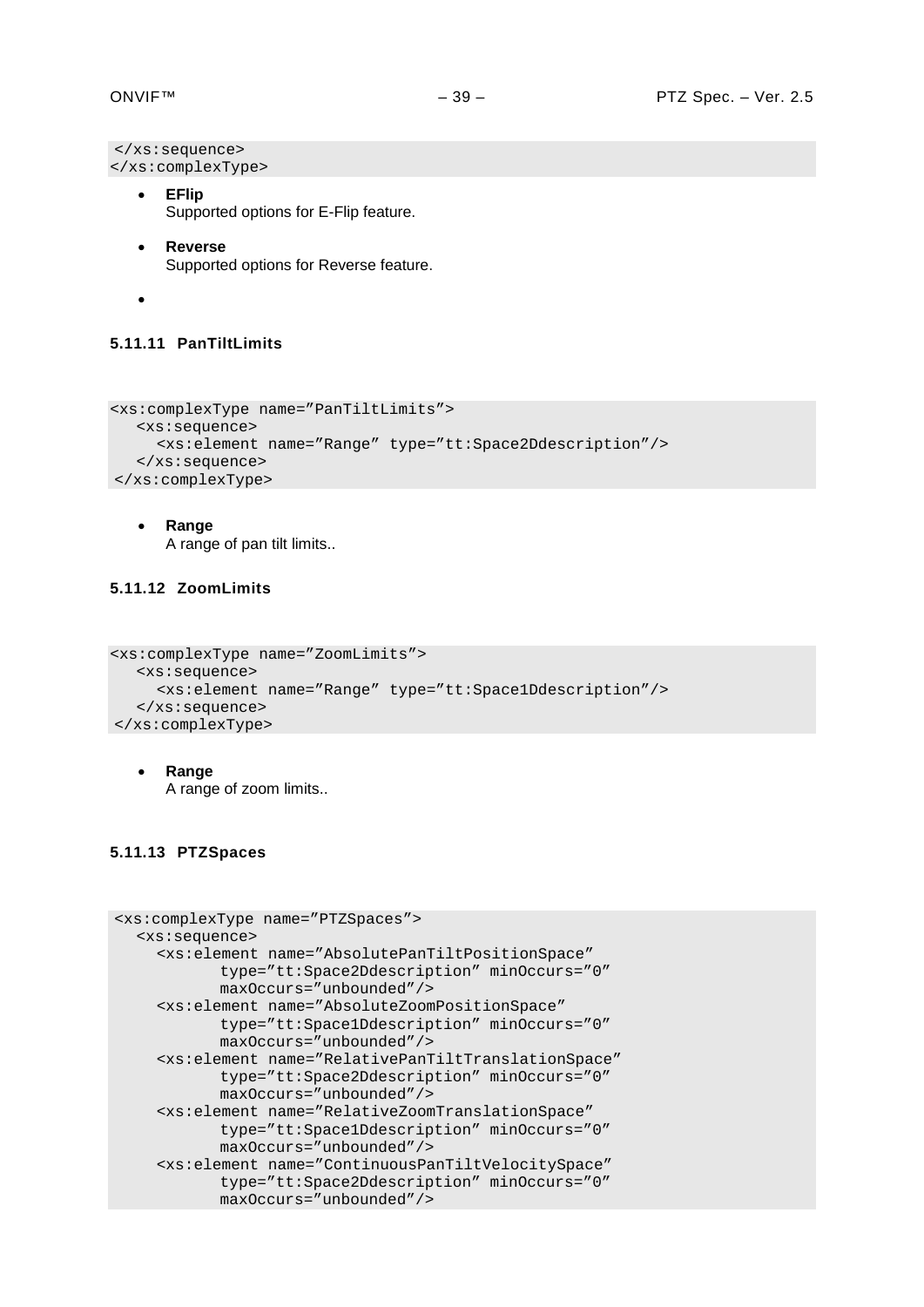```
</xs:sequence>
</xs:complexType>
```
- **EFlip** Supported options for E-Flip feature.
- **Reverse** Supported options for Reverse feature.
- •

#### <span id="page-38-0"></span>**5.11.11 PanTiltLimits**

```
<xs:complexType name="PanTiltLimits">
  <xs:sequence>
     <xs:element name="Range" type="tt:Space2Ddescription"/>
   </xs:sequence>
</xs:complexType>
```
• **Range**

A range of pan tilt limits..

# <span id="page-38-1"></span>**5.11.12 ZoomLimits**

```
<xs:complexType name="ZoomLimits">
  <xs:sequence>
     <xs:element name="Range" type="tt:Space1Ddescription"/>
  </xs:sequence>
</xs:complexType>
```
• **Range** A range of zoom limits..

# <span id="page-38-2"></span>**5.11.13 PTZSpaces**

```
<xs:complexType name="PTZSpaces">
  <xs:sequence>
    <xs:element name="AbsolutePanTiltPositionSpace"
           type="tt:Space2Ddescription" minOccurs="0"
           maxOccurs="unbounded"/>
    <xs:element name="AbsoluteZoomPositionSpace"
           type="tt:Space1Ddescription" minOccurs="0"
           maxOccurs="unbounded"/>
    <xs:element name="RelativePanTiltTranslationSpace"
           type="tt:Space2Ddescription" minOccurs="0"
           maxOccurs="unbounded"/>
    <xs:element name="RelativeZoomTranslationSpace"
           type="tt:Space1Ddescription" minOccurs="0"
           maxOccurs="unbounded"/>
    <xs:element name="ContinuousPanTiltVelocitySpace"
           type="tt:Space2Ddescription" minOccurs="0"
           maxOccurs="unbounded"/>
```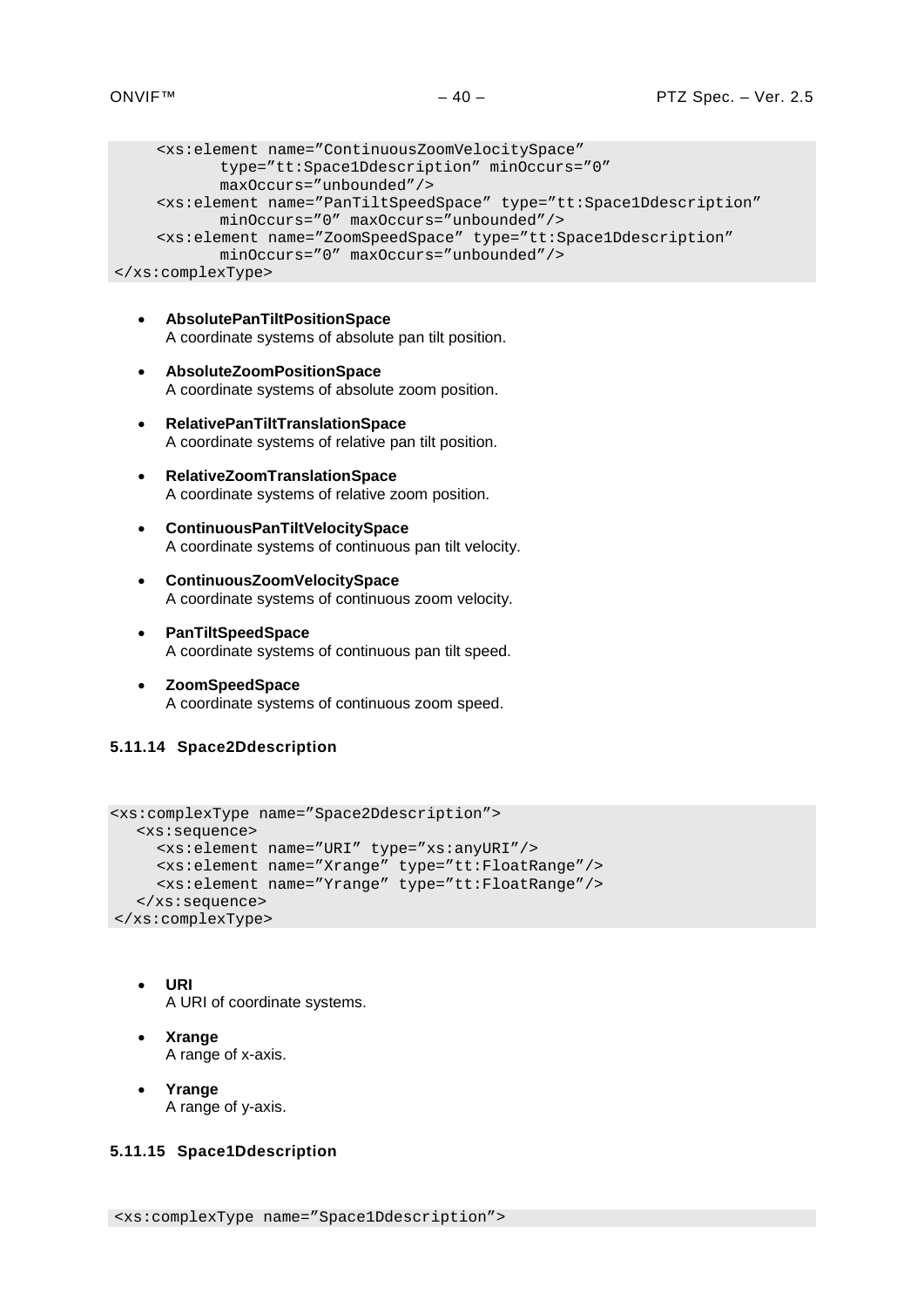```
<xs:element name="ContinuousZoomVelocitySpace"
           type="tt:Space1Ddescription" minOccurs="0"
           maxOccurs="unbounded"/>
    <xs:element name="PanTiltSpeedSpace" type="tt:Space1Ddescription"
           minOccurs="0" maxOccurs="unbounded"/>
    <xs:element name="ZoomSpeedSpace" type="tt:Space1Ddescription"
           minOccurs="0" maxOccurs="unbounded"/>
</xs:complexType>
```
- **AbsolutePanTiltPositionSpace** A coordinate systems of absolute pan tilt position.
- **AbsoluteZoomPositionSpace** A coordinate systems of absolute zoom position.
- **RelativePanTiltTranslationSpace** A coordinate systems of relative pan tilt position.
- **RelativeZoomTranslationSpace** A coordinate systems of relative zoom position.
- **ContinuousPanTiltVelocitySpace** A coordinate systems of continuous pan tilt velocity.
- **ContinuousZoomVelocitySpace** A coordinate systems of continuous zoom velocity.
- **PanTiltSpeedSpace** A coordinate systems of continuous pan tilt speed.
- **ZoomSpeedSpace** A coordinate systems of continuous zoom speed.

# <span id="page-39-0"></span>**5.11.14 Space2Ddescription**

```
<xs:complexType name="Space2Ddescription">
  <xs:sequence>
    <xs:element name="URI" type="xs:anyURI"/>
    <xs:element name="Xrange" type="tt:FloatRange"/>
    <xs:element name="Yrange" type="tt:FloatRange"/>
  </xs:sequence>
</xs:complexType>
```
- **URI** A URI of coordinate systems.
- **Xrange** A range of x-axis.
- **Yrange** A range of y-axis.

# <span id="page-39-1"></span>**5.11.15 Space1Ddescription**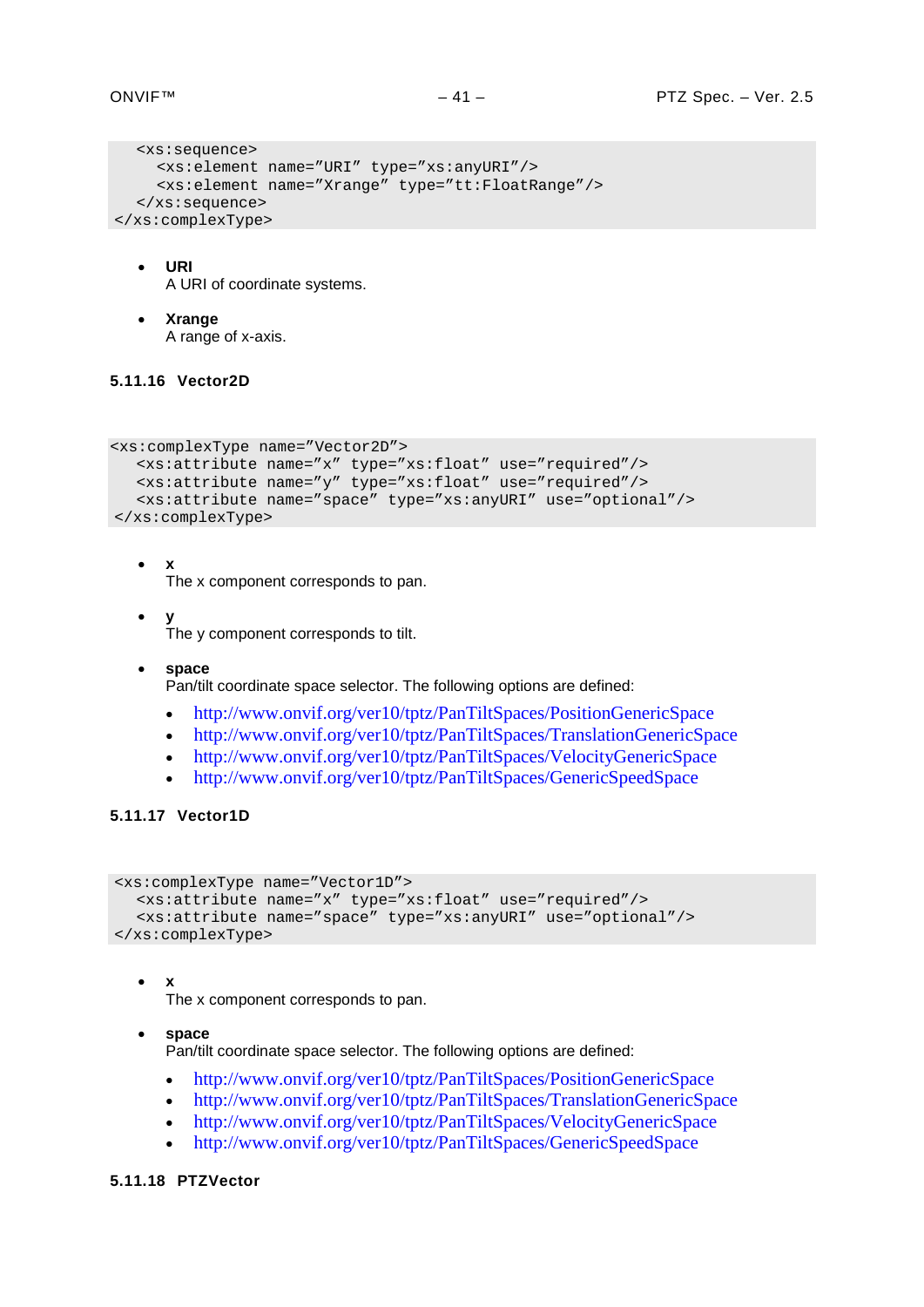```
<xs:sequence>
    <xs:element name="URI" type="xs:anyURI"/>
    <xs:element name="Xrange" type="tt:FloatRange"/>
  </xs:sequence>
</xs:complexType>
```
- **URI** A URI of coordinate systems.
- **Xrange**

A range of x-axis.

# <span id="page-40-0"></span>**5.11.16 Vector2D**

```
<xs:complexType name="Vector2D">
  <xs:attribute name="x" type="xs:float" use="required"/>
  <xs:attribute name="y" type="xs:float" use="required"/>
  <xs:attribute name="space" type="xs:anyURI" use="optional"/>
</xs:complexType>
```
• **x**

The x component corresponds to pan.

- **y** The y component corresponds to tilt.
- **space**

Pan/tilt coordinate space selector. The following options are defined:

- <http://www.onvif.org/ver10/tptz/PanTiltSpaces/PositionGenericSpace>
- <http://www.onvif.org/ver10/tptz/PanTiltSpaces/TranslationGenericSpace>
- <http://www.onvif.org/ver10/tptz/PanTiltSpaces/VelocityGenericSpace>
- <http://www.onvif.org/ver10/tptz/PanTiltSpaces/GenericSpeedSpace>

# <span id="page-40-1"></span>**5.11.17 Vector1D**

```
<xs:complexType name="Vector1D">
  <xs:attribute name="x" type="xs:float" use="required"/>
  <xs:attribute name="space" type="xs:anyURI" use="optional"/>
</xs:complexType>
```
• **x**

The x component corresponds to pan.

- **space** Pan/tilt coordinate space selector. The following options are defined:
	- <http://www.onvif.org/ver10/tptz/PanTiltSpaces/PositionGenericSpace>
	- <http://www.onvif.org/ver10/tptz/PanTiltSpaces/TranslationGenericSpace>
	- <http://www.onvif.org/ver10/tptz/PanTiltSpaces/VelocityGenericSpace>
	- <http://www.onvif.org/ver10/tptz/PanTiltSpaces/GenericSpeedSpace>

# <span id="page-40-2"></span>**5.11.18 PTZVector**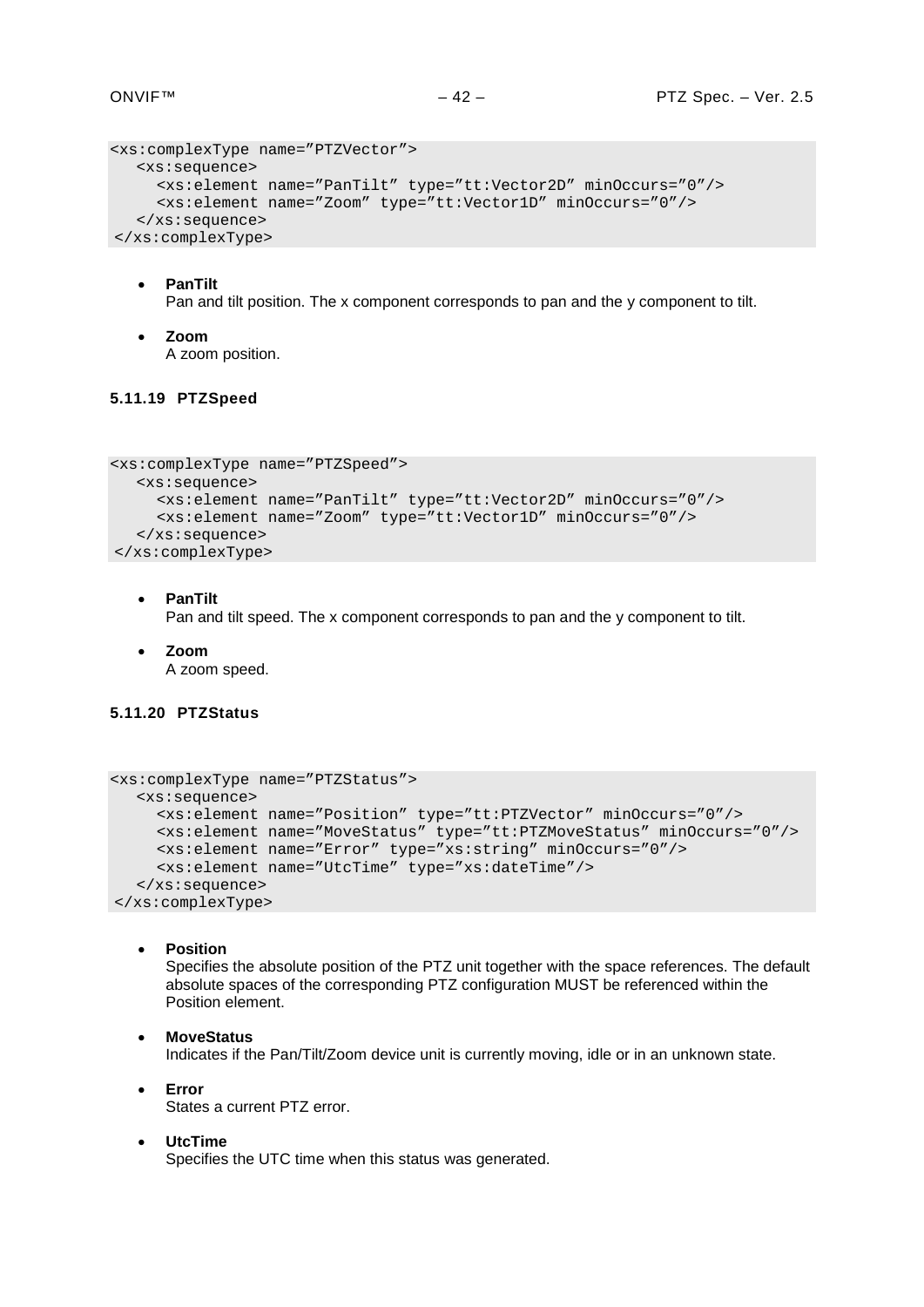```
<xs:complexType name="PTZVector">
  <xs:sequence>
    <xs:element name="PanTilt" type="tt:Vector2D" minOccurs="0"/>
    <xs:element name="Zoom" type="tt:Vector1D" minOccurs="0"/>
  </xs:sequence>
</xs:complexType>
```
• **PanTilt**

Pan and tilt position. The x component corresponds to pan and the y component to tilt.

• **Zoom** A zoom position.

# <span id="page-41-0"></span>**5.11.19 PTZSpeed**

```
<xs:complexType name="PTZSpeed">
  <xs:sequence>
    <xs:element name="PanTilt" type="tt:Vector2D" minOccurs="0"/>
    <xs:element name="Zoom" type="tt:Vector1D" minOccurs="0"/>
  </xs:sequence>
</xs:complexType>
```
- **PanTilt** Pan and tilt speed. The x component corresponds to pan and the y component to tilt.
- **Zoom** A zoom speed.

# <span id="page-41-1"></span>**5.11.20 PTZStatus**

```
<xs:complexType name="PTZStatus">
  <xs:sequence>
    <xs:element name="Position" type="tt:PTZVector" minOccurs="0"/>
    <xs:element name="MoveStatus" type="tt:PTZMoveStatus" minOccurs="0"/>
    <xs:element name="Error" type="xs:string" minOccurs="0"/>
    <xs:element name="UtcTime" type="xs:dateTime"/>
  </xs:sequence>
</xs:complexType>
```
• **Position**

Specifies the absolute position of the PTZ unit together with the space references. The default absolute spaces of the corresponding PTZ configuration MUST be referenced within the Position element.

- **MoveStatus** Indicates if the Pan/Tilt/Zoom device unit is currently moving, idle or in an unknown state.
- **Error** States a current PTZ error.
- **UtcTime** Specifies the UTC time when this status was generated.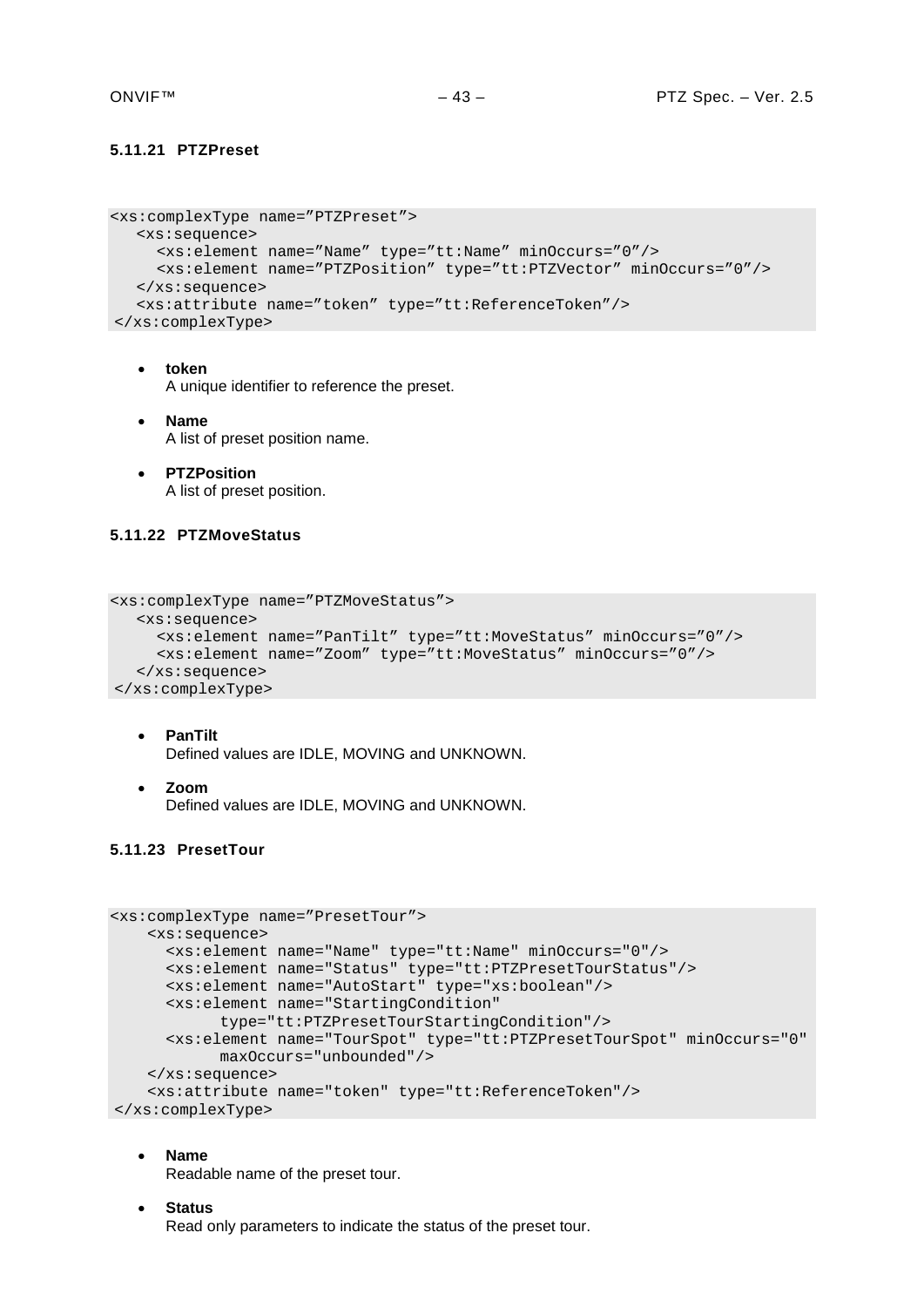# <span id="page-42-0"></span>**5.11.21 PTZPreset**

```
<xs:complexType name="PTZPreset">
  <xs:sequence>
     <xs:element name="Name" type="tt:Name" minOccurs="0"/>
     <xs:element name="PTZPosition" type="tt:PTZVector" minOccurs="0"/>
  </xs:sequence>
  <xs:attribute name="token" type="tt:ReferenceToken"/>
</xs:complexType>
```
- **token** A unique identifier to reference the preset.
- **Name** A list of preset position name.
- **PTZPosition** A list of preset position.

# <span id="page-42-1"></span>**5.11.22 PTZMoveStatus**

```
<xs:complexType name="PTZMoveStatus">
  <xs:sequence>
     <xs:element name="PanTilt" type="tt:MoveStatus" minOccurs="0"/>
     <xs:element name="Zoom" type="tt:MoveStatus" minOccurs="0"/>
  </xs:sequence>
</xs:complexType>
```
- **PanTilt** Defined values are IDLE, MOVING and UNKNOWN.
- **Zoom** Defined values are IDLE, MOVING and UNKNOWN.

# <span id="page-42-2"></span>**5.11.23 PresetTour**

```
<xs:complexType name="PresetTour">
     <xs:sequence>
      <xs:element name="Name" type="tt:Name" minOccurs="0"/>
      <xs:element name="Status" type="tt:PTZPresetTourStatus"/>
      <xs:element name="AutoStart" type="xs:boolean"/>
      <xs:element name="StartingCondition" 
            type="tt:PTZPresetTourStartingCondition"/>
       <xs:element name="TourSpot" type="tt:PTZPresetTourSpot" minOccurs="0" 
           maxOccurs="unbounded"/>
     </xs:sequence>
     <xs:attribute name="token" type="tt:ReferenceToken"/>
</xs:complexType>
```
#### • **Name**

Readable name of the preset tour.

• **Status** Read only parameters to indicate the status of the preset tour.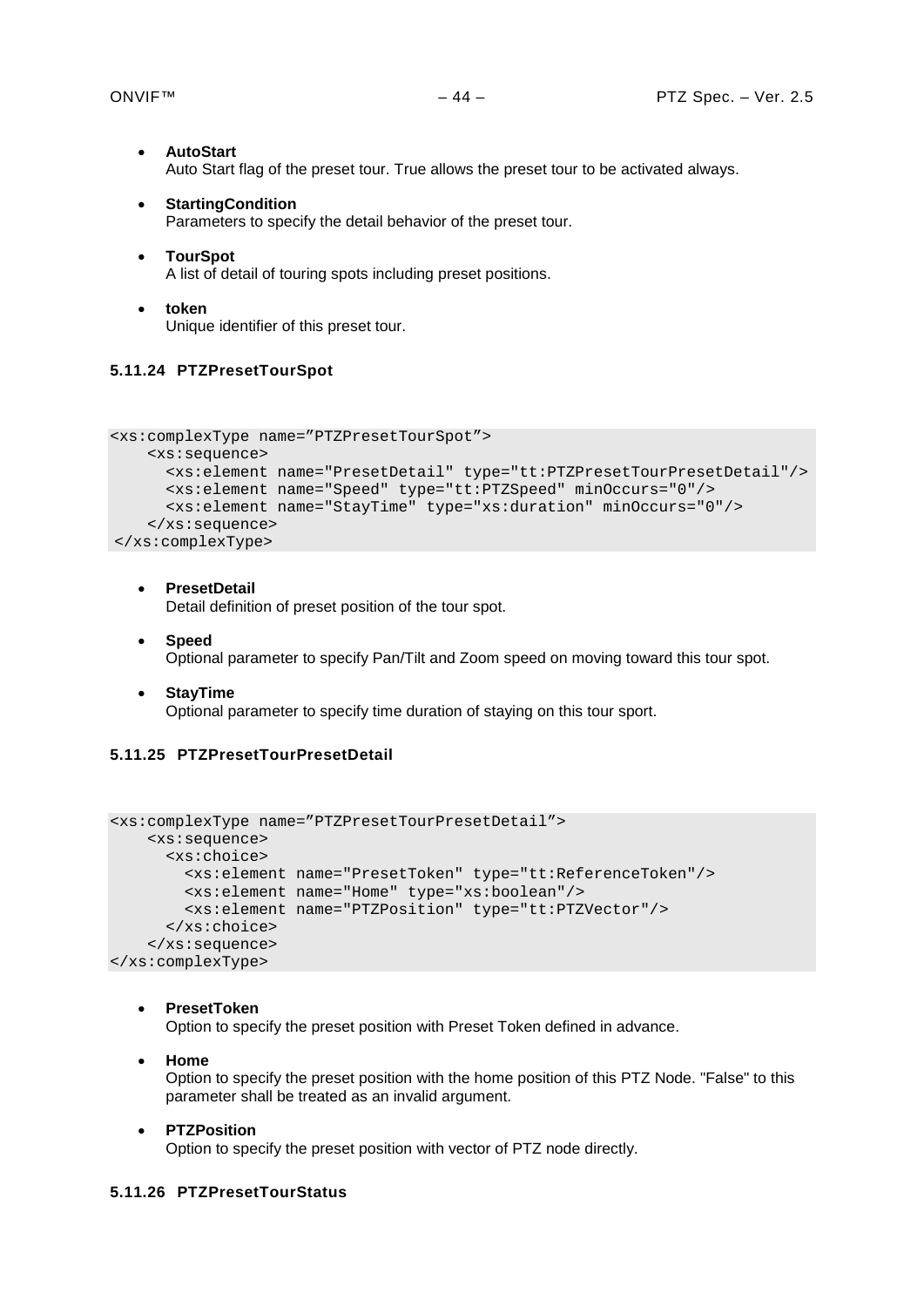- **AutoStart** Auto Start flag of the preset tour. True allows the preset tour to be activated always.
- **StartingCondition** Parameters to specify the detail behavior of the preset tour.
- **TourSpot** A list of detail of touring spots including preset positions.
- **token** Unique identifier of this preset tour.

# <span id="page-43-0"></span>**5.11.24 PTZPresetTourSpot**

```
<xs:complexType name="PTZPresetTourSpot">
    <xs:sequence>
      <xs:element name="PresetDetail" type="tt:PTZPresetTourPresetDetail"/>
      <xs:element name="Speed" type="tt:PTZSpeed" minOccurs="0"/>
       <xs:element name="StayTime" type="xs:duration" minOccurs="0"/>
    </xs:sequence>
</xs:complexType>
```
# • **PresetDetail**

Detail definition of preset position of the tour spot.

- **Speed** Optional parameter to specify Pan/Tilt and Zoom speed on moving toward this tour spot.
- **StayTime** Optional parameter to specify time duration of staying on this tour sport.

# <span id="page-43-1"></span>**5.11.25 PTZPresetTourPresetDetail**

```
<xs:complexType name="PTZPresetTourPresetDetail">
    <xs:sequence>
      <xs:choice>
         <xs:element name="PresetToken" type="tt:ReferenceToken"/>
         <xs:element name="Home" type="xs:boolean"/>
         <xs:element name="PTZPosition" type="tt:PTZVector"/>
       </xs:choice>
     </xs:sequence>
</xs:complexType>
```
• **PresetToken**

Option to specify the preset position with Preset Token defined in advance.

• **Home**

Option to specify the preset position with the home position of this PTZ Node. "False" to this parameter shall be treated as an invalid argument.

• **PTZPosition**

Option to specify the preset position with vector of PTZ node directly.

# <span id="page-43-2"></span>**5.11.26 PTZPresetTourStatus**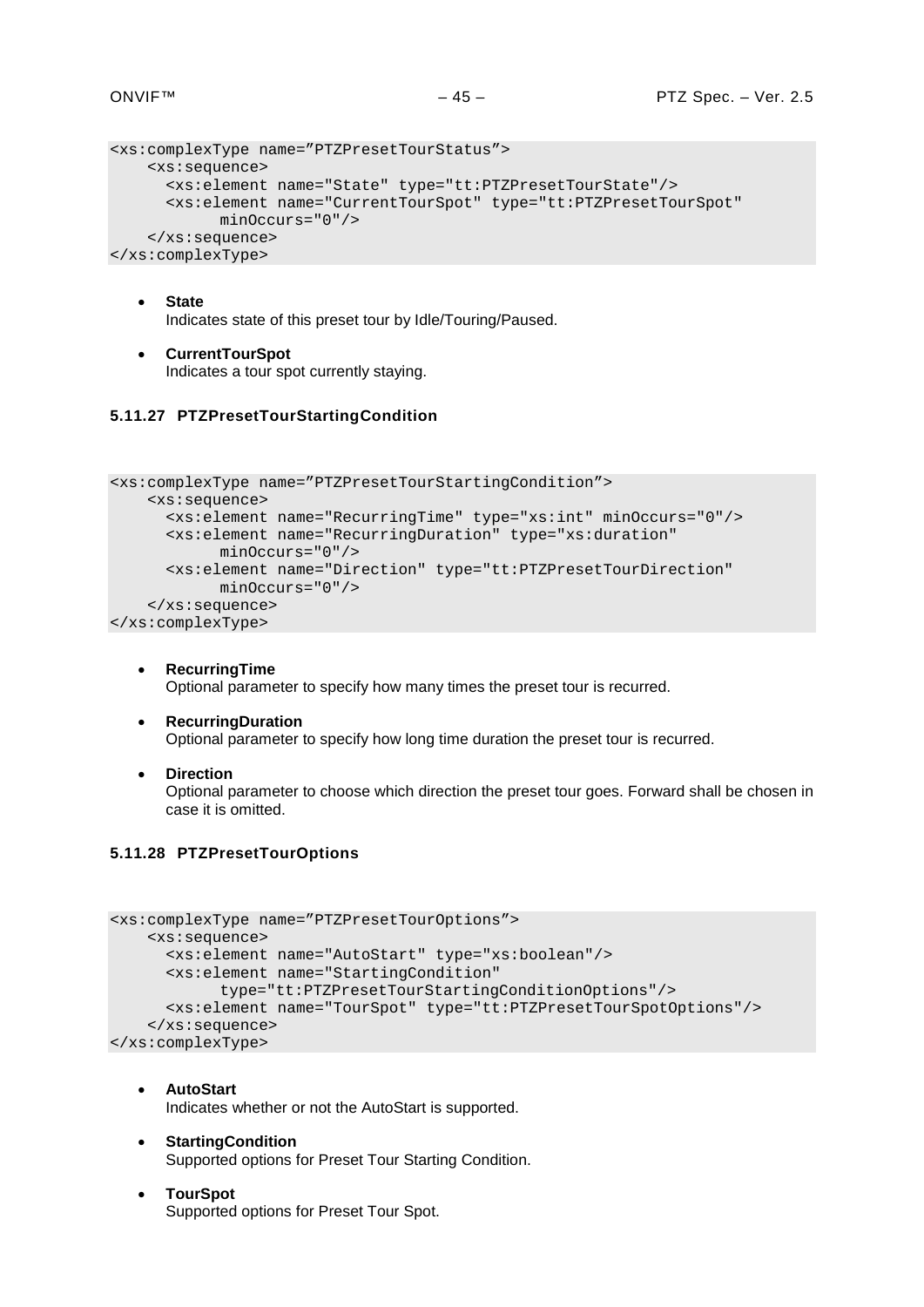```
<xs:complexType name="PTZPresetTourStatus">
     <xs:sequence>
      <xs:element name="State" type="tt:PTZPresetTourState"/>
      <xs:element name="CurrentTourSpot" type="tt:PTZPresetTourSpot" 
           minOccurs="0"/>
     </xs:sequence>
</xs:complexType>
```
- **State** Indicates state of this preset tour by Idle/Touring/Paused.
- **CurrentTourSpot** Indicates a tour spot currently staying.

# <span id="page-44-0"></span>**5.11.27 PTZPresetTourStartingCondition**

```
<xs:complexType name="PTZPresetTourStartingCondition">
    <xs:sequence>
       <xs:element name="RecurringTime" type="xs:int" minOccurs="0"/>
       <xs:element name="RecurringDuration" type="xs:duration" 
            minOccurs="0"/>
       <xs:element name="Direction" type="tt:PTZPresetTourDirection" 
           minOccurs="0"/>
     </xs:sequence>
</xs:complexType>
```
- **RecurringTime** Optional parameter to specify how many times the preset tour is recurred.
- **RecurringDuration** Optional parameter to specify how long time duration the preset tour is recurred.
- **Direction**

Optional parameter to choose which direction the preset tour goes. Forward shall be chosen in case it is omitted.

# <span id="page-44-1"></span>**5.11.28 PTZPresetTourOptions**

```
<xs:complexType name="PTZPresetTourOptions">
     <xs:sequence>
       <xs:element name="AutoStart" type="xs:boolean"/>
       <xs:element name="StartingCondition" 
            type="tt:PTZPresetTourStartingConditionOptions"/>
       <xs:element name="TourSpot" type="tt:PTZPresetTourSpotOptions"/>
     </xs:sequence>
</xs:complexType>
```
- **AutoStart** Indicates whether or not the AutoStart is supported.
- **StartingCondition** Supported options for Preset Tour Starting Condition.
- **TourSpot** Supported options for Preset Tour Spot.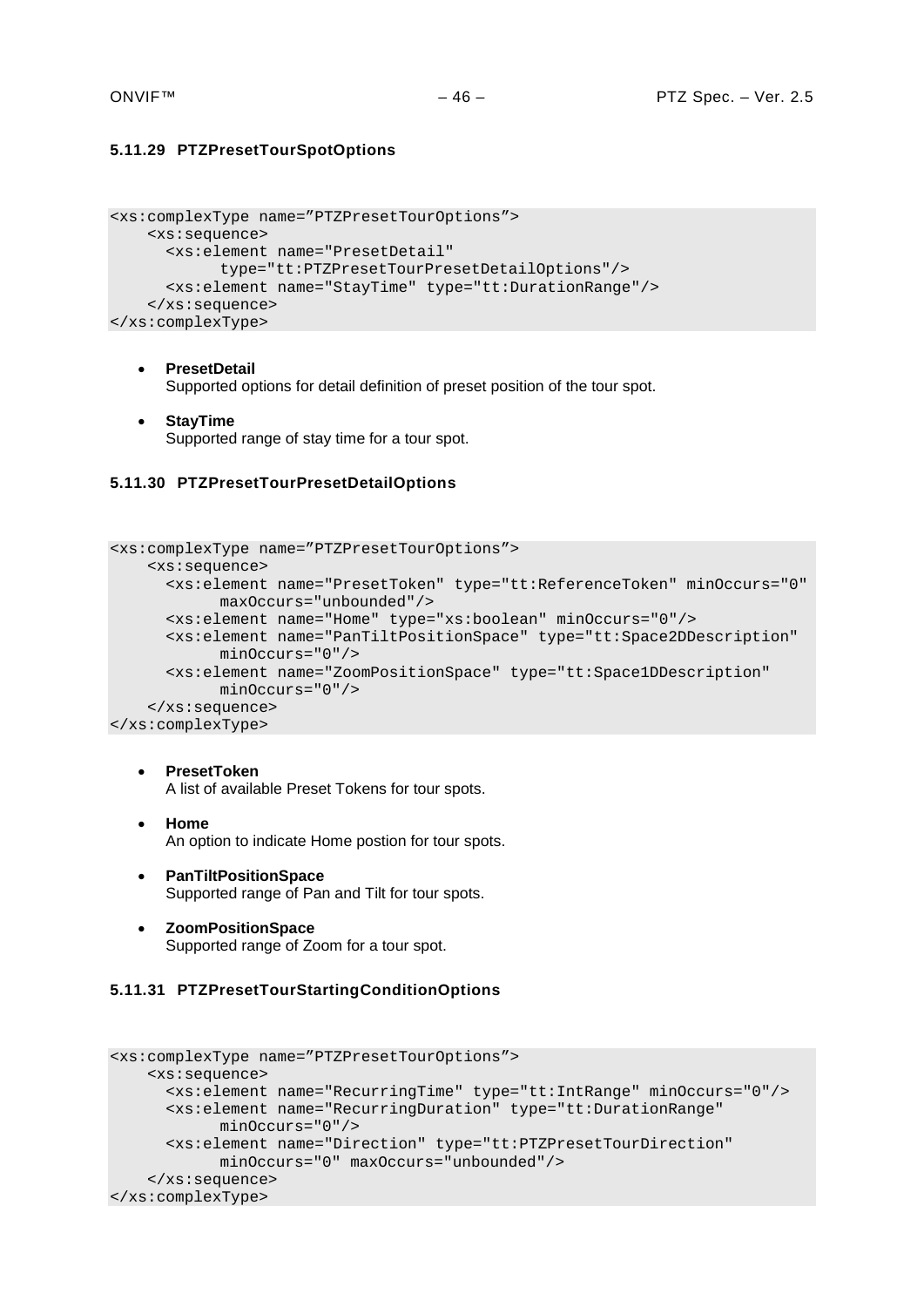# <span id="page-45-0"></span>**5.11.29 PTZPresetTourSpotOptions**

```
<xs:complexType name="PTZPresetTourOptions">
     <xs:sequence>
       <xs:element name="PresetDetail" 
            type="tt:PTZPresetTourPresetDetailOptions"/>
       <xs:element name="StayTime" type="tt:DurationRange"/>
     </xs:sequence>
</xs:complexType>
```
#### • **PresetDetail**

Supported options for detail definition of preset position of the tour spot.

• **StayTime** Supported range of stay time for a tour spot.

#### <span id="page-45-1"></span>**5.11.30 PTZPresetTourPresetDetailOptions**

```
<xs:complexType name="PTZPresetTourOptions">
     <xs:sequence>
       <xs:element name="PresetToken" type="tt:ReferenceToken" minOccurs="0" 
            maxOccurs="unbounded"/>
       <xs:element name="Home" type="xs:boolean" minOccurs="0"/>
       <xs:element name="PanTiltPositionSpace" type="tt:Space2DDescription" 
            minOccurs="0"/>
       <xs:element name="ZoomPositionSpace" type="tt:Space1DDescription" 
            minOccurs="0"/>
     </xs:sequence>
</xs:complexType>
```
- **PresetToken** A list of available Preset Tokens for tour spots.
- **Home** An option to indicate Home postion for tour spots.
- **PanTiltPositionSpace** Supported range of Pan and Tilt for tour spots.
- **ZoomPositionSpace** Supported range of Zoom for a tour spot.

#### <span id="page-45-2"></span>**5.11.31 PTZPresetTourStartingConditionOptions**

```
<xs:complexType name="PTZPresetTourOptions">
     <xs:sequence>
       <xs:element name="RecurringTime" type="tt:IntRange" minOccurs="0"/>
       <xs:element name="RecurringDuration" type="tt:DurationRange" 
            minOccurs="0"/>
       <xs:element name="Direction" type="tt:PTZPresetTourDirection" 
            minOccurs="0" maxOccurs="unbounded"/>
     </xs:sequence>
</xs:complexType>
```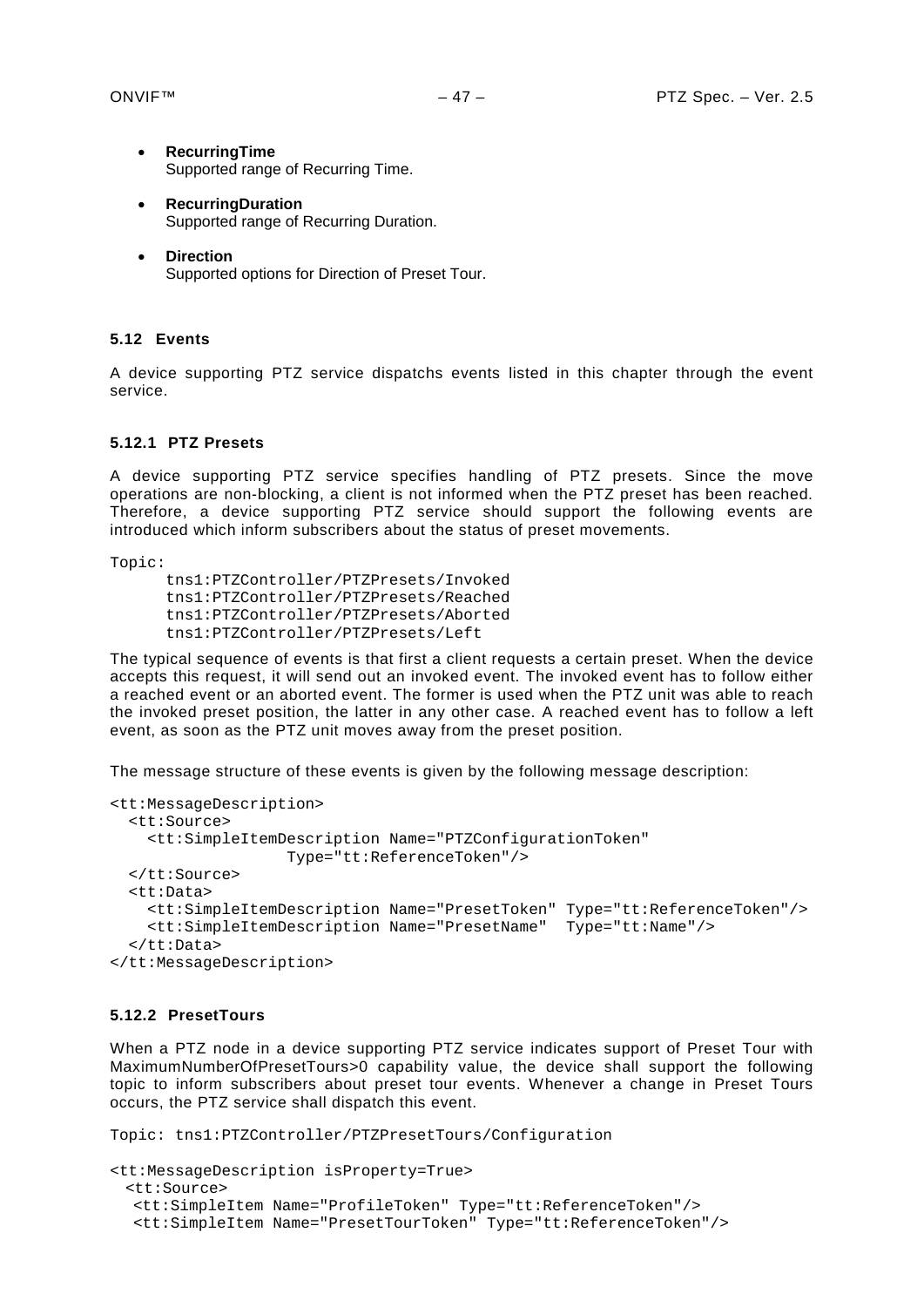- **RecurringTime** Supported range of Recurring Time.
- **RecurringDuration** Supported range of Recurring Duration.
- **Direction** Supported options for Direction of Preset Tour.

#### <span id="page-46-0"></span>**5.12 Events**

A device supporting PTZ service dispatchs events listed in this chapter through the event service.

# <span id="page-46-1"></span>**5.12.1 PTZ Presets**

A device supporting PTZ service specifies handling of PTZ presets. Since the move operations are non-blocking, a client is not informed when the PTZ preset has been reached. Therefore, a device supporting PTZ service should support the following events are introduced which inform subscribers about the status of preset movements.

Topic:

```
tns1:PTZController/PTZPresets/Invoked
tns1:PTZController/PTZPresets/Reached
tns1:PTZController/PTZPresets/Aborted
tns1:PTZController/PTZPresets/Left
```
The typical sequence of events is that first a client requests a certain preset. When the device accepts this request, it will send out an invoked event. The invoked event has to follow either a reached event or an aborted event. The former is used when the PTZ unit was able to reach the invoked preset position, the latter in any other case. A reached event has to follow a left event, as soon as the PTZ unit moves away from the preset position.

The message structure of these events is given by the following message description:

```
<tt:MessageDescription>
  <tt:Source>
     <tt:SimpleItemDescription Name="PTZConfigurationToken"
                    Type="tt:ReferenceToken"/>
   </tt:Source>
   <tt:Data>
     <tt:SimpleItemDescription Name="PresetToken" Type="tt:ReferenceToken"/>
     <tt:SimpleItemDescription Name="PresetName" Type="tt:Name"/>
   </tt:Data>
</tt:MessageDescription>
```
#### <span id="page-46-2"></span>**5.12.2 PresetTours**

When a PTZ node in a device supporting PTZ service indicates support of Preset Tour with MaximumNumberOfPresetTours>0 capability value, the device shall support the following topic to inform subscribers about preset tour events. Whenever a change in Preset Tours occurs, the PTZ service shall dispatch this event.

```
Topic: tns1:PTZController/PTZPresetTours/Configuration
```

```
<tt:MessageDescription isProperty=True>
 <tt:Source>
  <tt:SimpleItem Name="ProfileToken" Type="tt:ReferenceToken"/>
  <tt:SimpleItem Name="PresetTourToken" Type="tt:ReferenceToken"/>
```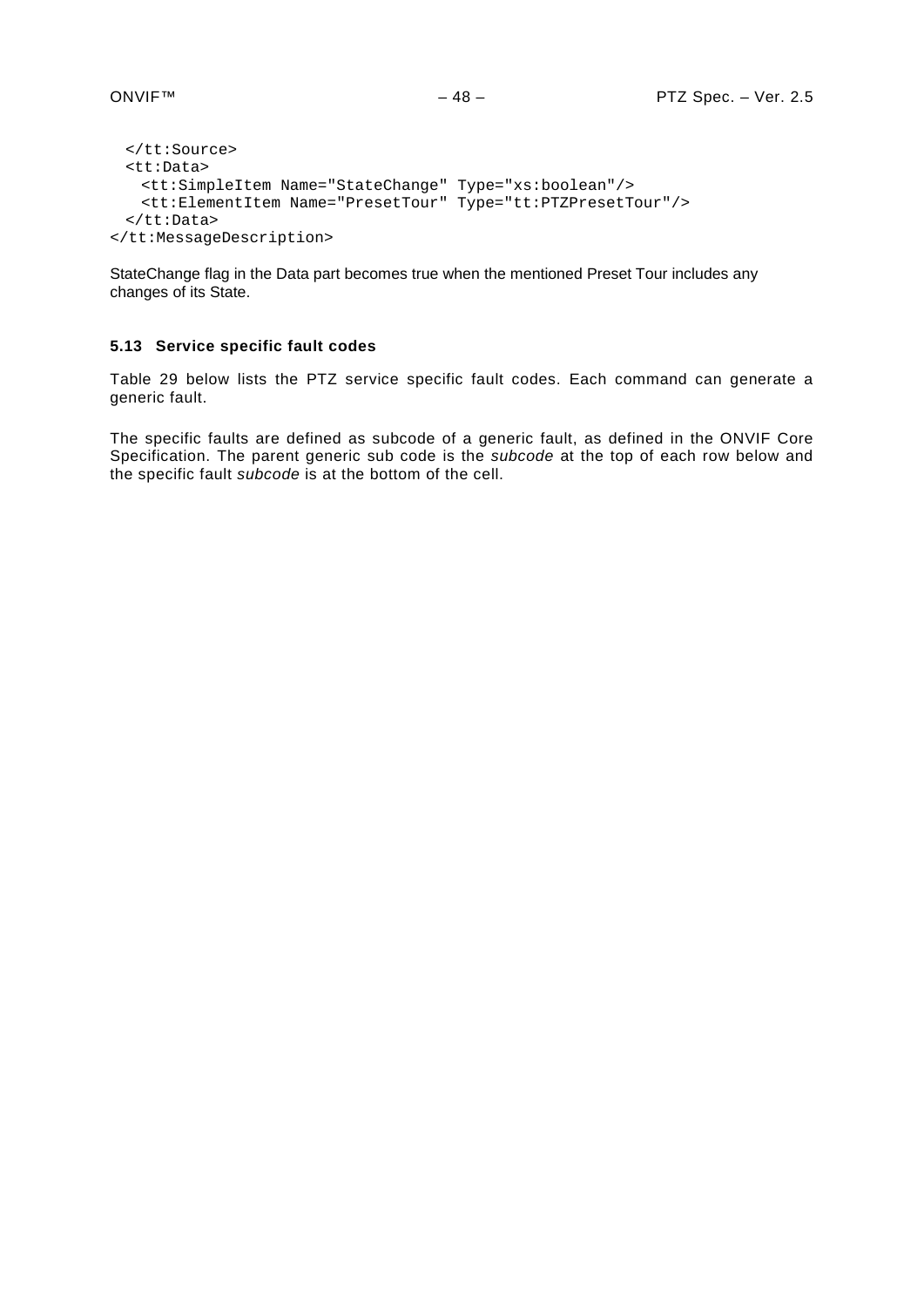```
</tt:Source>
 <tt:Data>
   <tt:SimpleItem Name="StateChange" Type="xs:boolean"/>
   <tt:ElementItem Name="PresetTour" Type="tt:PTZPresetTour"/>
 </tt:Data>
</tt:MessageDescription>
```
StateChange flag in the Data part becomes true when the mentioned Preset Tour includes any changes of its State.

# <span id="page-47-0"></span>**5.13 Service specific fault codes**

[Table 29](#page-48-0) below lists the PTZ service specific fault codes. Each command can generate a generic fault.

The specific faults are defined as subcode of a generic fault, as defined in the ONVIF Core Specification. The parent generic sub code is the *subcode* at the top of each row below and the specific fault *subcode* is at the bottom of the cell.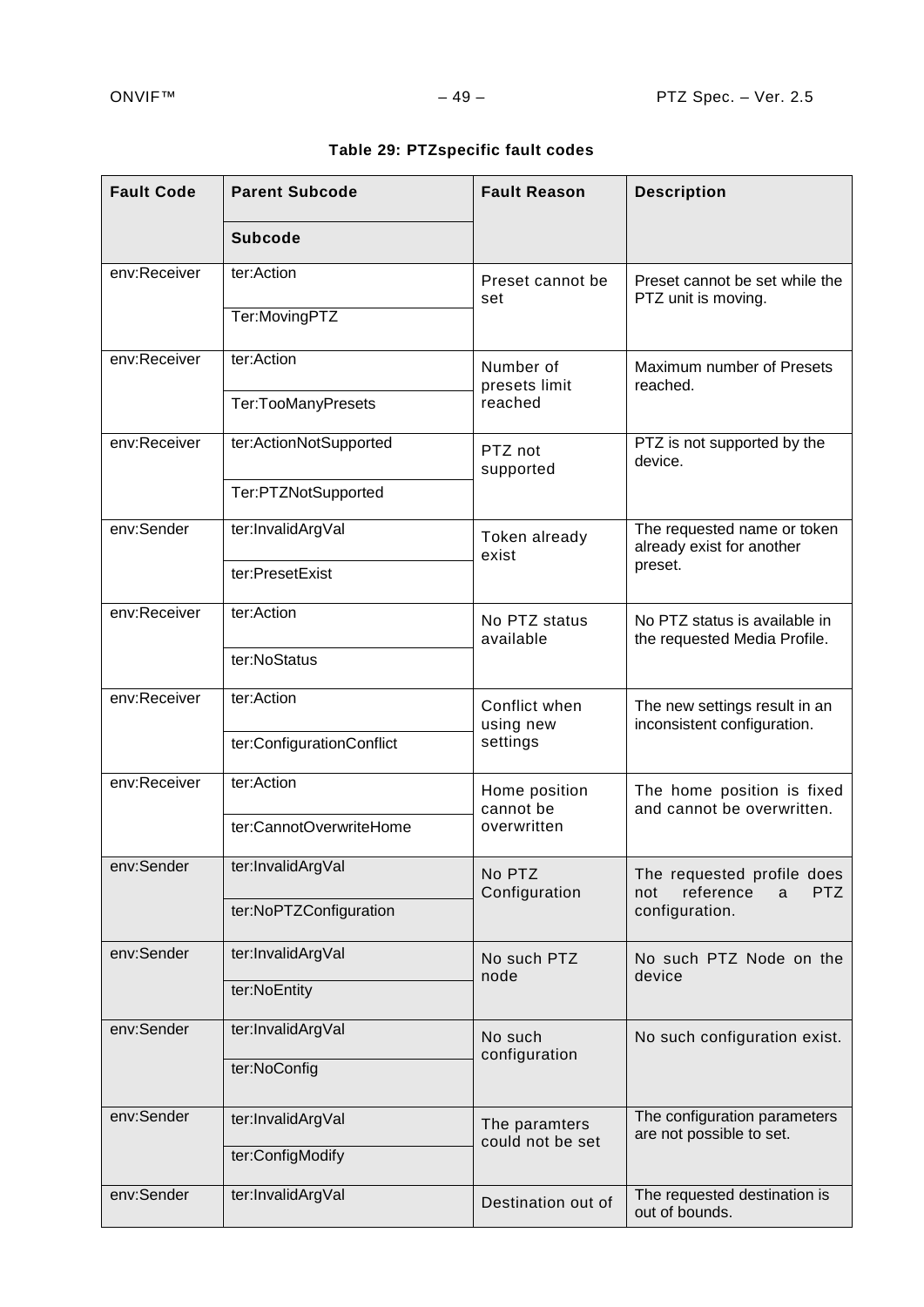<span id="page-48-0"></span>

| <b>Fault Code</b> | <b>Parent Subcode</b>     | <b>Fault Reason</b>               | <b>Description</b>                                            |  |
|-------------------|---------------------------|-----------------------------------|---------------------------------------------------------------|--|
|                   | <b>Subcode</b>            |                                   |                                                               |  |
| env:Receiver      | ter:Action                | Preset cannot be<br>set           | Preset cannot be set while the<br>PTZ unit is moving.         |  |
|                   | Ter:MovingPTZ             |                                   |                                                               |  |
| env:Receiver      | ter:Action                | Number of<br>presets limit        | Maximum number of Presets<br>reached.                         |  |
|                   | Ter:TooManyPresets        | reached                           |                                                               |  |
| env:Receiver      | ter:ActionNotSupported    | PTZ not<br>supported              | PTZ is not supported by the<br>device.                        |  |
|                   | Ter:PTZNotSupported       |                                   |                                                               |  |
| env:Sender        | ter:InvalidArgVal         | Token already<br>exist            | The requested name or token<br>already exist for another      |  |
|                   | ter:PresetExist           |                                   | preset.                                                       |  |
| env:Receiver      | ter:Action                | No PTZ status<br>available        | No PTZ status is available in<br>the requested Media Profile. |  |
|                   | ter:NoStatus              |                                   |                                                               |  |
| env:Receiver      | ter:Action                | Conflict when<br>using new        | The new settings result in an<br>inconsistent configuration.  |  |
|                   | ter:ConfigurationConflict | settings                          |                                                               |  |
| env:Receiver      | ter:Action                | Home position<br>cannot be        | The home position is fixed<br>and cannot be overwritten.      |  |
|                   | ter:CannotOverwriteHome   | overwritten                       |                                                               |  |
| env:Sender        | ter:InvalidArgVal         | No PTZ<br>Configuration           | The requested profile does<br>PTZ<br>reference<br>not<br>a    |  |
|                   | ter:NoPTZConfiguration    |                                   | configuration.                                                |  |
| env:Sender        | ter:InvalidArgVal         | No such PTZ<br>node               | No such PTZ Node on the<br>device                             |  |
|                   | ter:NoEntity              |                                   |                                                               |  |
| env:Sender        | ter:InvalidArgVal         | No such<br>configuration          | No such configuration exist.                                  |  |
|                   | ter:NoConfig              |                                   |                                                               |  |
| env:Sender        | ter:InvalidArgVal         | The paramters<br>could not be set | The configuration parameters<br>are not possible to set.      |  |
|                   | ter:ConfigModify          |                                   |                                                               |  |
| env:Sender        | ter:InvalidArgVal         | Destination out of                | The requested destination is<br>out of bounds.                |  |

# **Table 29: PTZspecific fault codes**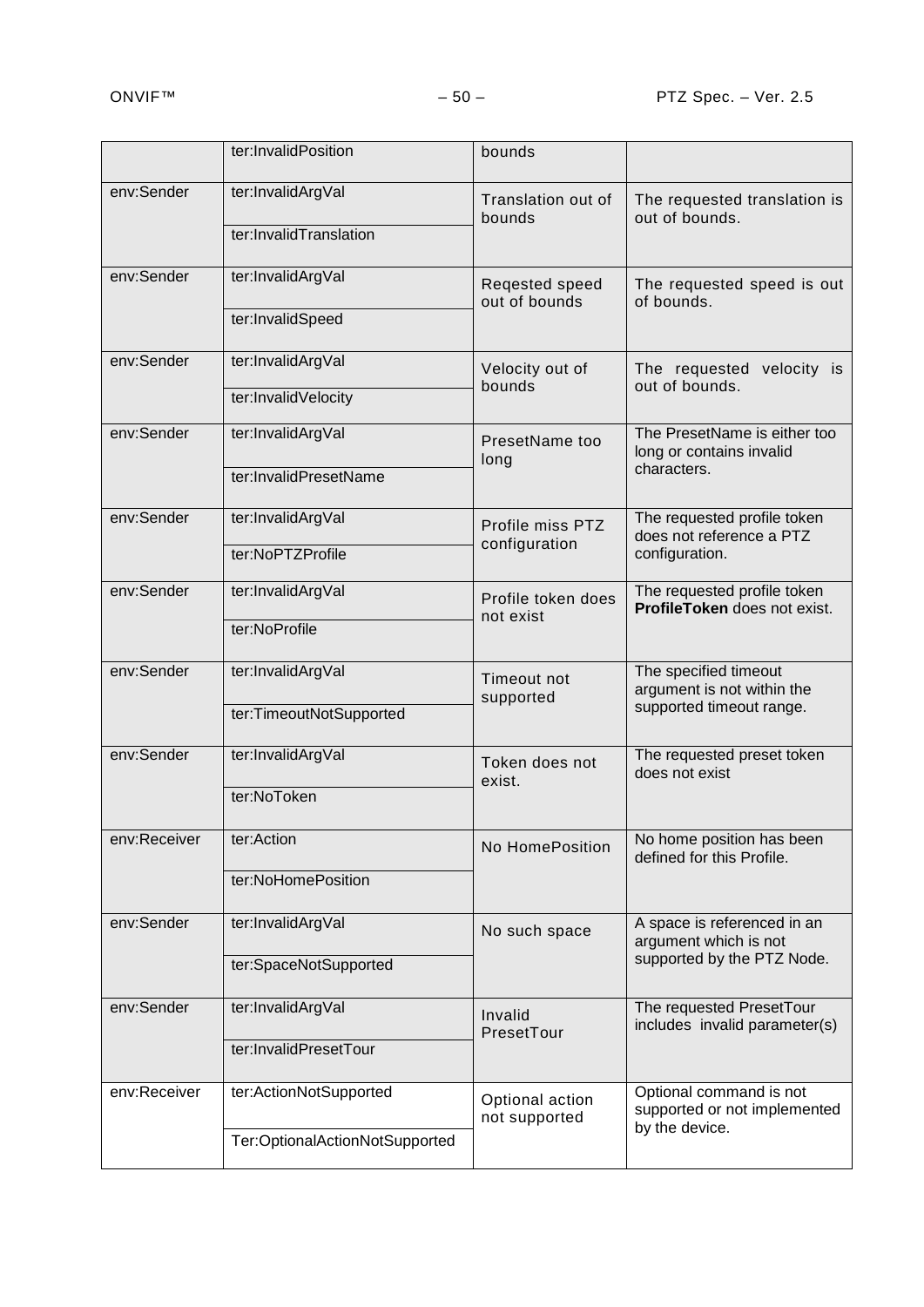|              | ter:InvalidPosition                                      | bounds                            |                                                                                    |
|--------------|----------------------------------------------------------|-----------------------------------|------------------------------------------------------------------------------------|
| env:Sender   | ter:InvalidArgVal<br>ter:InvalidTranslation              | Translation out of<br>bounds      | The requested translation is<br>out of bounds.                                     |
| env:Sender   | ter:InvalidArgVal<br>ter:InvalidSpeed                    | Reqested speed<br>out of bounds   | The requested speed is out<br>of bounds.                                           |
| env:Sender   | ter:InvalidArgVal<br>ter:InvalidVelocity                 | Velocity out of<br>bounds         | The requested velocity is<br>out of bounds.                                        |
| env:Sender   | ter:InvalidArgVal<br>ter:InvalidPresetName               | PresetName too<br>long            | The PresetName is either too<br>long or contains invalid<br>characters.            |
| env:Sender   | ter:InvalidArgVal<br>ter:NoPTZProfile                    | Profile miss PTZ<br>configuration | The requested profile token<br>does not reference a PTZ<br>configuration.          |
| env:Sender   | ter:InvalidArgVal<br>ter:NoProfile                       | Profile token does<br>not exist   | The requested profile token<br>ProfileToken does not exist.                        |
| env:Sender   | ter:InvalidArgVal<br>ter:TimeoutNotSupported             | Timeout not<br>supported          | The specified timeout<br>argument is not within the<br>supported timeout range.    |
| env:Sender   | ter:InvalidArgVal<br>ter:NoToken                         | Token does not<br>exist.          | The requested preset token<br>does not exist                                       |
| env:Receiver | ter:Action<br>ter:NoHomePosition                         | No HomePosition                   | No home position has been<br>defined for this Profile.                             |
| env:Sender   | ter:InvalidArgVal<br>ter:SpaceNotSupported               | No such space                     | A space is referenced in an<br>argument which is not<br>supported by the PTZ Node. |
| env:Sender   | ter:InvalidArgVal<br>ter:InvalidPresetTour               | Invalid<br>PresetTour             | The requested PresetTour<br>includes invalid parameter(s)                          |
| env:Receiver | ter:ActionNotSupported<br>Ter:OptionalActionNotSupported | Optional action<br>not supported  | Optional command is not<br>supported or not implemented<br>by the device.          |